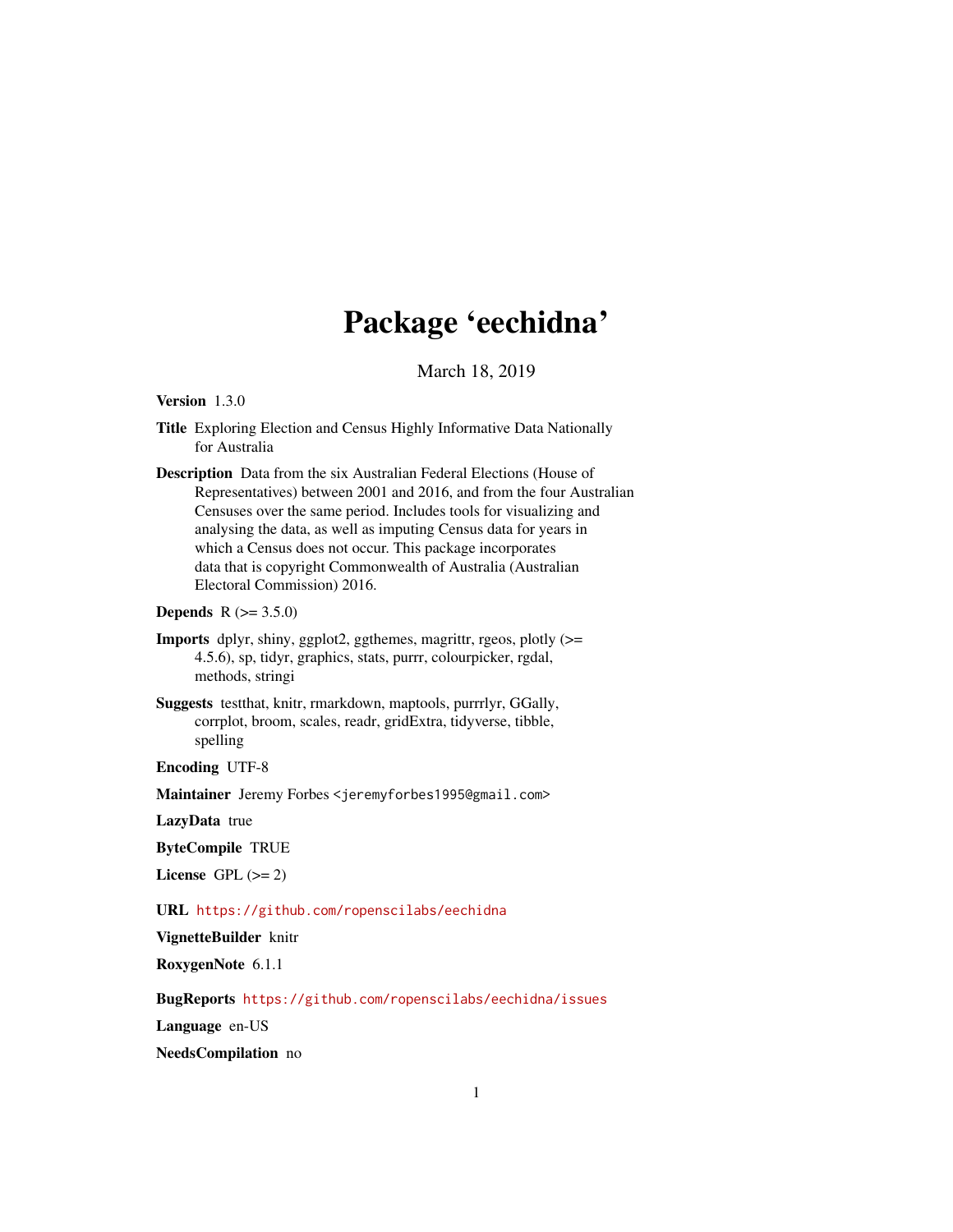# Package 'eechidna'

March 18, 2019

# Version 1.3.0

- Title Exploring Election and Census Highly Informative Data Nationally for Australia
- Description Data from the six Australian Federal Elections (House of Representatives) between 2001 and 2016, and from the four Australian Censuses over the same period. Includes tools for visualizing and analysing the data, as well as imputing Census data for years in which a Census does not occur. This package incorporates data that is copyright Commonwealth of Australia (Australian Electoral Commission) 2016.

# **Depends**  $R (= 3.5.0)$

- Imports dplyr, shiny, ggplot2, ggthemes, magrittr, rgeos, plotly (>= 4.5.6), sp, tidyr, graphics, stats, purrr, colourpicker, rgdal, methods, stringi
- Suggests testthat, knitr, rmarkdown, maptools, purrrlyr, GGally, corrplot, broom, scales, readr, gridExtra, tidyverse, tibble, spelling

Encoding UTF-8

Maintainer Jeremy Forbes <jeremyforbes1995@gmail.com>

LazyData true

ByteCompile TRUE

License GPL  $(>= 2)$ 

URL <https://github.com/ropenscilabs/eechidna>

VignetteBuilder knitr

RoxygenNote 6.1.1

BugReports <https://github.com/ropenscilabs/eechidna/issues>

Language en-US

NeedsCompilation no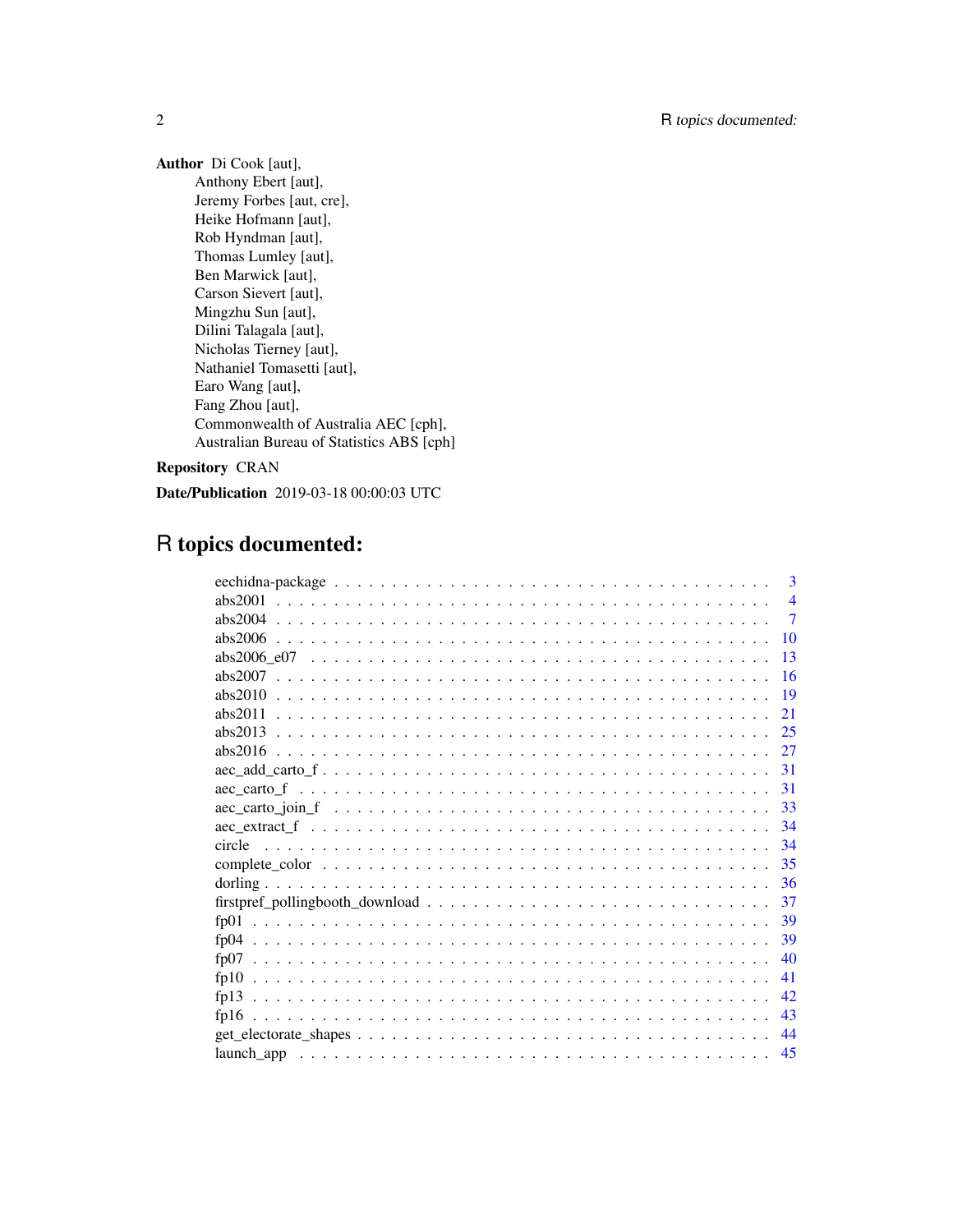Author Di Cook [aut], Anthony Ebert [aut], Jeremy Forbes [aut, cre], Heike Hofmann [aut], Rob Hyndman [aut], Thomas Lumley [aut], Ben Marwick [aut], Carson Sievert [aut], Mingzhu Sun [aut], Dilini Talagala [aut], Nicholas Tierney [aut], Nathaniel Tomasetti [aut], Earo Wang [aut], Fang Zhou [aut], Commonwealth of Australia AEC [cph], Australian Bureau of Statistics ABS [cph]

Repository CRAN

Date/Publication 2019-03-18 00:00:03 UTC

# R topics documented:

|                                                                                                                  | $\mathbf{3}$   |
|------------------------------------------------------------------------------------------------------------------|----------------|
| abs $2001$                                                                                                       | $\overline{4}$ |
|                                                                                                                  | $\overline{7}$ |
| 10                                                                                                               |                |
| 13                                                                                                               |                |
| 16                                                                                                               |                |
| 19                                                                                                               |                |
| abs $2011$<br>21                                                                                                 |                |
| 25<br>$abs2013$                                                                                                  |                |
|                                                                                                                  |                |
|                                                                                                                  |                |
| $-31$                                                                                                            |                |
|                                                                                                                  |                |
|                                                                                                                  |                |
| 34                                                                                                               |                |
| 35                                                                                                               |                |
| -36                                                                                                              |                |
| $firstpref\_pollingbook\_download \dots \dots \dots \dots \dots \dots \dots \dots \dots \dots \dots \dots$<br>37 |                |
| f <sub>D</sub> 01                                                                                                |                |
| -39<br>f <sub>D</sub> 04                                                                                         |                |
| 40                                                                                                               |                |
| 41                                                                                                               |                |
| 42.                                                                                                              |                |
| 43                                                                                                               |                |
| 44                                                                                                               |                |
| 45                                                                                                               |                |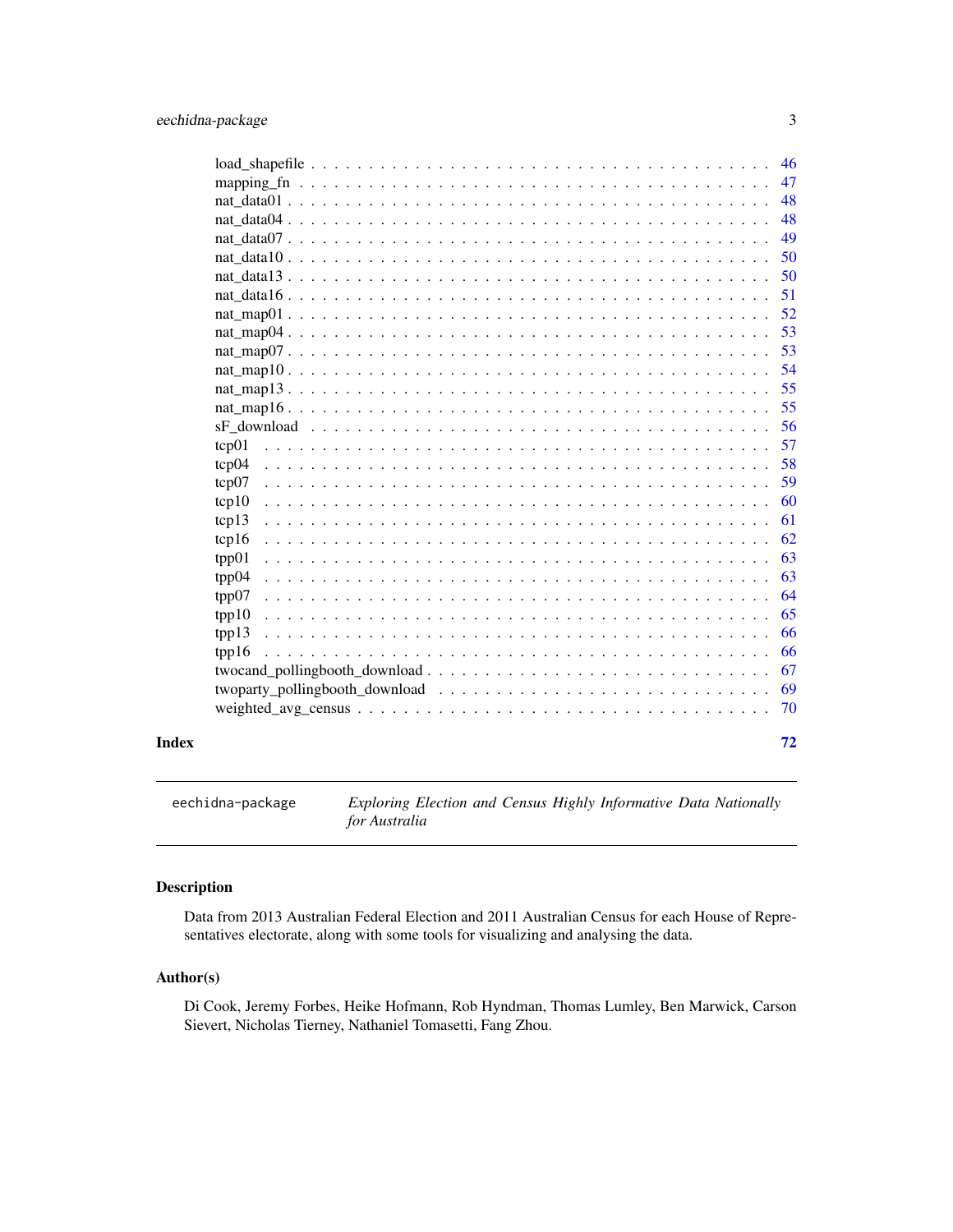<span id="page-2-0"></span>

|       |                                                                                                                                                                                                                                | 46 |
|-------|--------------------------------------------------------------------------------------------------------------------------------------------------------------------------------------------------------------------------------|----|
|       |                                                                                                                                                                                                                                | 47 |
|       |                                                                                                                                                                                                                                | 48 |
|       |                                                                                                                                                                                                                                | 48 |
|       | nat data $07 \ldots$ .                                                                                                                                                                                                         | 49 |
|       | nat data $10 \ldots$ .                                                                                                                                                                                                         | 50 |
|       |                                                                                                                                                                                                                                | 50 |
|       |                                                                                                                                                                                                                                | 51 |
|       |                                                                                                                                                                                                                                | 52 |
|       |                                                                                                                                                                                                                                | 53 |
|       |                                                                                                                                                                                                                                | 53 |
|       |                                                                                                                                                                                                                                | 54 |
|       |                                                                                                                                                                                                                                | 55 |
|       |                                                                                                                                                                                                                                | 55 |
|       |                                                                                                                                                                                                                                | 56 |
|       | tcp01                                                                                                                                                                                                                          | 57 |
|       | tcp04                                                                                                                                                                                                                          | 58 |
|       | tcp07                                                                                                                                                                                                                          | 59 |
|       | tcp10                                                                                                                                                                                                                          | 60 |
|       | tcp13                                                                                                                                                                                                                          | 61 |
|       | tcp16                                                                                                                                                                                                                          | 62 |
|       | tpp01                                                                                                                                                                                                                          | 63 |
|       | tpp04                                                                                                                                                                                                                          | 63 |
|       | tpp07                                                                                                                                                                                                                          | 64 |
|       | tpp10                                                                                                                                                                                                                          | 65 |
|       | tpp13                                                                                                                                                                                                                          | 66 |
|       | tpp16                                                                                                                                                                                                                          | 66 |
|       |                                                                                                                                                                                                                                | 67 |
|       | twoparty_pollingbooth_download \\cdot \\cdot \\cdot \\cdot \\cdot \\cdot \\cdot \\cdot \\cdot \\cdot \\cdot \\cdot \\cdot \\cdot \\cdot \\cdot \\cdot \\cdot \\cdot \\cdot \\cdot \\cdot \\cdot \\cdot \\cdot \\cdot \\cdot \\ | 69 |
|       |                                                                                                                                                                                                                                | 70 |
| Index |                                                                                                                                                                                                                                | 72 |

eechidna-package *Exploring Election and Census Highly Informative Data Nationally for Australia*

# Description

Data from 2013 Australian Federal Election and 2011 Australian Census for each House of Representatives electorate, along with some tools for visualizing and analysing the data.

# Author(s)

Di Cook, Jeremy Forbes, Heike Hofmann, Rob Hyndman, Thomas Lumley, Ben Marwick, Carson Sievert, Nicholas Tierney, Nathaniel Tomasetti, Fang Zhou.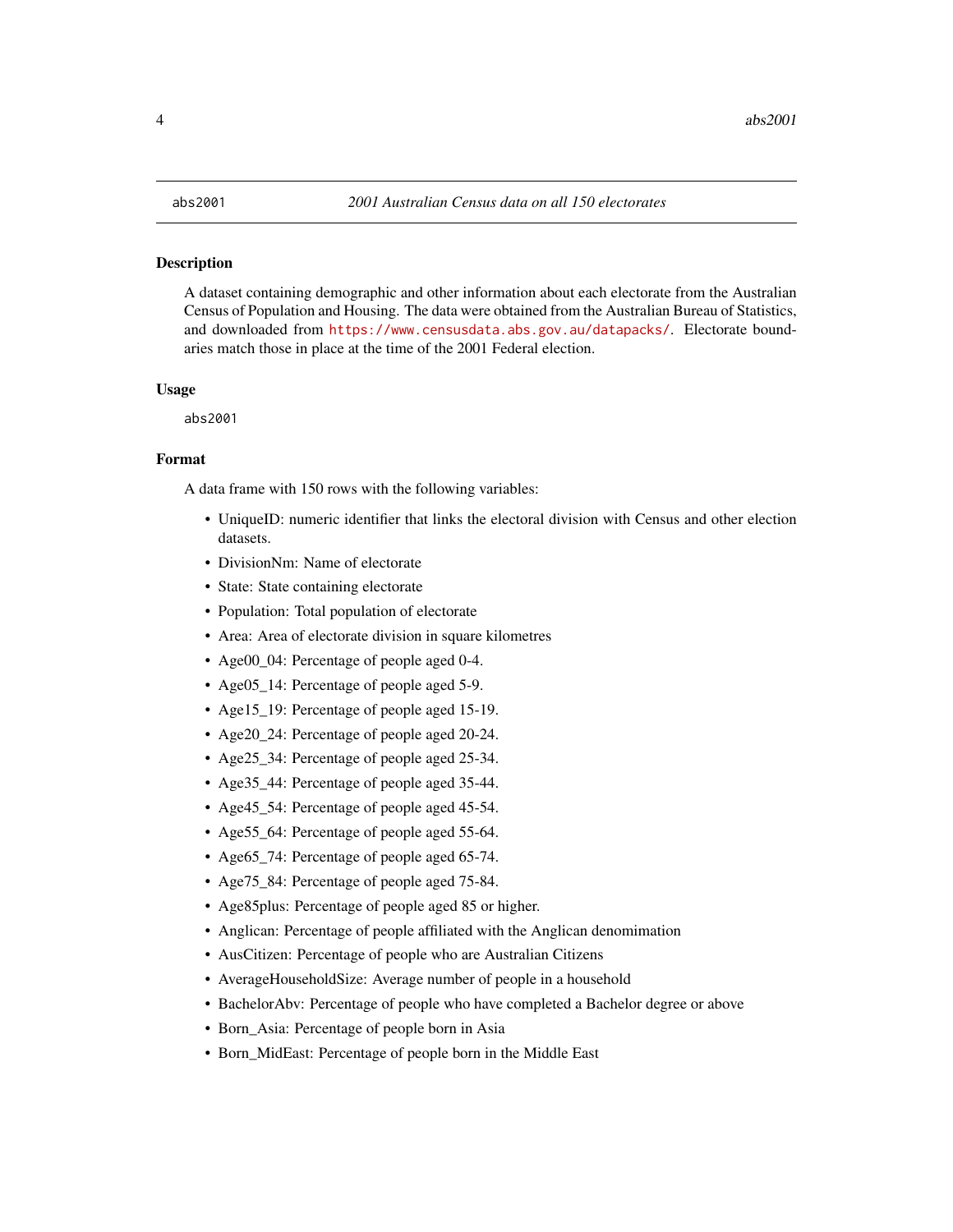#### <span id="page-3-0"></span>**Description**

A dataset containing demographic and other information about each electorate from the Australian Census of Population and Housing. The data were obtained from the Australian Bureau of Statistics, and downloaded from <https://www.censusdata.abs.gov.au/datapacks/>. Electorate boundaries match those in place at the time of the 2001 Federal election.

#### Usage

abs2001

#### Format

- UniqueID: numeric identifier that links the electoral division with Census and other election datasets.
- DivisionNm: Name of electorate
- State: State containing electorate
- Population: Total population of electorate
- Area: Area of electorate division in square kilometres
- Age00\_04: Percentage of people aged 0-4.
- Age05\_14: Percentage of people aged 5-9.
- Age15\_19: Percentage of people aged 15-19.
- Age20\_24: Percentage of people aged 20-24.
- Age25\_34: Percentage of people aged 25-34.
- Age35\_44: Percentage of people aged 35-44.
- Age45 54: Percentage of people aged 45-54.
- Age 55 64: Percentage of people aged 55-64.
- Age65 74: Percentage of people aged 65-74.
- Age75\_84: Percentage of people aged 75-84.
- Age85plus: Percentage of people aged 85 or higher.
- Anglican: Percentage of people affiliated with the Anglican denomimation
- AusCitizen: Percentage of people who are Australian Citizens
- AverageHouseholdSize: Average number of people in a household
- BachelorAbv: Percentage of people who have completed a Bachelor degree or above
- Born\_Asia: Percentage of people born in Asia
- Born\_MidEast: Percentage of people born in the Middle East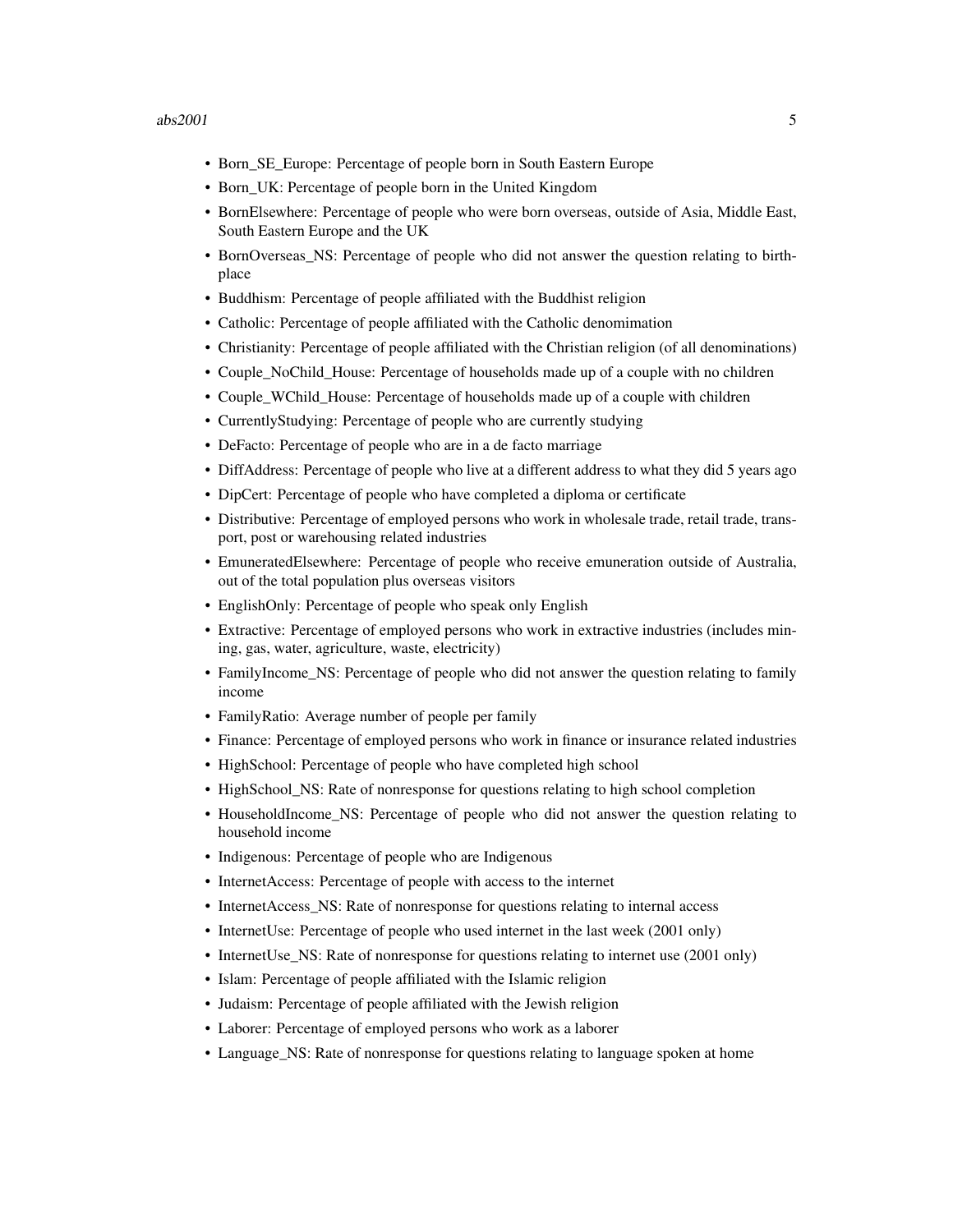- Born\_SE\_Europe: Percentage of people born in South Eastern Europe
- Born\_UK: Percentage of people born in the United Kingdom
- BornElsewhere: Percentage of people who were born overseas, outside of Asia, Middle East, South Eastern Europe and the UK
- BornOverseas\_NS: Percentage of people who did not answer the question relating to birthplace
- Buddhism: Percentage of people affiliated with the Buddhist religion
- Catholic: Percentage of people affiliated with the Catholic denomimation
- Christianity: Percentage of people affiliated with the Christian religion (of all denominations)
- Couple NoChild House: Percentage of households made up of a couple with no children
- Couple WChild House: Percentage of households made up of a couple with children
- CurrentlyStudying: Percentage of people who are currently studying
- DeFacto: Percentage of people who are in a de facto marriage
- DiffAddress: Percentage of people who live at a different address to what they did 5 years ago
- DipCert: Percentage of people who have completed a diploma or certificate
- Distributive: Percentage of employed persons who work in wholesale trade, retail trade, transport, post or warehousing related industries
- EmuneratedElsewhere: Percentage of people who receive emuneration outside of Australia, out of the total population plus overseas visitors
- EnglishOnly: Percentage of people who speak only English
- Extractive: Percentage of employed persons who work in extractive industries (includes mining, gas, water, agriculture, waste, electricity)
- FamilyIncome\_NS: Percentage of people who did not answer the question relating to family income
- FamilyRatio: Average number of people per family
- Finance: Percentage of employed persons who work in finance or insurance related industries
- HighSchool: Percentage of people who have completed high school
- HighSchool NS: Rate of nonresponse for questions relating to high school completion
- HouseholdIncome\_NS: Percentage of people who did not answer the question relating to household income
- Indigenous: Percentage of people who are Indigenous
- InternetAccess: Percentage of people with access to the internet
- InternetAccess\_NS: Rate of nonresponse for questions relating to internal access
- InternetUse: Percentage of people who used internet in the last week (2001 only)
- InternetUse\_NS: Rate of nonresponse for questions relating to internet use (2001 only)
- Islam: Percentage of people affiliated with the Islamic religion
- Judaism: Percentage of people affiliated with the Jewish religion
- Laborer: Percentage of employed persons who work as a laborer
- Language\_NS: Rate of nonresponse for questions relating to language spoken at home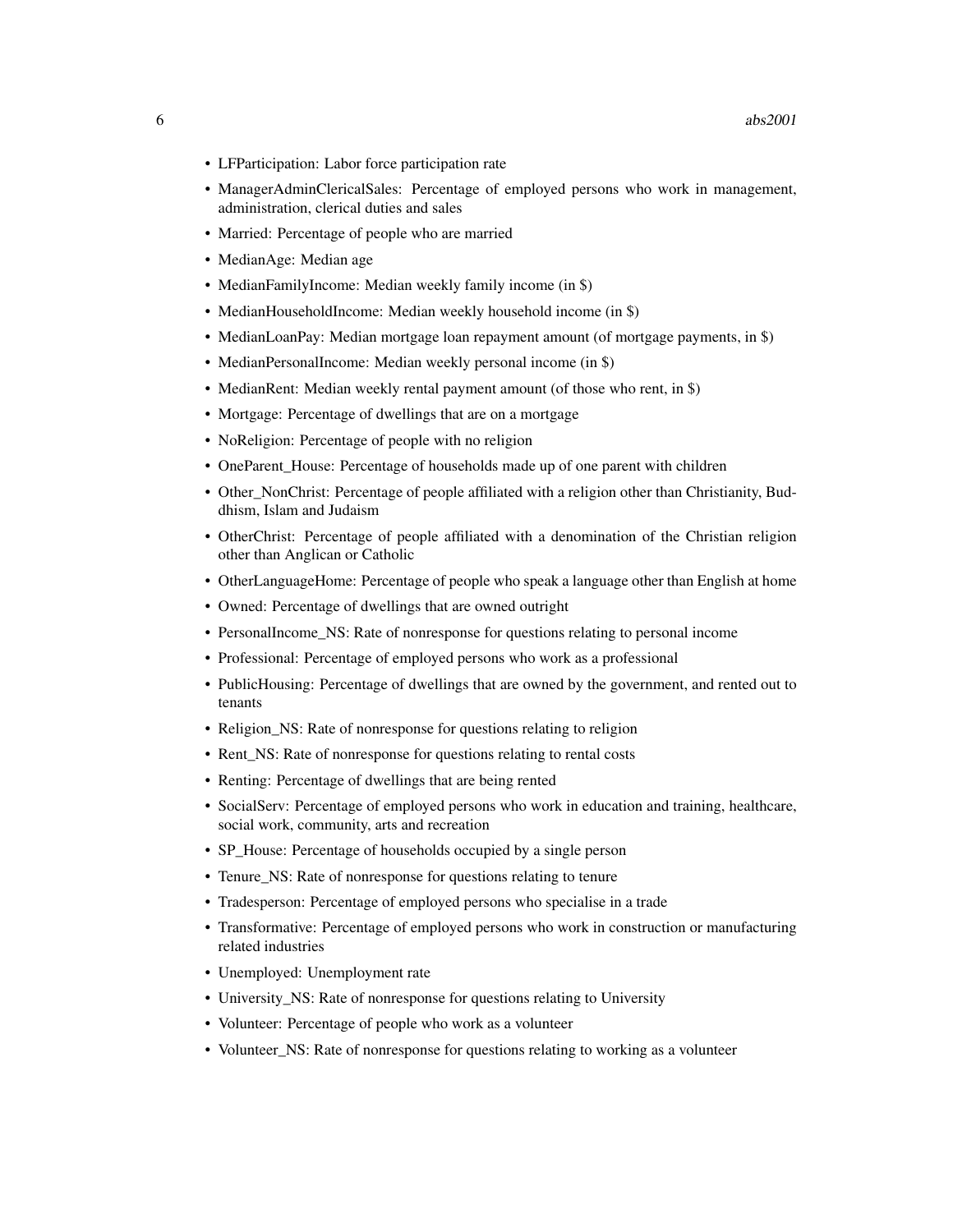- LFParticipation: Labor force participation rate
- ManagerAdminClericalSales: Percentage of employed persons who work in management, administration, clerical duties and sales
- Married: Percentage of people who are married
- MedianAge: Median age
- MedianFamilyIncome: Median weekly family income (in \$)
- MedianHouseholdIncome: Median weekly household income (in \$)
- MedianLoanPay: Median mortgage loan repayment amount (of mortgage payments, in \$)
- MedianPersonalIncome: Median weekly personal income (in \$)
- MedianRent: Median weekly rental payment amount (of those who rent, in \$)
- Mortgage: Percentage of dwellings that are on a mortgage
- NoReligion: Percentage of people with no religion
- OneParent\_House: Percentage of households made up of one parent with children
- Other NonChrist: Percentage of people affiliated with a religion other than Christianity, Buddhism, Islam and Judaism
- OtherChrist: Percentage of people affiliated with a denomination of the Christian religion other than Anglican or Catholic
- OtherLanguageHome: Percentage of people who speak a language other than English at home
- Owned: Percentage of dwellings that are owned outright
- PersonalIncome\_NS: Rate of nonresponse for questions relating to personal income
- Professional: Percentage of employed persons who work as a professional
- PublicHousing: Percentage of dwellings that are owned by the government, and rented out to tenants
- Religion NS: Rate of nonresponse for questions relating to religion
- Rent NS: Rate of nonresponse for questions relating to rental costs
- Renting: Percentage of dwellings that are being rented
- SocialServ: Percentage of employed persons who work in education and training, healthcare, social work, community, arts and recreation
- SP House: Percentage of households occupied by a single person
- Tenure NS: Rate of nonresponse for questions relating to tenure
- Tradesperson: Percentage of employed persons who specialise in a trade
- Transformative: Percentage of employed persons who work in construction or manufacturing related industries
- Unemployed: Unemployment rate
- University\_NS: Rate of nonresponse for questions relating to University
- Volunteer: Percentage of people who work as a volunteer
- Volunteer\_NS: Rate of nonresponse for questions relating to working as a volunteer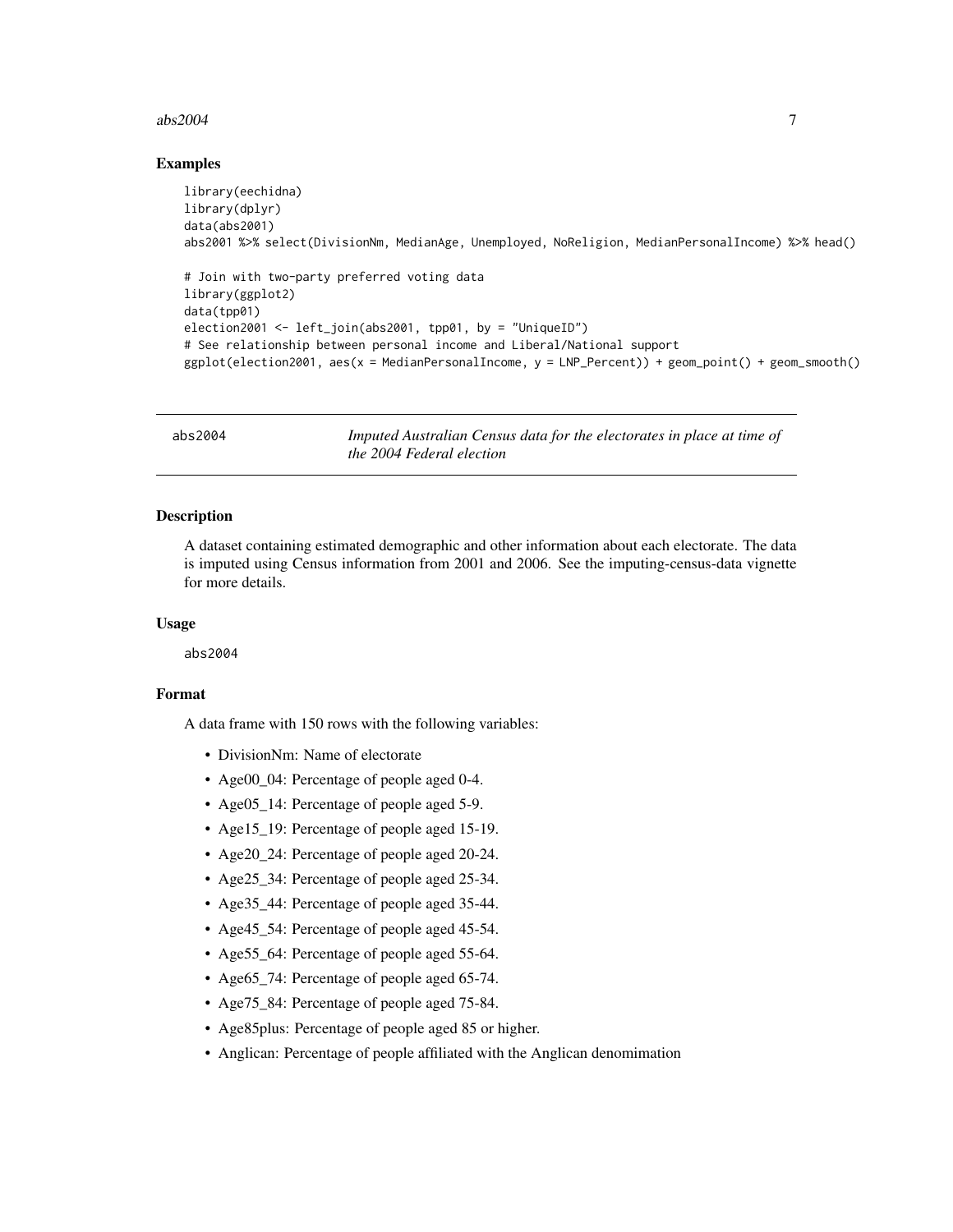#### <span id="page-6-0"></span> $abs2004$   $7$

### Examples

```
library(eechidna)
library(dplyr)
data(abs2001)
abs2001 %>% select(DivisionNm, MedianAge, Unemployed, NoReligion, MedianPersonalIncome) %>% head()
# Join with two-party preferred voting data
library(ggplot2)
data(tpp01)
election2001 <- left_join(abs2001, tpp01, by = "UniqueID")
# See relationship between personal income and Liberal/National support
ggplot(election2001, aes(x = MedianPersonalIncome, y = LNP_Percent)) + geom_point() + geom_smooth()
```
abs2004 *Imputed Australian Census data for the electorates in place at time of the 2004 Federal election*

# **Description**

A dataset containing estimated demographic and other information about each electorate. The data is imputed using Census information from 2001 and 2006. See the imputing-census-data vignette for more details.

#### Usage

abs2004

# Format

- DivisionNm: Name of electorate
- Age00\_04: Percentage of people aged 0-4.
- Age05\_14: Percentage of people aged 5-9.
- Age15\_19: Percentage of people aged 15-19.
- Age20\_24: Percentage of people aged 20-24.
- Age25\_34: Percentage of people aged 25-34.
- Age35\_44: Percentage of people aged 35-44.
- Age45\_54: Percentage of people aged 45-54.
- Age55\_64: Percentage of people aged 55-64.
- Age65\_74: Percentage of people aged 65-74.
- Age75\_84: Percentage of people aged 75-84.
- Age85plus: Percentage of people aged 85 or higher.
- Anglican: Percentage of people affiliated with the Anglican denomimation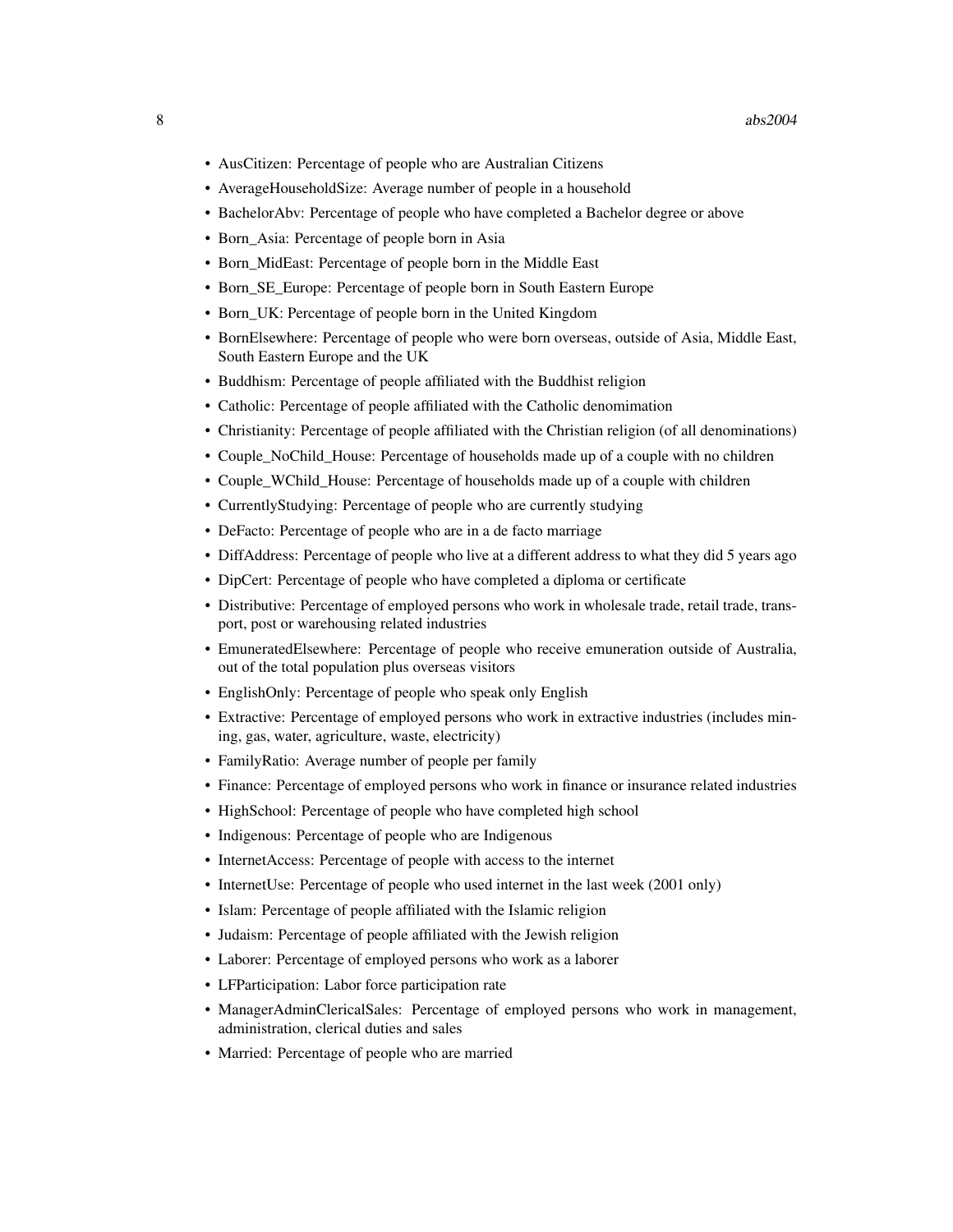- AusCitizen: Percentage of people who are Australian Citizens
- AverageHouseholdSize: Average number of people in a household
- BachelorAbv: Percentage of people who have completed a Bachelor degree or above
- Born\_Asia: Percentage of people born in Asia
- Born\_MidEast: Percentage of people born in the Middle East
- Born SE Europe: Percentage of people born in South Eastern Europe
- Born UK: Percentage of people born in the United Kingdom
- BornElsewhere: Percentage of people who were born overseas, outside of Asia, Middle East, South Eastern Europe and the UK
- Buddhism: Percentage of people affiliated with the Buddhist religion
- Catholic: Percentage of people affiliated with the Catholic denomimation
- Christianity: Percentage of people affiliated with the Christian religion (of all denominations)
- Couple NoChild House: Percentage of households made up of a couple with no children
- Couple\_WChild\_House: Percentage of households made up of a couple with children
- CurrentlyStudying: Percentage of people who are currently studying
- DeFacto: Percentage of people who are in a de facto marriage
- DiffAddress: Percentage of people who live at a different address to what they did 5 years ago
- DipCert: Percentage of people who have completed a diploma or certificate
- Distributive: Percentage of employed persons who work in wholesale trade, retail trade, transport, post or warehousing related industries
- EmuneratedElsewhere: Percentage of people who receive emuneration outside of Australia, out of the total population plus overseas visitors
- EnglishOnly: Percentage of people who speak only English
- Extractive: Percentage of employed persons who work in extractive industries (includes mining, gas, water, agriculture, waste, electricity)
- FamilyRatio: Average number of people per family
- Finance: Percentage of employed persons who work in finance or insurance related industries
- HighSchool: Percentage of people who have completed high school
- Indigenous: Percentage of people who are Indigenous
- InternetAccess: Percentage of people with access to the internet
- InternetUse: Percentage of people who used internet in the last week (2001 only)
- Islam: Percentage of people affiliated with the Islamic religion
- Judaism: Percentage of people affiliated with the Jewish religion
- Laborer: Percentage of employed persons who work as a laborer
- LFParticipation: Labor force participation rate
- ManagerAdminClericalSales: Percentage of employed persons who work in management, administration, clerical duties and sales
- Married: Percentage of people who are married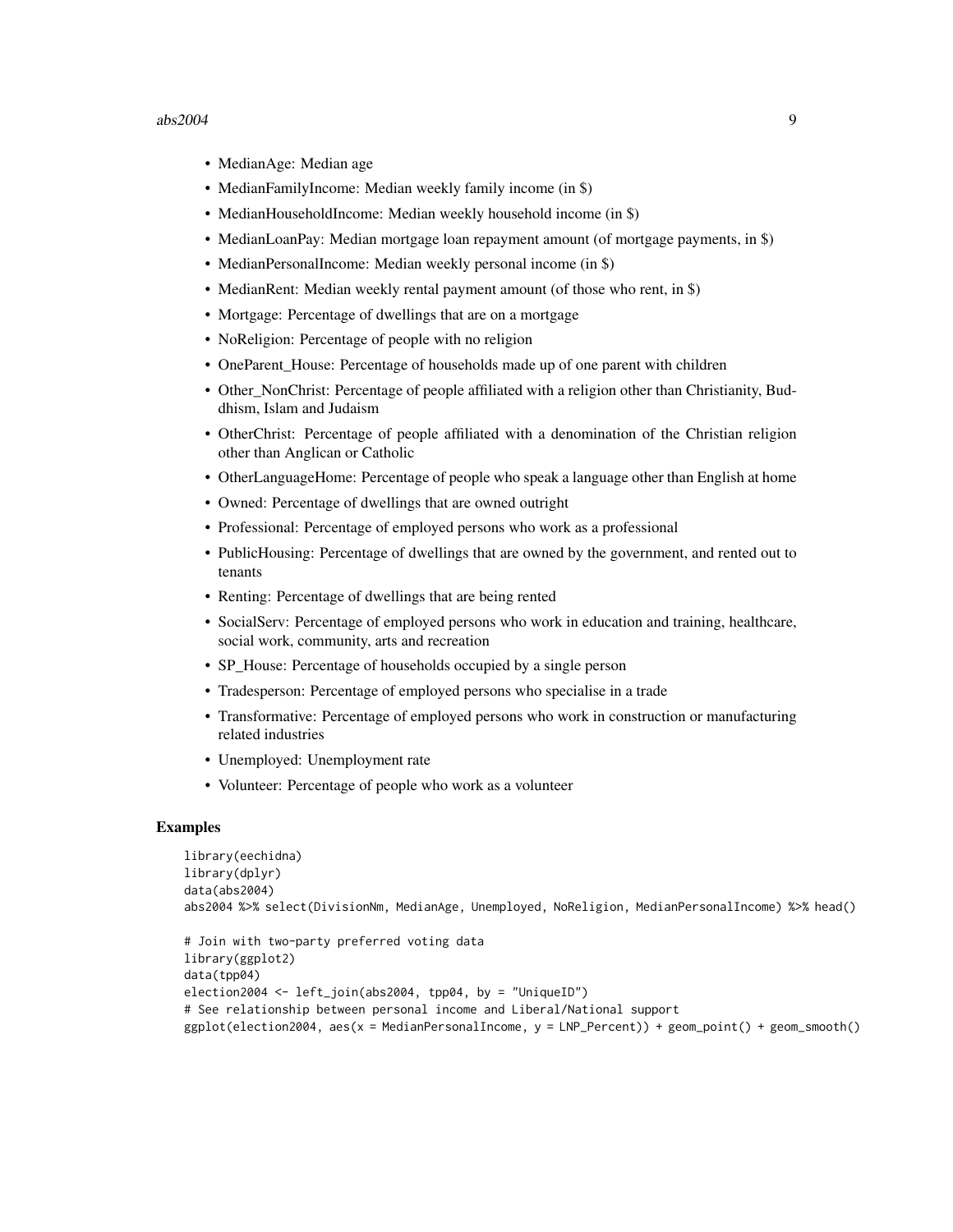#### $abs2004$  9

- MedianAge: Median age
- MedianFamilyIncome: Median weekly family income (in \$)
- MedianHouseholdIncome: Median weekly household income (in \$)
- MedianLoanPay: Median mortgage loan repayment amount (of mortgage payments, in \$)
- MedianPersonalIncome: Median weekly personal income (in \$)
- MedianRent: Median weekly rental payment amount (of those who rent, in \$)
- Mortgage: Percentage of dwellings that are on a mortgage
- NoReligion: Percentage of people with no religion
- OneParent House: Percentage of households made up of one parent with children
- Other\_NonChrist: Percentage of people affiliated with a religion other than Christianity, Buddhism, Islam and Judaism
- OtherChrist: Percentage of people affiliated with a denomination of the Christian religion other than Anglican or Catholic
- OtherLanguageHome: Percentage of people who speak a language other than English at home
- Owned: Percentage of dwellings that are owned outright
- Professional: Percentage of employed persons who work as a professional
- PublicHousing: Percentage of dwellings that are owned by the government, and rented out to tenants
- Renting: Percentage of dwellings that are being rented
- SocialServ: Percentage of employed persons who work in education and training, healthcare, social work, community, arts and recreation
- SP\_House: Percentage of households occupied by a single person
- Tradesperson: Percentage of employed persons who specialise in a trade
- Transformative: Percentage of employed persons who work in construction or manufacturing related industries
- Unemployed: Unemployment rate
- Volunteer: Percentage of people who work as a volunteer

```
library(eechidna)
library(dplyr)
data(abs2004)
abs2004 %>% select(DivisionNm, MedianAge, Unemployed, NoReligion, MedianPersonalIncome) %>% head()
```

```
# Join with two-party preferred voting data
library(ggplot2)
data(tpp04)
election2004 <- left_join(abs2004, tpp04, by = "UniqueID")
# See relationship between personal income and Liberal/National support
ggplot(election2004, aes(x = MedianPersonalIncome, y = LNP_Percent)) + geom_point() + geom_smooth()
```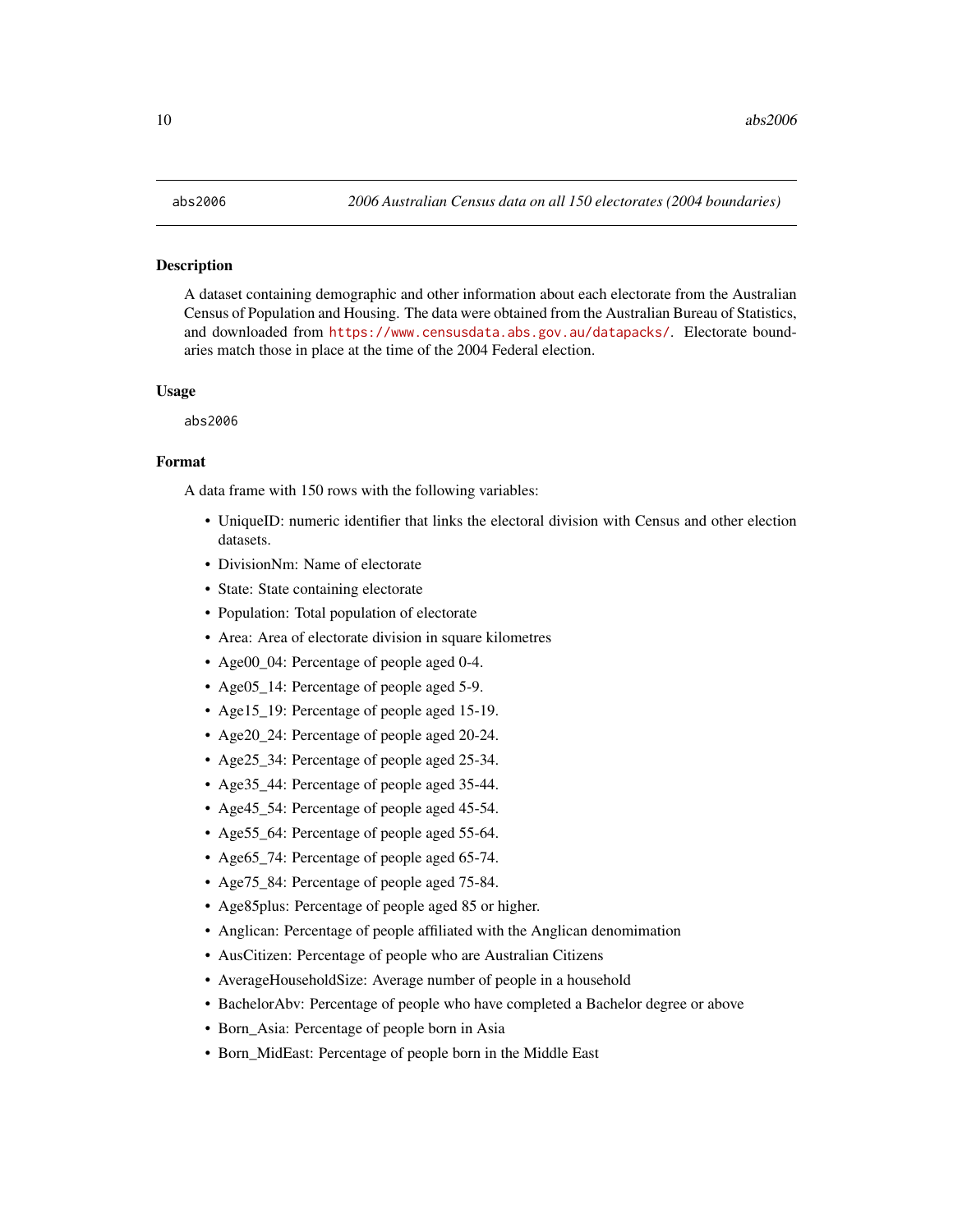#### <span id="page-9-0"></span>Description

A dataset containing demographic and other information about each electorate from the Australian Census of Population and Housing. The data were obtained from the Australian Bureau of Statistics, and downloaded from <https://www.censusdata.abs.gov.au/datapacks/>. Electorate boundaries match those in place at the time of the 2004 Federal election.

#### Usage

abs2006

# Format

- UniqueID: numeric identifier that links the electoral division with Census and other election datasets.
- DivisionNm: Name of electorate
- State: State containing electorate
- Population: Total population of electorate
- Area: Area of electorate division in square kilometres
- Age00\_04: Percentage of people aged 0-4.
- Age05 14: Percentage of people aged 5-9.
- Age15\_19: Percentage of people aged 15-19.
- Age20\_24: Percentage of people aged 20-24.
- Age25\_34: Percentage of people aged 25-34.
- Age35\_44: Percentage of people aged 35-44.
- Age45\_54: Percentage of people aged 45-54.
- Age55\_64: Percentage of people aged 55-64.
- Age 65 74: Percentage of people aged 65-74.
- Age75\_84: Percentage of people aged 75-84.
- Age85plus: Percentage of people aged 85 or higher.
- Anglican: Percentage of people affiliated with the Anglican denomimation
- AusCitizen: Percentage of people who are Australian Citizens
- AverageHouseholdSize: Average number of people in a household
- BachelorAbv: Percentage of people who have completed a Bachelor degree or above
- Born\_Asia: Percentage of people born in Asia
- Born\_MidEast: Percentage of people born in the Middle East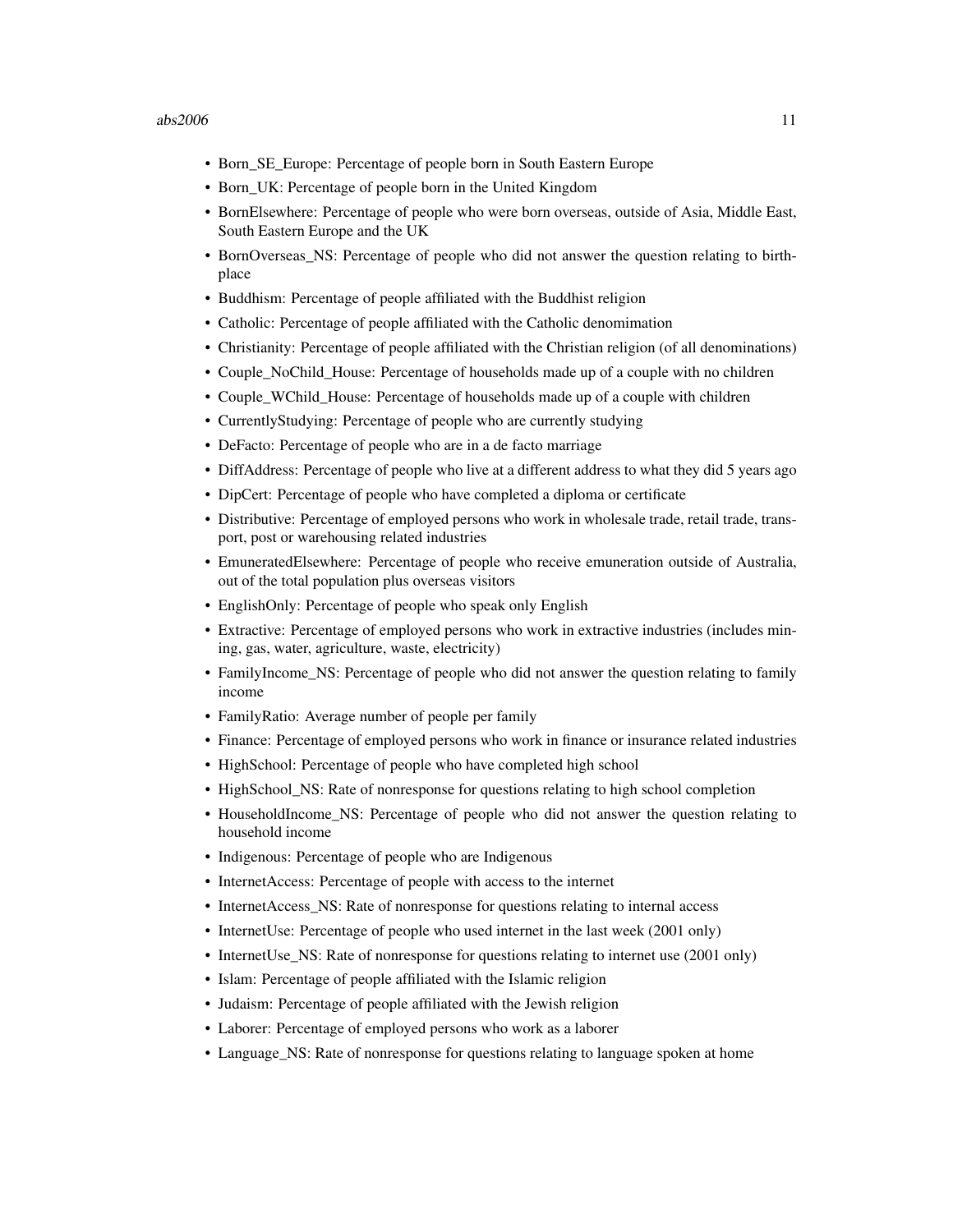- Born\_SE\_Europe: Percentage of people born in South Eastern Europe
- Born\_UK: Percentage of people born in the United Kingdom
- BornElsewhere: Percentage of people who were born overseas, outside of Asia, Middle East, South Eastern Europe and the UK
- BornOverseas\_NS: Percentage of people who did not answer the question relating to birthplace
- Buddhism: Percentage of people affiliated with the Buddhist religion
- Catholic: Percentage of people affiliated with the Catholic denomimation
- Christianity: Percentage of people affiliated with the Christian religion (of all denominations)
- Couple NoChild House: Percentage of households made up of a couple with no children
- Couple WChild House: Percentage of households made up of a couple with children
- CurrentlyStudying: Percentage of people who are currently studying
- DeFacto: Percentage of people who are in a de facto marriage
- DiffAddress: Percentage of people who live at a different address to what they did 5 years ago
- DipCert: Percentage of people who have completed a diploma or certificate
- Distributive: Percentage of employed persons who work in wholesale trade, retail trade, transport, post or warehousing related industries
- EmuneratedElsewhere: Percentage of people who receive emuneration outside of Australia, out of the total population plus overseas visitors
- EnglishOnly: Percentage of people who speak only English
- Extractive: Percentage of employed persons who work in extractive industries (includes mining, gas, water, agriculture, waste, electricity)
- FamilyIncome\_NS: Percentage of people who did not answer the question relating to family income
- FamilyRatio: Average number of people per family
- Finance: Percentage of employed persons who work in finance or insurance related industries
- HighSchool: Percentage of people who have completed high school
- HighSchool NS: Rate of nonresponse for questions relating to high school completion
- HouseholdIncome\_NS: Percentage of people who did not answer the question relating to household income
- Indigenous: Percentage of people who are Indigenous
- InternetAccess: Percentage of people with access to the internet
- InternetAccess\_NS: Rate of nonresponse for questions relating to internal access
- InternetUse: Percentage of people who used internet in the last week (2001 only)
- InternetUse\_NS: Rate of nonresponse for questions relating to internet use (2001 only)
- Islam: Percentage of people affiliated with the Islamic religion
- Judaism: Percentage of people affiliated with the Jewish religion
- Laborer: Percentage of employed persons who work as a laborer
- Language\_NS: Rate of nonresponse for questions relating to language spoken at home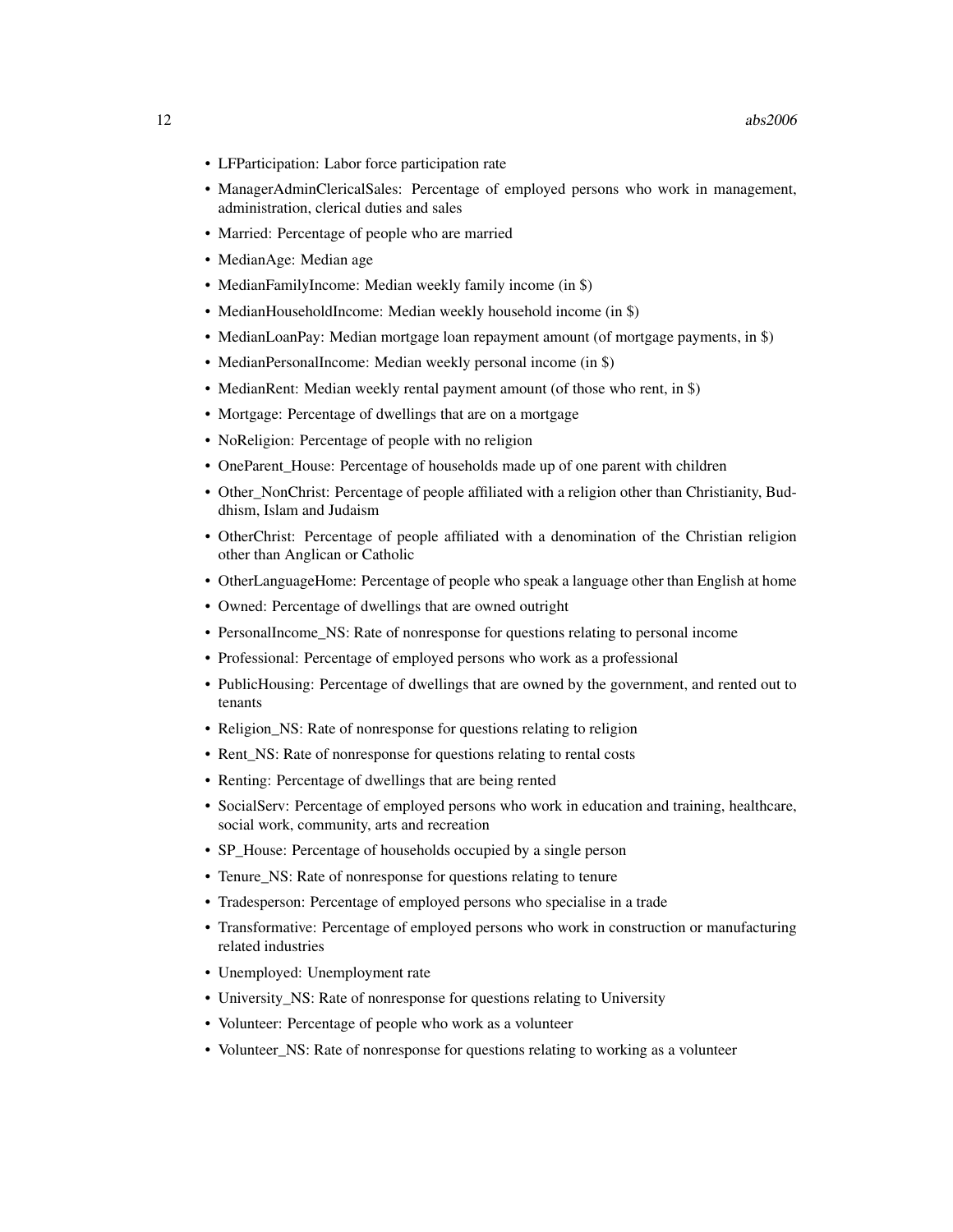- LFParticipation: Labor force participation rate
- ManagerAdminClericalSales: Percentage of employed persons who work in management, administration, clerical duties and sales
- Married: Percentage of people who are married
- MedianAge: Median age
- MedianFamilyIncome: Median weekly family income (in \$)
- MedianHouseholdIncome: Median weekly household income (in \$)
- MedianLoanPay: Median mortgage loan repayment amount (of mortgage payments, in \$)
- MedianPersonalIncome: Median weekly personal income (in \$)
- MedianRent: Median weekly rental payment amount (of those who rent, in \$)
- Mortgage: Percentage of dwellings that are on a mortgage
- NoReligion: Percentage of people with no religion
- OneParent\_House: Percentage of households made up of one parent with children
- Other NonChrist: Percentage of people affiliated with a religion other than Christianity, Buddhism, Islam and Judaism
- OtherChrist: Percentage of people affiliated with a denomination of the Christian religion other than Anglican or Catholic
- OtherLanguageHome: Percentage of people who speak a language other than English at home
- Owned: Percentage of dwellings that are owned outright
- PersonalIncome\_NS: Rate of nonresponse for questions relating to personal income
- Professional: Percentage of employed persons who work as a professional
- PublicHousing: Percentage of dwellings that are owned by the government, and rented out to tenants
- Religion NS: Rate of nonresponse for questions relating to religion
- Rent NS: Rate of nonresponse for questions relating to rental costs
- Renting: Percentage of dwellings that are being rented
- SocialServ: Percentage of employed persons who work in education and training, healthcare, social work, community, arts and recreation
- SP House: Percentage of households occupied by a single person
- Tenure NS: Rate of nonresponse for questions relating to tenure
- Tradesperson: Percentage of employed persons who specialise in a trade
- Transformative: Percentage of employed persons who work in construction or manufacturing related industries
- Unemployed: Unemployment rate
- University\_NS: Rate of nonresponse for questions relating to University
- Volunteer: Percentage of people who work as a volunteer
- Volunteer\_NS: Rate of nonresponse for questions relating to working as a volunteer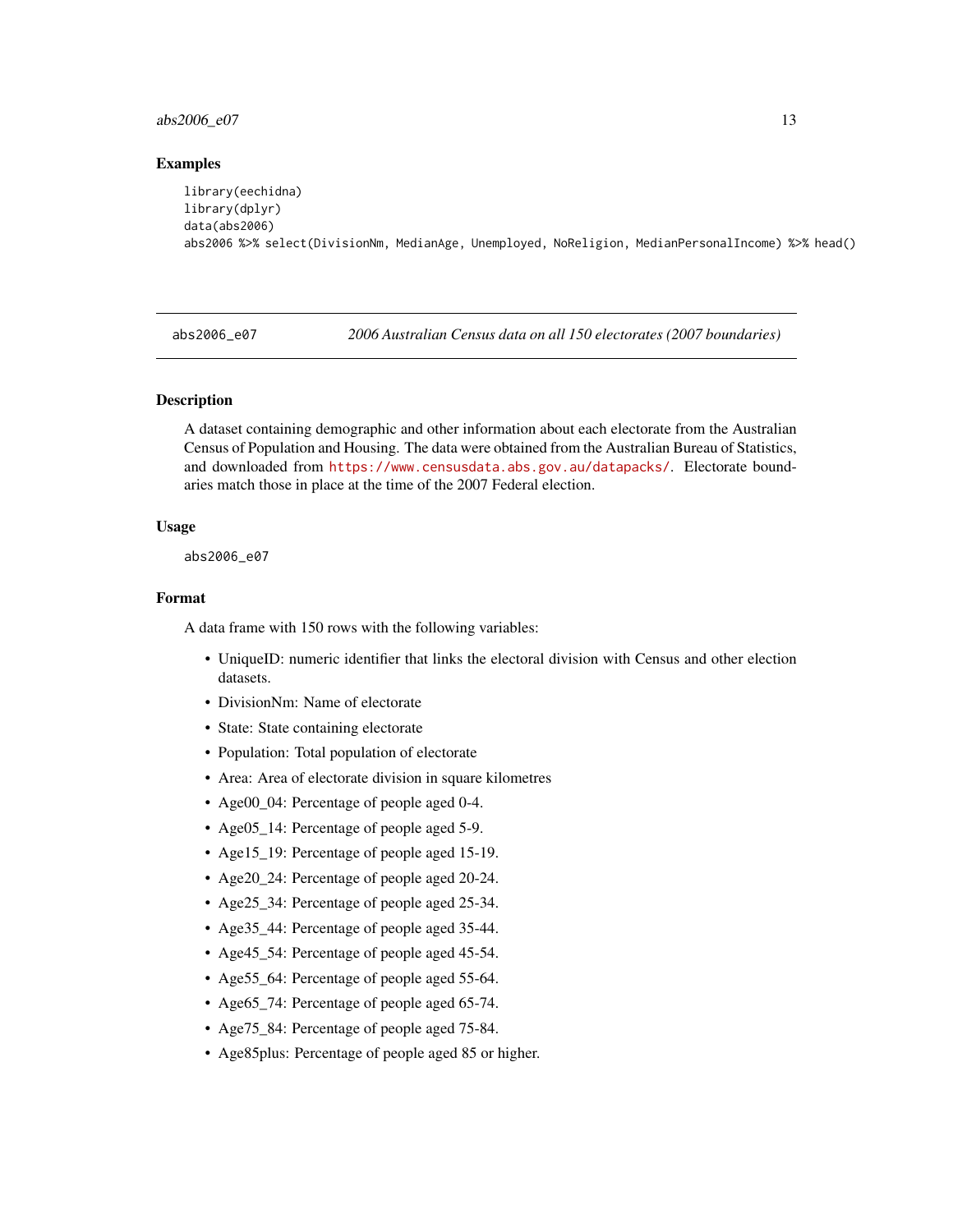## <span id="page-12-0"></span> $abs2006_e07$  13

#### Examples

```
library(eechidna)
library(dplyr)
data(abs2006)
abs2006 %>% select(DivisionNm, MedianAge, Unemployed, NoReligion, MedianPersonalIncome) %>% head()
```
abs2006\_e07 *2006 Australian Census data on all 150 electorates (2007 boundaries)*

### Description

A dataset containing demographic and other information about each electorate from the Australian Census of Population and Housing. The data were obtained from the Australian Bureau of Statistics, and downloaded from <https://www.censusdata.abs.gov.au/datapacks/>. Electorate boundaries match those in place at the time of the 2007 Federal election.

#### Usage

abs2006\_e07

# Format

- UniqueID: numeric identifier that links the electoral division with Census and other election datasets.
- DivisionNm: Name of electorate
- State: State containing electorate
- Population: Total population of electorate
- Area: Area of electorate division in square kilometres
- Age00\_04: Percentage of people aged 0-4.
- Age05\_14: Percentage of people aged 5-9.
- Age15\_19: Percentage of people aged 15-19.
- Age20\_24: Percentage of people aged 20-24.
- Age25\_34: Percentage of people aged 25-34.
- Age35\_44: Percentage of people aged 35-44.
- Age45\_54: Percentage of people aged 45-54.
- Age55\_64: Percentage of people aged 55-64.
- Age65\_74: Percentage of people aged 65-74.
- Age75\_84: Percentage of people aged 75-84.
- Age85plus: Percentage of people aged 85 or higher.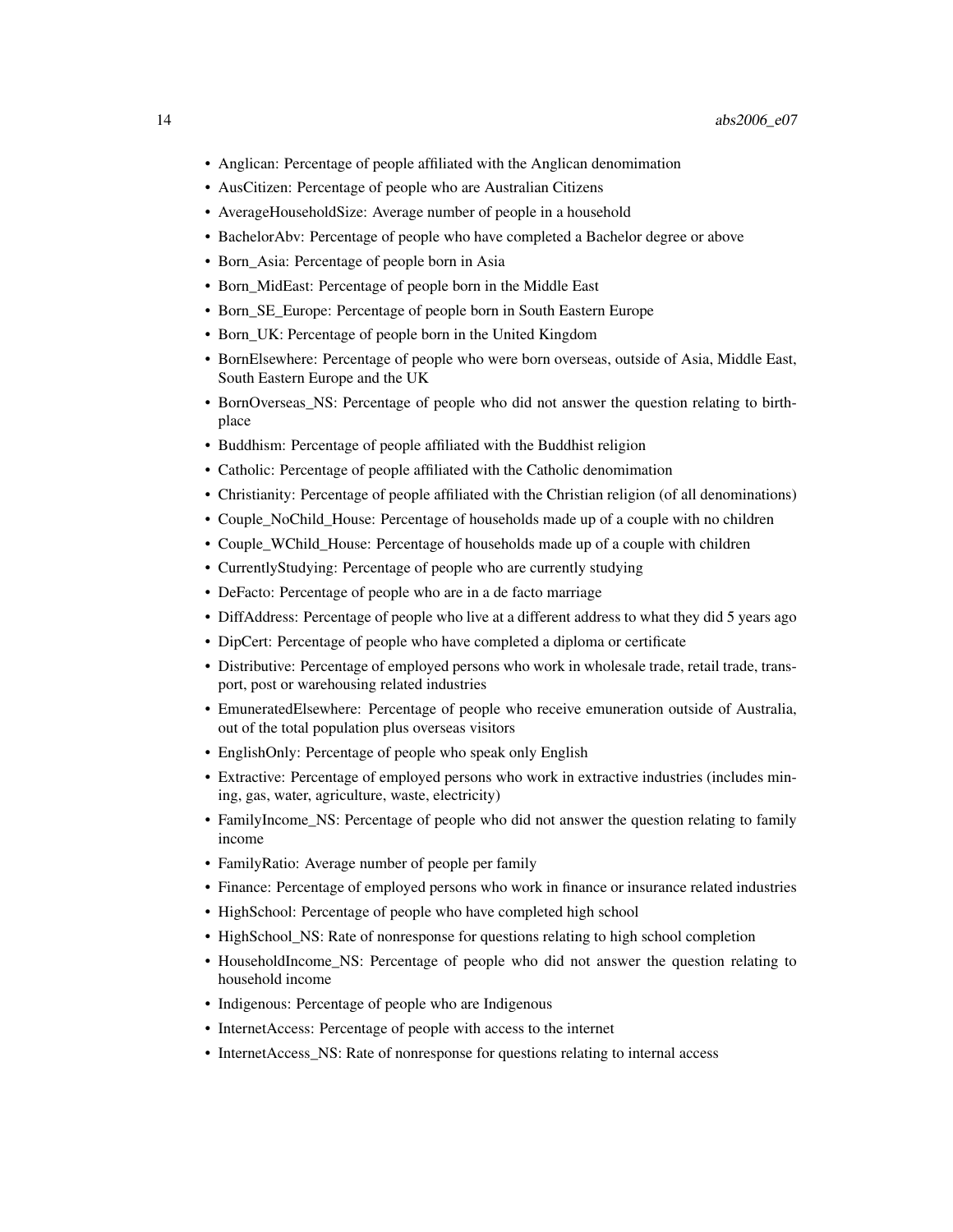- Anglican: Percentage of people affiliated with the Anglican denomimation
- AusCitizen: Percentage of people who are Australian Citizens
- AverageHouseholdSize: Average number of people in a household
- BachelorAbv: Percentage of people who have completed a Bachelor degree or above
- Born Asia: Percentage of people born in Asia
- Born MidEast: Percentage of people born in the Middle East
- Born SE Europe: Percentage of people born in South Eastern Europe
- Born\_UK: Percentage of people born in the United Kingdom
- BornElsewhere: Percentage of people who were born overseas, outside of Asia, Middle East, South Eastern Europe and the UK
- BornOverseas\_NS: Percentage of people who did not answer the question relating to birthplace
- Buddhism: Percentage of people affiliated with the Buddhist religion
- Catholic: Percentage of people affiliated with the Catholic denomimation
- Christianity: Percentage of people affiliated with the Christian religion (of all denominations)
- Couple\_NoChild\_House: Percentage of households made up of a couple with no children
- Couple WChild House: Percentage of households made up of a couple with children
- CurrentlyStudying: Percentage of people who are currently studying
- DeFacto: Percentage of people who are in a de facto marriage
- DiffAddress: Percentage of people who live at a different address to what they did 5 years ago
- DipCert: Percentage of people who have completed a diploma or certificate
- Distributive: Percentage of employed persons who work in wholesale trade, retail trade, transport, post or warehousing related industries
- EmuneratedElsewhere: Percentage of people who receive emuneration outside of Australia, out of the total population plus overseas visitors
- EnglishOnly: Percentage of people who speak only English
- Extractive: Percentage of employed persons who work in extractive industries (includes mining, gas, water, agriculture, waste, electricity)
- FamilyIncome\_NS: Percentage of people who did not answer the question relating to family income
- FamilyRatio: Average number of people per family
- Finance: Percentage of employed persons who work in finance or insurance related industries
- HighSchool: Percentage of people who have completed high school
- HighSchool NS: Rate of nonresponse for questions relating to high school completion
- HouseholdIncome NS: Percentage of people who did not answer the question relating to household income
- Indigenous: Percentage of people who are Indigenous
- InternetAccess: Percentage of people with access to the internet
- InternetAccess\_NS: Rate of nonresponse for questions relating to internal access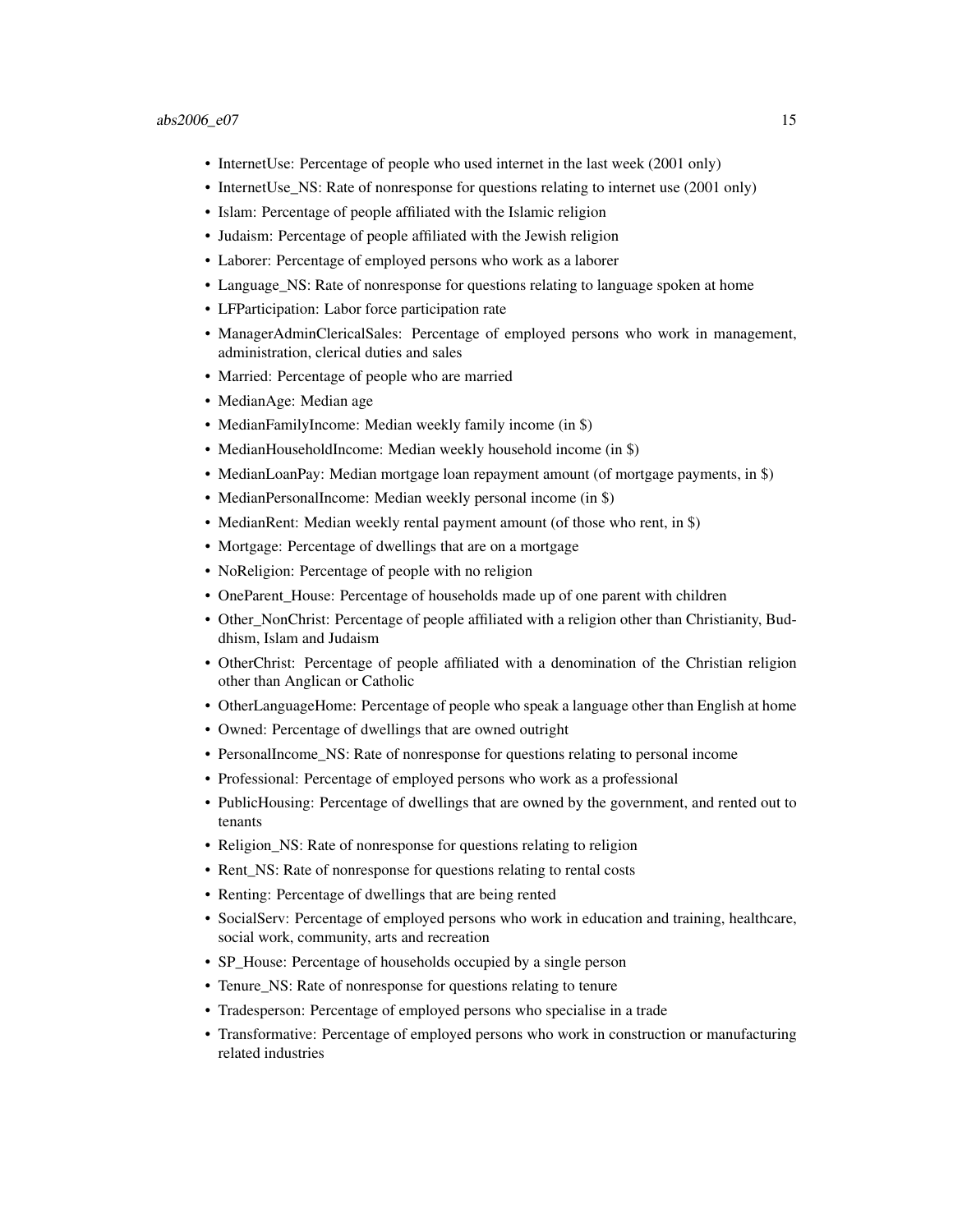- InternetUse: Percentage of people who used internet in the last week (2001 only)
- InternetUse\_NS: Rate of nonresponse for questions relating to internet use (2001 only)
- Islam: Percentage of people affiliated with the Islamic religion
- Judaism: Percentage of people affiliated with the Jewish religion
- Laborer: Percentage of employed persons who work as a laborer
- Language\_NS: Rate of nonresponse for questions relating to language spoken at home
- LFParticipation: Labor force participation rate
- ManagerAdminClericalSales: Percentage of employed persons who work in management, administration, clerical duties and sales
- Married: Percentage of people who are married
- MedianAge: Median age
- MedianFamilyIncome: Median weekly family income (in \$)
- MedianHouseholdIncome: Median weekly household income (in \$)
- MedianLoanPay: Median mortgage loan repayment amount (of mortgage payments, in \$)
- MedianPersonalIncome: Median weekly personal income (in \$)
- MedianRent: Median weekly rental payment amount (of those who rent, in \$)
- Mortgage: Percentage of dwellings that are on a mortgage
- NoReligion: Percentage of people with no religion
- OneParent\_House: Percentage of households made up of one parent with children
- Other\_NonChrist: Percentage of people affiliated with a religion other than Christianity, Buddhism, Islam and Judaism
- OtherChrist: Percentage of people affiliated with a denomination of the Christian religion other than Anglican or Catholic
- OtherLanguageHome: Percentage of people who speak a language other than English at home
- Owned: Percentage of dwellings that are owned outright
- PersonalIncome NS: Rate of nonresponse for questions relating to personal income
- Professional: Percentage of employed persons who work as a professional
- PublicHousing: Percentage of dwellings that are owned by the government, and rented out to tenants
- Religion\_NS: Rate of nonresponse for questions relating to religion
- Rent NS: Rate of nonresponse for questions relating to rental costs
- Renting: Percentage of dwellings that are being rented
- SocialServ: Percentage of employed persons who work in education and training, healthcare, social work, community, arts and recreation
- SP\_House: Percentage of households occupied by a single person
- Tenure NS: Rate of nonresponse for questions relating to tenure
- Tradesperson: Percentage of employed persons who specialise in a trade
- Transformative: Percentage of employed persons who work in construction or manufacturing related industries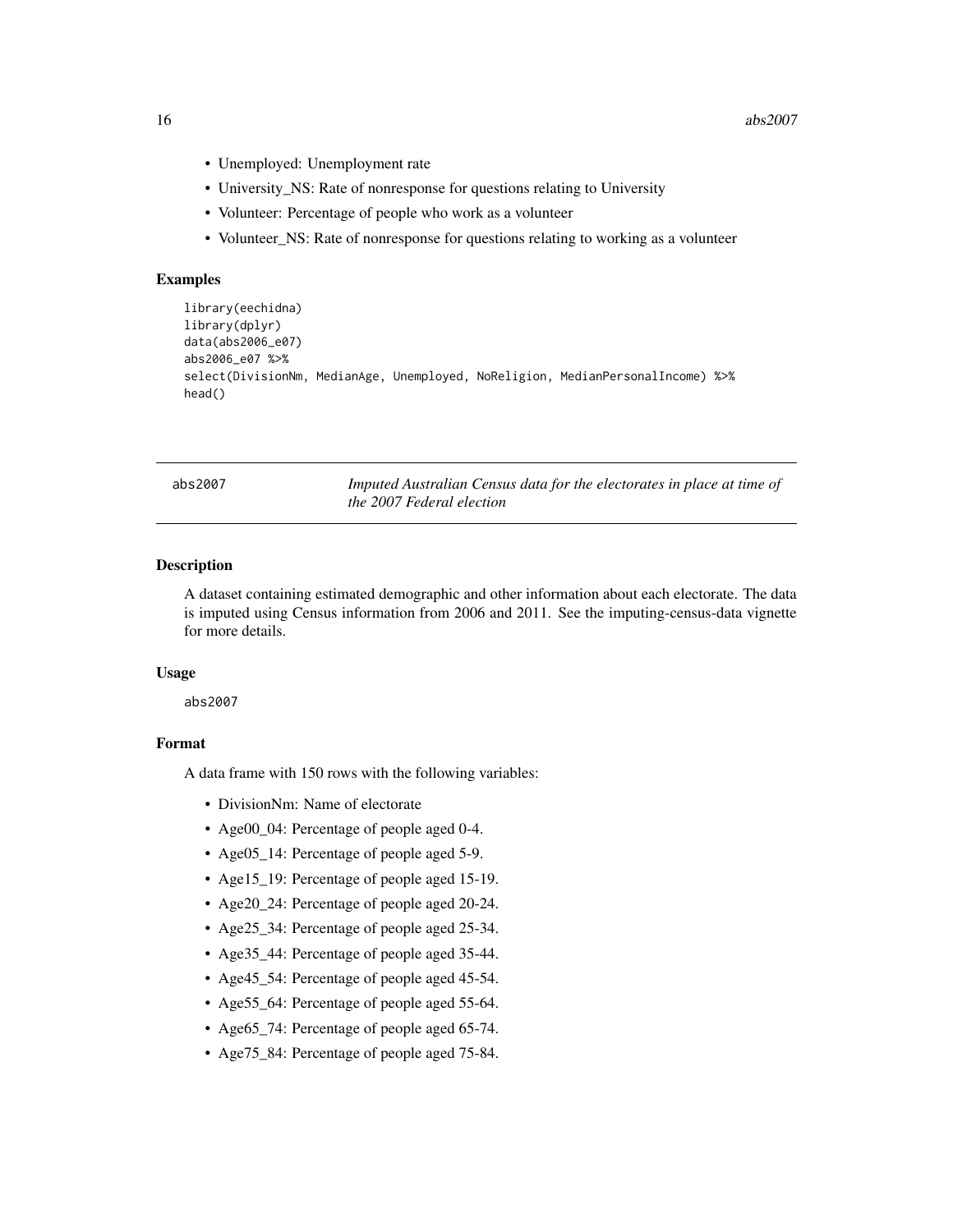- <span id="page-15-0"></span>• Unemployed: Unemployment rate
- University\_NS: Rate of nonresponse for questions relating to University
- Volunteer: Percentage of people who work as a volunteer
- Volunteer\_NS: Rate of nonresponse for questions relating to working as a volunteer

#### Examples

```
library(eechidna)
library(dplyr)
data(abs2006_e07)
abs2006_e07 %>%
select(DivisionNm, MedianAge, Unemployed, NoReligion, MedianPersonalIncome) %>%
head()
```
abs2007 *Imputed Australian Census data for the electorates in place at time of the 2007 Federal election*

# Description

A dataset containing estimated demographic and other information about each electorate. The data is imputed using Census information from 2006 and 2011. See the imputing-census-data vignette for more details.

#### Usage

abs2007

# Format

- DivisionNm: Name of electorate
- Age00\_04: Percentage of people aged 0-4.
- Age05\_14: Percentage of people aged 5-9.
- Age15\_19: Percentage of people aged 15-19.
- Age20\_24: Percentage of people aged 20-24.
- Age25\_34: Percentage of people aged 25-34.
- Age35\_44: Percentage of people aged 35-44.
- Age45\_54: Percentage of people aged 45-54.
- Age55\_64: Percentage of people aged 55-64.
- Age65\_74: Percentage of people aged 65-74.
- Age75\_84: Percentage of people aged 75-84.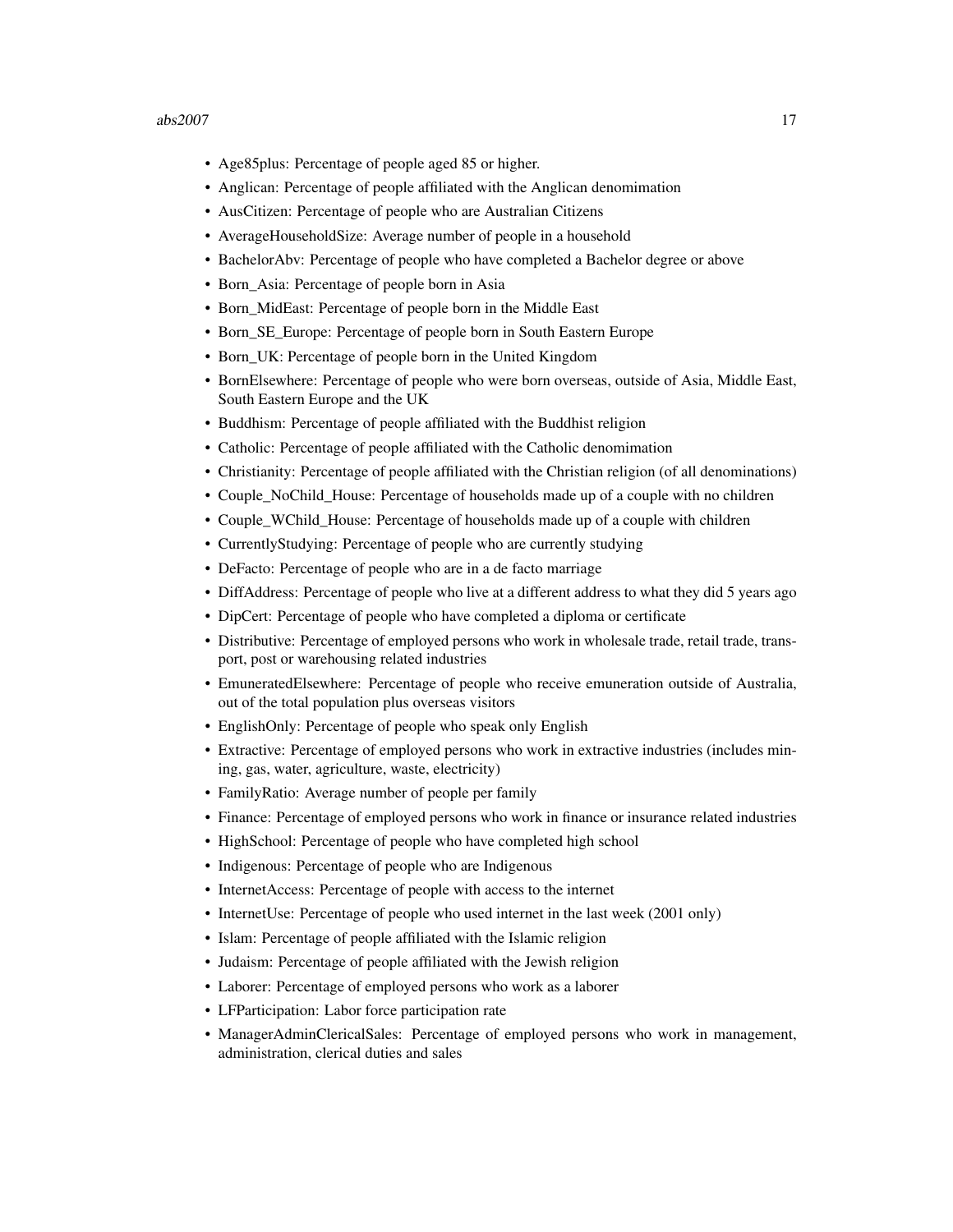- Age85plus: Percentage of people aged 85 or higher.
- Anglican: Percentage of people affiliated with the Anglican denomimation
- AusCitizen: Percentage of people who are Australian Citizens
- AverageHouseholdSize: Average number of people in a household
- BachelorAbv: Percentage of people who have completed a Bachelor degree or above
- Born\_Asia: Percentage of people born in Asia
- Born\_MidEast: Percentage of people born in the Middle East
- Born\_SE\_Europe: Percentage of people born in South Eastern Europe
- Born UK: Percentage of people born in the United Kingdom
- BornElsewhere: Percentage of people who were born overseas, outside of Asia, Middle East, South Eastern Europe and the UK
- Buddhism: Percentage of people affiliated with the Buddhist religion
- Catholic: Percentage of people affiliated with the Catholic denomimation
- Christianity: Percentage of people affiliated with the Christian religion (of all denominations)
- Couple\_NoChild\_House: Percentage of households made up of a couple with no children
- Couple\_WChild\_House: Percentage of households made up of a couple with children
- CurrentlyStudying: Percentage of people who are currently studying
- DeFacto: Percentage of people who are in a de facto marriage
- DiffAddress: Percentage of people who live at a different address to what they did 5 years ago
- DipCert: Percentage of people who have completed a diploma or certificate
- Distributive: Percentage of employed persons who work in wholesale trade, retail trade, transport, post or warehousing related industries
- EmuneratedElsewhere: Percentage of people who receive emuneration outside of Australia, out of the total population plus overseas visitors
- EnglishOnly: Percentage of people who speak only English
- Extractive: Percentage of employed persons who work in extractive industries (includes mining, gas, water, agriculture, waste, electricity)
- FamilyRatio: Average number of people per family
- Finance: Percentage of employed persons who work in finance or insurance related industries
- HighSchool: Percentage of people who have completed high school
- Indigenous: Percentage of people who are Indigenous
- InternetAccess: Percentage of people with access to the internet
- InternetUse: Percentage of people who used internet in the last week (2001 only)
- Islam: Percentage of people affiliated with the Islamic religion
- Judaism: Percentage of people affiliated with the Jewish religion
- Laborer: Percentage of employed persons who work as a laborer
- LFParticipation: Labor force participation rate
- ManagerAdminClericalSales: Percentage of employed persons who work in management, administration, clerical duties and sales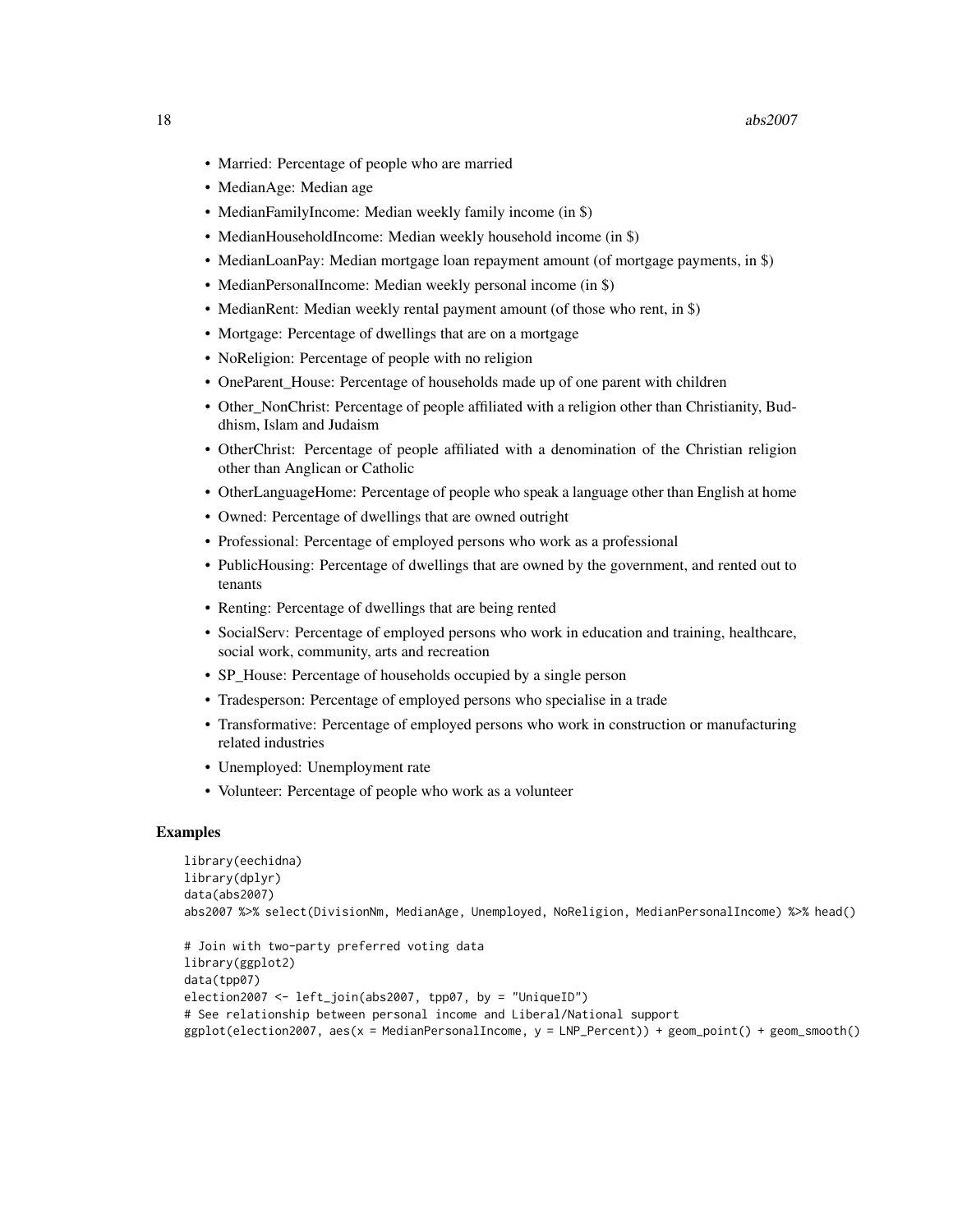- Married: Percentage of people who are married
- MedianAge: Median age
- MedianFamilyIncome: Median weekly family income (in \$)
- MedianHouseholdIncome: Median weekly household income (in \$)
- MedianLoanPay: Median mortgage loan repayment amount (of mortgage payments, in \$)
- MedianPersonalIncome: Median weekly personal income (in \$)
- MedianRent: Median weekly rental payment amount (of those who rent, in \$)
- Mortgage: Percentage of dwellings that are on a mortgage
- NoReligion: Percentage of people with no religion
- OneParent House: Percentage of households made up of one parent with children
- Other NonChrist: Percentage of people affiliated with a religion other than Christianity, Buddhism, Islam and Judaism
- OtherChrist: Percentage of people affiliated with a denomination of the Christian religion other than Anglican or Catholic
- OtherLanguageHome: Percentage of people who speak a language other than English at home
- Owned: Percentage of dwellings that are owned outright
- Professional: Percentage of employed persons who work as a professional
- PublicHousing: Percentage of dwellings that are owned by the government, and rented out to tenants
- Renting: Percentage of dwellings that are being rented
- SocialServ: Percentage of employed persons who work in education and training, healthcare, social work, community, arts and recreation
- SP\_House: Percentage of households occupied by a single person
- Tradesperson: Percentage of employed persons who specialise in a trade
- Transformative: Percentage of employed persons who work in construction or manufacturing related industries
- Unemployed: Unemployment rate
- Volunteer: Percentage of people who work as a volunteer

```
library(eechidna)
library(dplyr)
data(abs2007)
abs2007 %>% select(DivisionNm, MedianAge, Unemployed, NoReligion, MedianPersonalIncome) %>% head()
```

```
# Join with two-party preferred voting data
library(ggplot2)
data(tpp07)
election2007 <- left_join(abs2007, tpp07, by = "UniqueID")
# See relationship between personal income and Liberal/National support
ggplot(election2007, aes(x = MedianPersonalIncome, y = LNP_Percent)) + geom_point() + geom_smooth()
```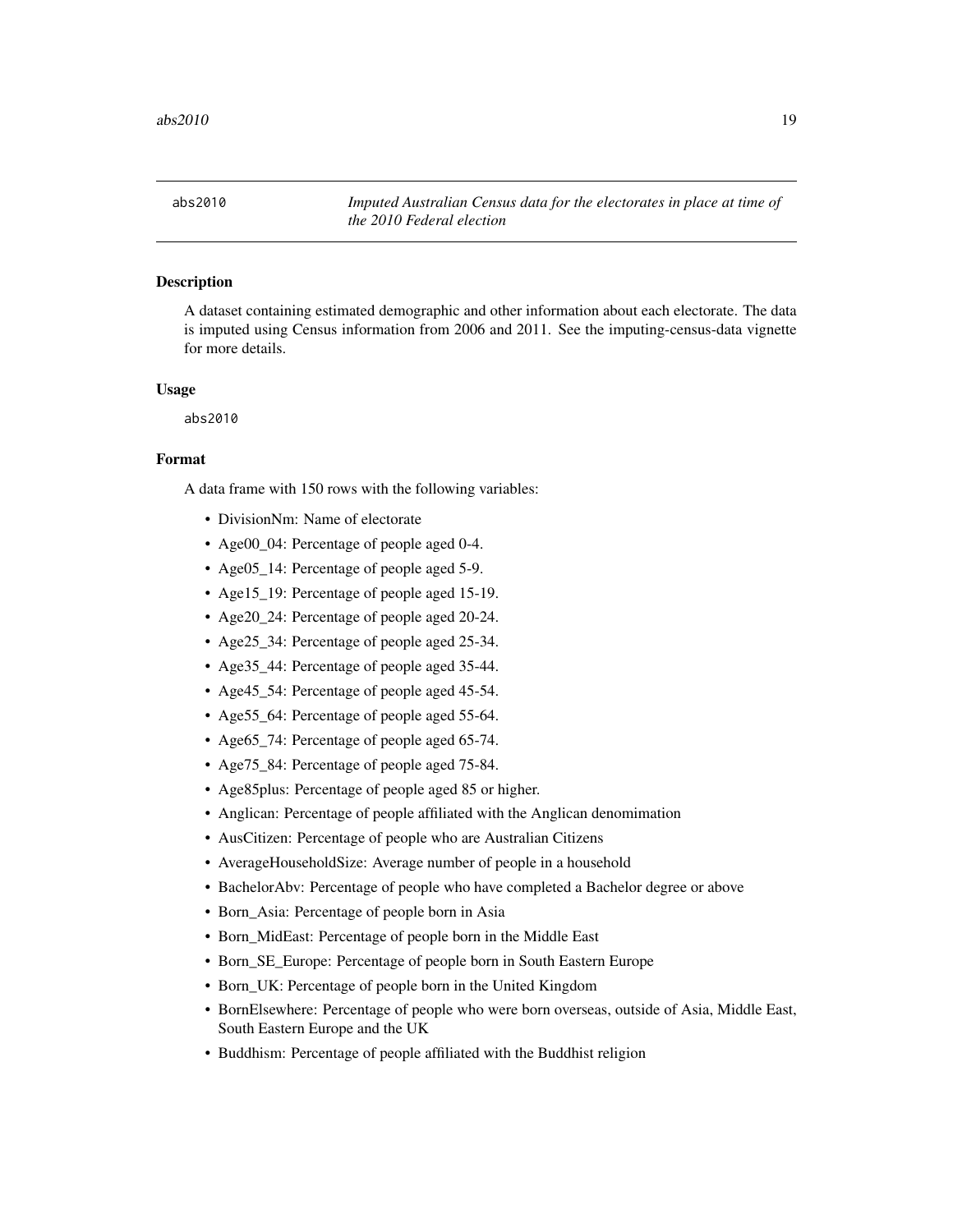<span id="page-18-0"></span>abs2010 *Imputed Australian Census data for the electorates in place at time of the 2010 Federal election*

# **Description**

A dataset containing estimated demographic and other information about each electorate. The data is imputed using Census information from 2006 and 2011. See the imputing-census-data vignette for more details.

#### Usage

abs2010

#### Format

- DivisionNm: Name of electorate
- Age00\_04: Percentage of people aged 0-4.
- Age05\_14: Percentage of people aged 5-9.
- Age15\_19: Percentage of people aged 15-19.
- Age20\_24: Percentage of people aged 20-24.
- Age25\_34: Percentage of people aged 25-34.
- Age35\_44: Percentage of people aged 35-44.
- Age45\_54: Percentage of people aged 45-54.
- Age55\_64: Percentage of people aged 55-64.
- Age65\_74: Percentage of people aged 65-74.
- Age75\_84: Percentage of people aged 75-84.
- Age85plus: Percentage of people aged 85 or higher.
- Anglican: Percentage of people affiliated with the Anglican denomimation
- AusCitizen: Percentage of people who are Australian Citizens
- AverageHouseholdSize: Average number of people in a household
- BachelorAbv: Percentage of people who have completed a Bachelor degree or above
- Born\_Asia: Percentage of people born in Asia
- Born\_MidEast: Percentage of people born in the Middle East
- Born SE Europe: Percentage of people born in South Eastern Europe
- Born UK: Percentage of people born in the United Kingdom
- BornElsewhere: Percentage of people who were born overseas, outside of Asia, Middle East, South Eastern Europe and the UK
- Buddhism: Percentage of people affiliated with the Buddhist religion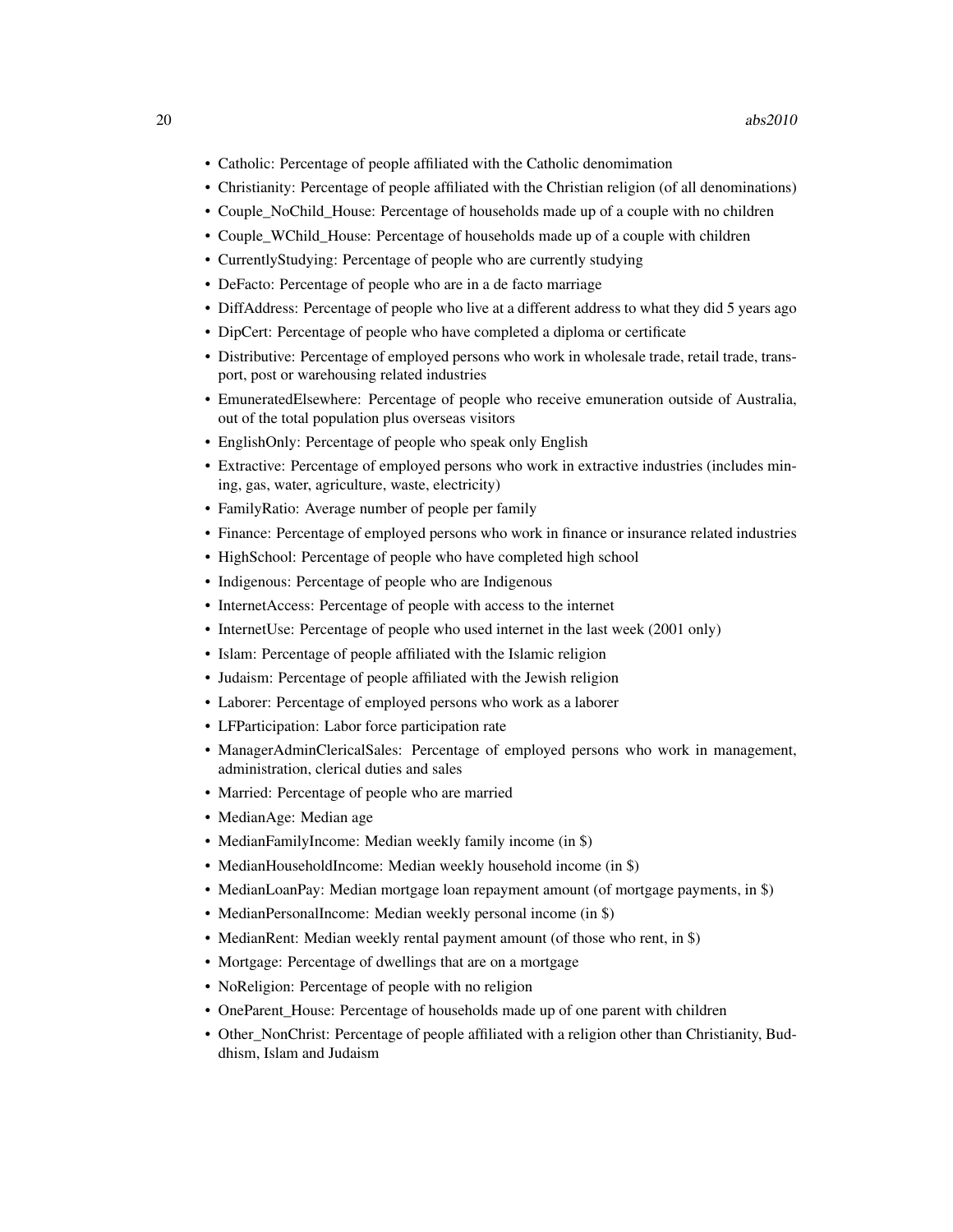- Catholic: Percentage of people affiliated with the Catholic denomimation
- Christianity: Percentage of people affiliated with the Christian religion (of all denominations)
- Couple\_NoChild\_House: Percentage of households made up of a couple with no children
- Couple\_WChild\_House: Percentage of households made up of a couple with children
- CurrentlyStudying: Percentage of people who are currently studying
- DeFacto: Percentage of people who are in a de facto marriage
- DiffAddress: Percentage of people who live at a different address to what they did 5 years ago
- DipCert: Percentage of people who have completed a diploma or certificate
- Distributive: Percentage of employed persons who work in wholesale trade, retail trade, transport, post or warehousing related industries
- EmuneratedElsewhere: Percentage of people who receive emuneration outside of Australia, out of the total population plus overseas visitors
- EnglishOnly: Percentage of people who speak only English
- Extractive: Percentage of employed persons who work in extractive industries (includes mining, gas, water, agriculture, waste, electricity)
- FamilyRatio: Average number of people per family
- Finance: Percentage of employed persons who work in finance or insurance related industries
- HighSchool: Percentage of people who have completed high school
- Indigenous: Percentage of people who are Indigenous
- InternetAccess: Percentage of people with access to the internet
- InternetUse: Percentage of people who used internet in the last week (2001 only)
- Islam: Percentage of people affiliated with the Islamic religion
- Judaism: Percentage of people affiliated with the Jewish religion
- Laborer: Percentage of employed persons who work as a laborer
- LFParticipation: Labor force participation rate
- ManagerAdminClericalSales: Percentage of employed persons who work in management, administration, clerical duties and sales
- Married: Percentage of people who are married
- MedianAge: Median age
- MedianFamilyIncome: Median weekly family income (in \$)
- MedianHouseholdIncome: Median weekly household income (in \$)
- MedianLoanPay: Median mortgage loan repayment amount (of mortgage payments, in \$)
- MedianPersonalIncome: Median weekly personal income (in \$)
- MedianRent: Median weekly rental payment amount (of those who rent, in \$)
- Mortgage: Percentage of dwellings that are on a mortgage
- NoReligion: Percentage of people with no religion
- OneParent\_House: Percentage of households made up of one parent with children
- Other\_NonChrist: Percentage of people affiliated with a religion other than Christianity, Buddhism, Islam and Judaism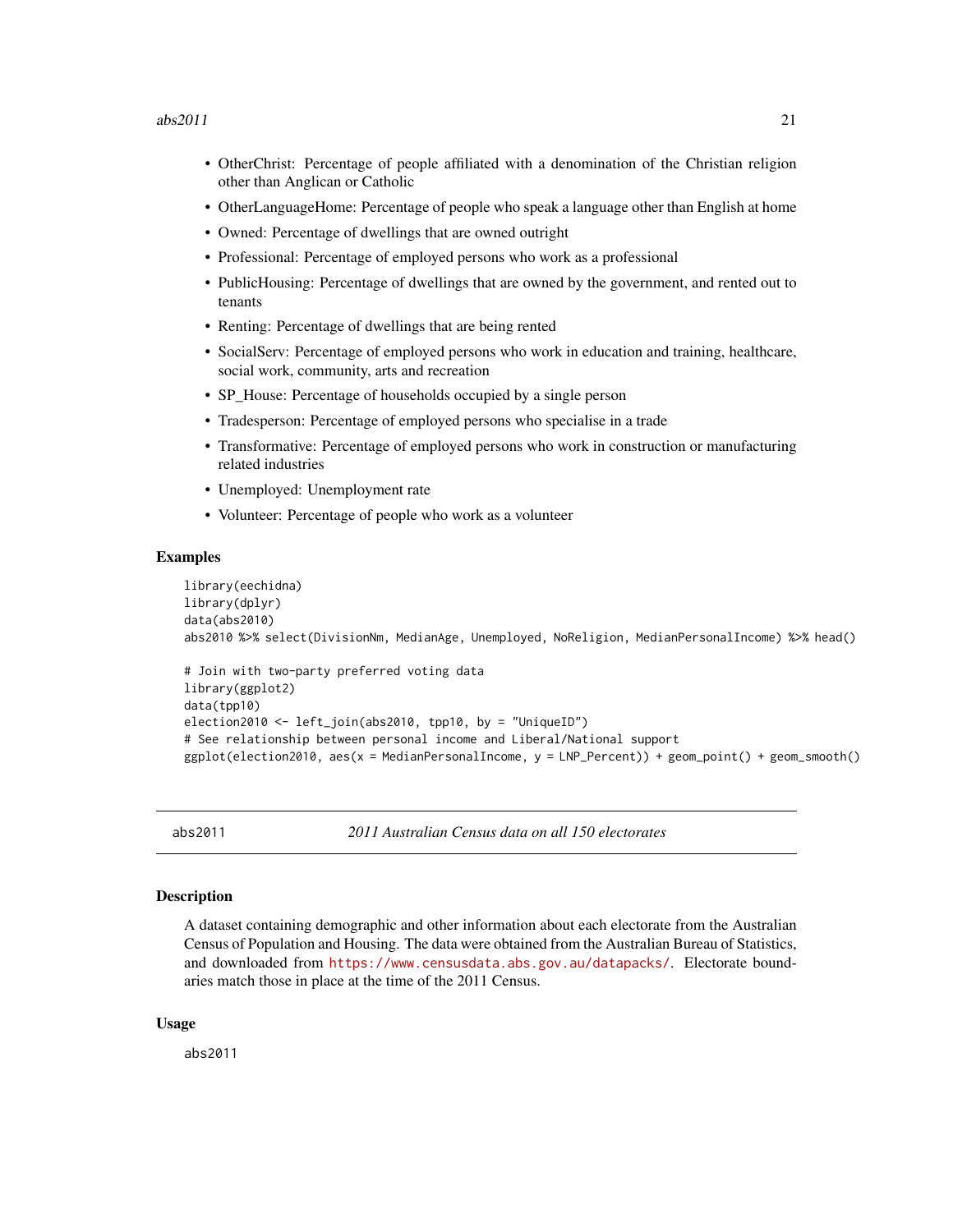#### <span id="page-20-0"></span> $abs2011$  21

- OtherChrist: Percentage of people affiliated with a denomination of the Christian religion other than Anglican or Catholic
- OtherLanguageHome: Percentage of people who speak a language other than English at home
- Owned: Percentage of dwellings that are owned outright
- Professional: Percentage of employed persons who work as a professional
- PublicHousing: Percentage of dwellings that are owned by the government, and rented out to tenants
- Renting: Percentage of dwellings that are being rented
- SocialServ: Percentage of employed persons who work in education and training, healthcare, social work, community, arts and recreation
- SP House: Percentage of households occupied by a single person
- Tradesperson: Percentage of employed persons who specialise in a trade
- Transformative: Percentage of employed persons who work in construction or manufacturing related industries
- Unemployed: Unemployment rate
- Volunteer: Percentage of people who work as a volunteer

#### Examples

```
library(eechidna)
library(dplyr)
data(abs2010)
abs2010 %>% select(DivisionNm, MedianAge, Unemployed, NoReligion, MedianPersonalIncome) %>% head()
```

```
# Join with two-party preferred voting data
library(ggplot2)
data(tpp10)
election2010 <- left_join(abs2010, tpp10, by = "UniqueID")
# See relationship between personal income and Liberal/National support
ggplot(election2010, aes(x = MedianPersonalIncome, y = LNP_Percent)) + geom_point() + geom_smooth()
```
abs2011 *2011 Australian Census data on all 150 electorates*

# **Description**

A dataset containing demographic and other information about each electorate from the Australian Census of Population and Housing. The data were obtained from the Australian Bureau of Statistics, and downloaded from <https://www.censusdata.abs.gov.au/datapacks/>. Electorate boundaries match those in place at the time of the 2011 Census.

#### Usage

abs2011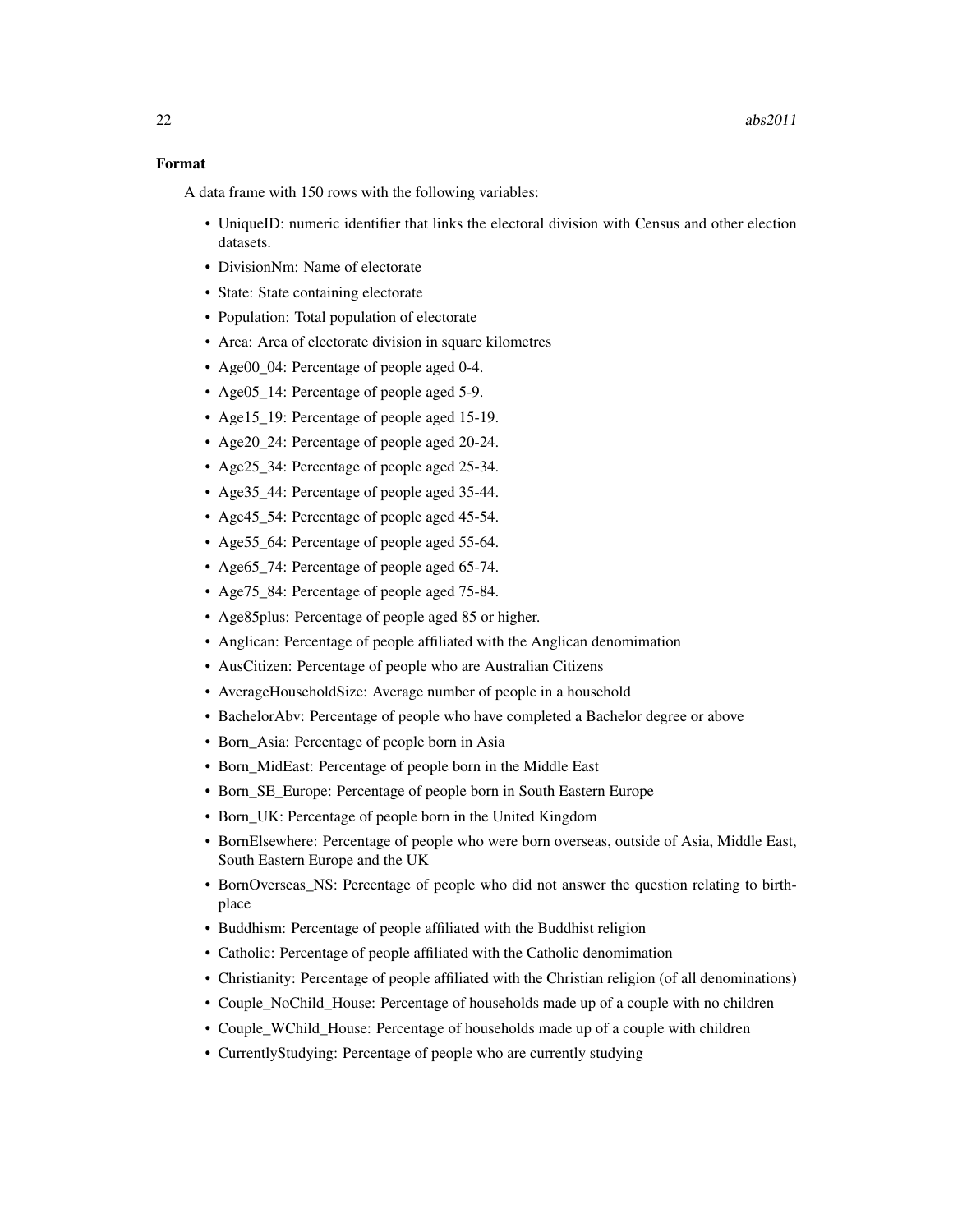### Format

- UniqueID: numeric identifier that links the electoral division with Census and other election datasets.
- DivisionNm: Name of electorate
- State: State containing electorate
- Population: Total population of electorate
- Area: Area of electorate division in square kilometres
- Age00\_04: Percentage of people aged 0-4.
- Age05\_14: Percentage of people aged 5-9.
- Age15\_19: Percentage of people aged 15-19.
- Age20\_24: Percentage of people aged 20-24.
- Age25\_34: Percentage of people aged 25-34.
- Age 35 44: Percentage of people aged 35-44.
- Age45 54: Percentage of people aged 45-54.
- Age 55 64: Percentage of people aged 55-64.
- Age65 74: Percentage of people aged 65-74.
- Age75\_84: Percentage of people aged 75-84.
- Age85plus: Percentage of people aged 85 or higher.
- Anglican: Percentage of people affiliated with the Anglican denomimation
- AusCitizen: Percentage of people who are Australian Citizens
- AverageHouseholdSize: Average number of people in a household
- BachelorAbv: Percentage of people who have completed a Bachelor degree or above
- Born\_Asia: Percentage of people born in Asia
- Born\_MidEast: Percentage of people born in the Middle East
- Born\_SE\_Europe: Percentage of people born in South Eastern Europe
- Born UK: Percentage of people born in the United Kingdom
- BornElsewhere: Percentage of people who were born overseas, outside of Asia, Middle East, South Eastern Europe and the UK
- BornOverseas\_NS: Percentage of people who did not answer the question relating to birthplace
- Buddhism: Percentage of people affiliated with the Buddhist religion
- Catholic: Percentage of people affiliated with the Catholic denomimation
- Christianity: Percentage of people affiliated with the Christian religion (of all denominations)
- Couple\_NoChild\_House: Percentage of households made up of a couple with no children
- Couple\_WChild\_House: Percentage of households made up of a couple with children
- CurrentlyStudying: Percentage of people who are currently studying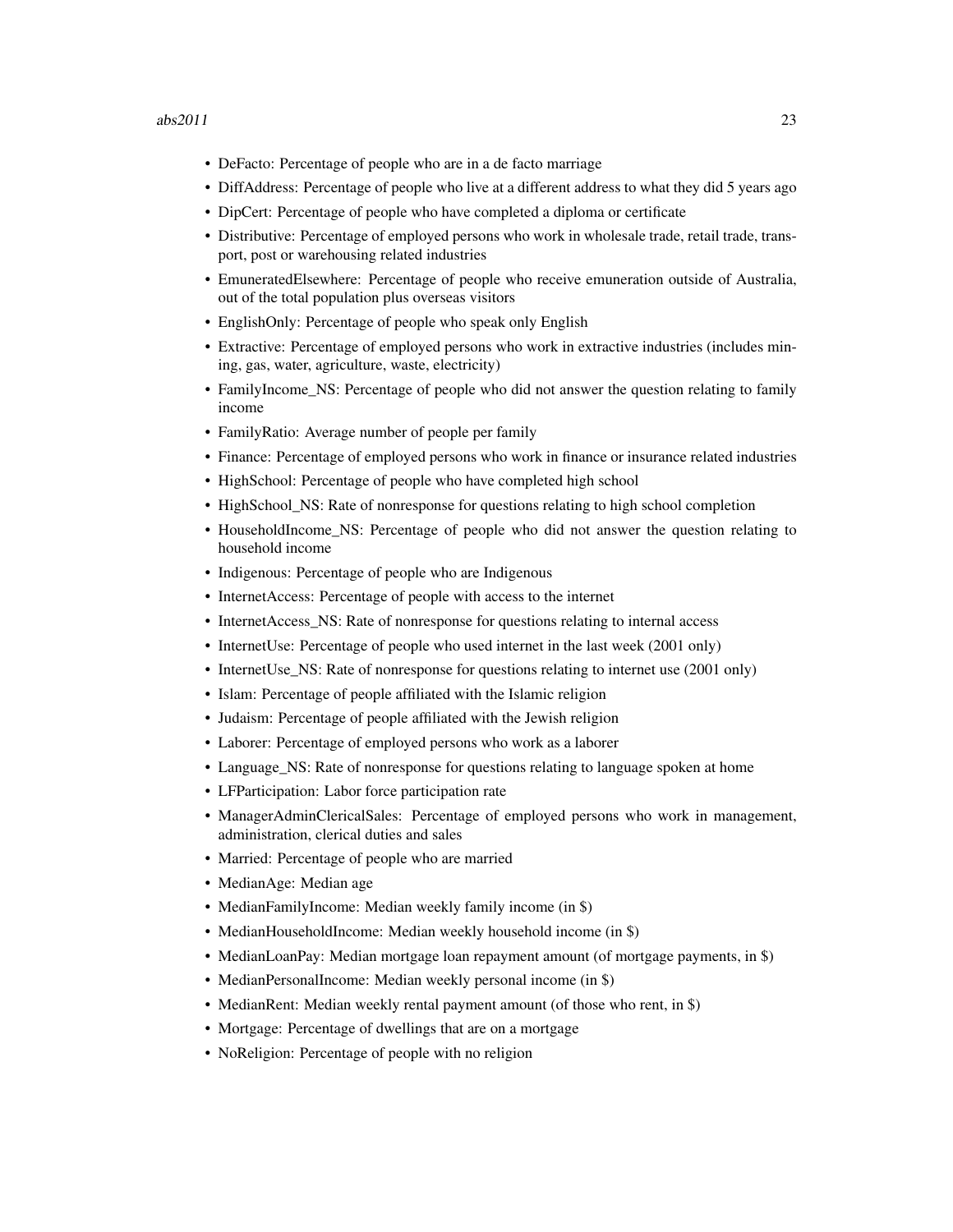- DeFacto: Percentage of people who are in a de facto marriage
- DiffAddress: Percentage of people who live at a different address to what they did 5 years ago
- DipCert: Percentage of people who have completed a diploma or certificate
- Distributive: Percentage of employed persons who work in wholesale trade, retail trade, transport, post or warehousing related industries
- EmuneratedElsewhere: Percentage of people who receive emuneration outside of Australia, out of the total population plus overseas visitors
- EnglishOnly: Percentage of people who speak only English
- Extractive: Percentage of employed persons who work in extractive industries (includes mining, gas, water, agriculture, waste, electricity)
- FamilyIncome NS: Percentage of people who did not answer the question relating to family income
- FamilyRatio: Average number of people per family
- Finance: Percentage of employed persons who work in finance or insurance related industries
- HighSchool: Percentage of people who have completed high school
- HighSchool\_NS: Rate of nonresponse for questions relating to high school completion
- HouseholdIncome NS: Percentage of people who did not answer the question relating to household income
- Indigenous: Percentage of people who are Indigenous
- InternetAccess: Percentage of people with access to the internet
- InternetAccess NS: Rate of nonresponse for questions relating to internal access
- InternetUse: Percentage of people who used internet in the last week (2001 only)
- InternetUse NS: Rate of nonresponse for questions relating to internet use (2001 only)
- Islam: Percentage of people affiliated with the Islamic religion
- Judaism: Percentage of people affiliated with the Jewish religion
- Laborer: Percentage of employed persons who work as a laborer
- Language\_NS: Rate of nonresponse for questions relating to language spoken at home
- LFParticipation: Labor force participation rate
- ManagerAdminClericalSales: Percentage of employed persons who work in management, administration, clerical duties and sales
- Married: Percentage of people who are married
- MedianAge: Median age
- MedianFamilyIncome: Median weekly family income (in \$)
- MedianHouseholdIncome: Median weekly household income (in \$)
- MedianLoanPay: Median mortgage loan repayment amount (of mortgage payments, in \$)
- MedianPersonalIncome: Median weekly personal income (in \$)
- MedianRent: Median weekly rental payment amount (of those who rent, in \$)
- Mortgage: Percentage of dwellings that are on a mortgage
- NoReligion: Percentage of people with no religion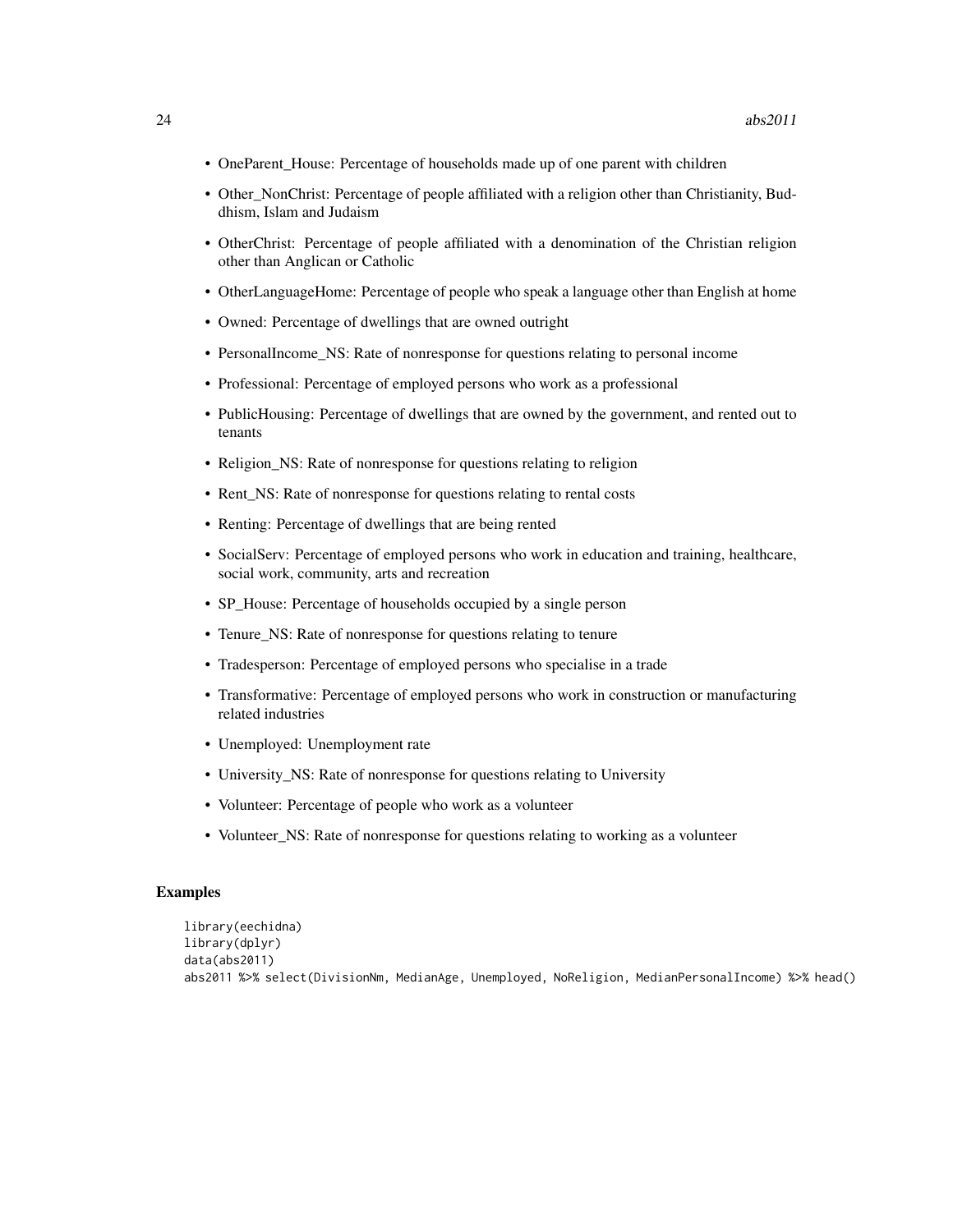- OneParent\_House: Percentage of households made up of one parent with children
- Other\_NonChrist: Percentage of people affiliated with a religion other than Christianity, Buddhism, Islam and Judaism
- OtherChrist: Percentage of people affiliated with a denomination of the Christian religion other than Anglican or Catholic
- OtherLanguageHome: Percentage of people who speak a language other than English at home
- Owned: Percentage of dwellings that are owned outright
- PersonalIncome NS: Rate of nonresponse for questions relating to personal income
- Professional: Percentage of employed persons who work as a professional
- PublicHousing: Percentage of dwellings that are owned by the government, and rented out to tenants
- Religion\_NS: Rate of nonresponse for questions relating to religion
- Rent\_NS: Rate of nonresponse for questions relating to rental costs
- Renting: Percentage of dwellings that are being rented
- SocialServ: Percentage of employed persons who work in education and training, healthcare, social work, community, arts and recreation
- SP\_House: Percentage of households occupied by a single person
- Tenure NS: Rate of nonresponse for questions relating to tenure
- Tradesperson: Percentage of employed persons who specialise in a trade
- Transformative: Percentage of employed persons who work in construction or manufacturing related industries
- Unemployed: Unemployment rate
- University\_NS: Rate of nonresponse for questions relating to University
- Volunteer: Percentage of people who work as a volunteer
- Volunteer\_NS: Rate of nonresponse for questions relating to working as a volunteer

```
library(eechidna)
library(dplyr)
data(abs2011)
abs2011 %>% select(DivisionNm, MedianAge, Unemployed, NoReligion, MedianPersonalIncome) %>% head()
```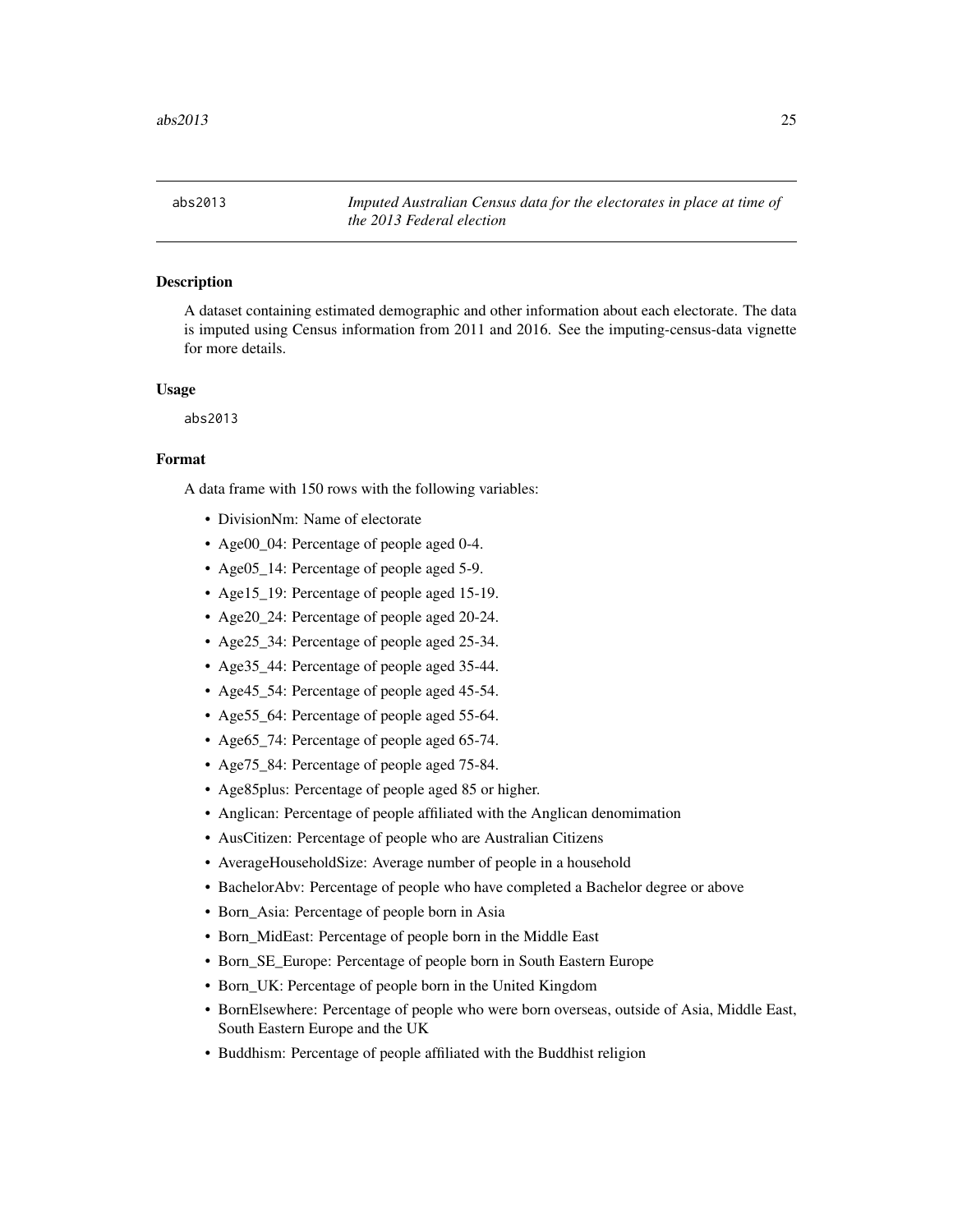<span id="page-24-0"></span>abs2013 *Imputed Australian Census data for the electorates in place at time of the 2013 Federal election*

# **Description**

A dataset containing estimated demographic and other information about each electorate. The data is imputed using Census information from 2011 and 2016. See the imputing-census-data vignette for more details.

#### Usage

abs2013

#### Format

- DivisionNm: Name of electorate
- Age00\_04: Percentage of people aged 0-4.
- Age05\_14: Percentage of people aged 5-9.
- Age15\_19: Percentage of people aged 15-19.
- Age20\_24: Percentage of people aged 20-24.
- Age25\_34: Percentage of people aged 25-34.
- Age35\_44: Percentage of people aged 35-44.
- Age45\_54: Percentage of people aged 45-54.
- Age55\_64: Percentage of people aged 55-64.
- Age65\_74: Percentage of people aged 65-74.
- Age75\_84: Percentage of people aged 75-84.
- Age85plus: Percentage of people aged 85 or higher.
- Anglican: Percentage of people affiliated with the Anglican denomimation
- AusCitizen: Percentage of people who are Australian Citizens
- AverageHouseholdSize: Average number of people in a household
- BachelorAbv: Percentage of people who have completed a Bachelor degree or above
- Born\_Asia: Percentage of people born in Asia
- Born\_MidEast: Percentage of people born in the Middle East
- Born SE Europe: Percentage of people born in South Eastern Europe
- Born UK: Percentage of people born in the United Kingdom
- BornElsewhere: Percentage of people who were born overseas, outside of Asia, Middle East, South Eastern Europe and the UK
- Buddhism: Percentage of people affiliated with the Buddhist religion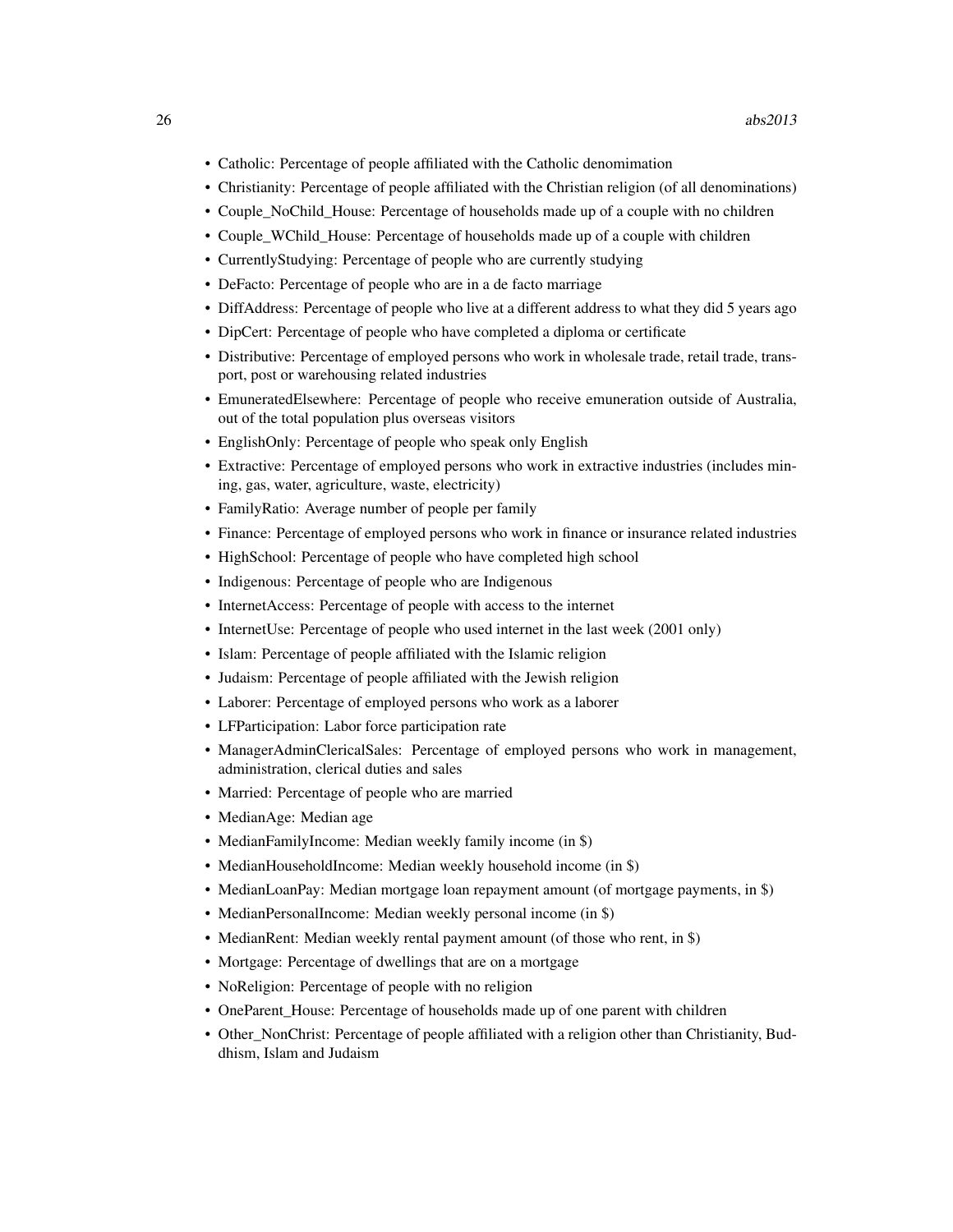- Catholic: Percentage of people affiliated with the Catholic denomimation
- Christianity: Percentage of people affiliated with the Christian religion (of all denominations)
- Couple\_NoChild\_House: Percentage of households made up of a couple with no children
- Couple\_WChild\_House: Percentage of households made up of a couple with children
- CurrentlyStudying: Percentage of people who are currently studying
- DeFacto: Percentage of people who are in a de facto marriage
- DiffAddress: Percentage of people who live at a different address to what they did 5 years ago
- DipCert: Percentage of people who have completed a diploma or certificate
- Distributive: Percentage of employed persons who work in wholesale trade, retail trade, transport, post or warehousing related industries
- EmuneratedElsewhere: Percentage of people who receive emuneration outside of Australia, out of the total population plus overseas visitors
- EnglishOnly: Percentage of people who speak only English
- Extractive: Percentage of employed persons who work in extractive industries (includes mining, gas, water, agriculture, waste, electricity)
- FamilyRatio: Average number of people per family
- Finance: Percentage of employed persons who work in finance or insurance related industries
- HighSchool: Percentage of people who have completed high school
- Indigenous: Percentage of people who are Indigenous
- InternetAccess: Percentage of people with access to the internet
- InternetUse: Percentage of people who used internet in the last week (2001 only)
- Islam: Percentage of people affiliated with the Islamic religion
- Judaism: Percentage of people affiliated with the Jewish religion
- Laborer: Percentage of employed persons who work as a laborer
- LFParticipation: Labor force participation rate
- ManagerAdminClericalSales: Percentage of employed persons who work in management, administration, clerical duties and sales
- Married: Percentage of people who are married
- MedianAge: Median age
- MedianFamilyIncome: Median weekly family income (in \$)
- MedianHouseholdIncome: Median weekly household income (in \$)
- MedianLoanPay: Median mortgage loan repayment amount (of mortgage payments, in \$)
- MedianPersonalIncome: Median weekly personal income (in \$)
- MedianRent: Median weekly rental payment amount (of those who rent, in \$)
- Mortgage: Percentage of dwellings that are on a mortgage
- NoReligion: Percentage of people with no religion
- OneParent\_House: Percentage of households made up of one parent with children
- Other\_NonChrist: Percentage of people affiliated with a religion other than Christianity, Buddhism, Islam and Judaism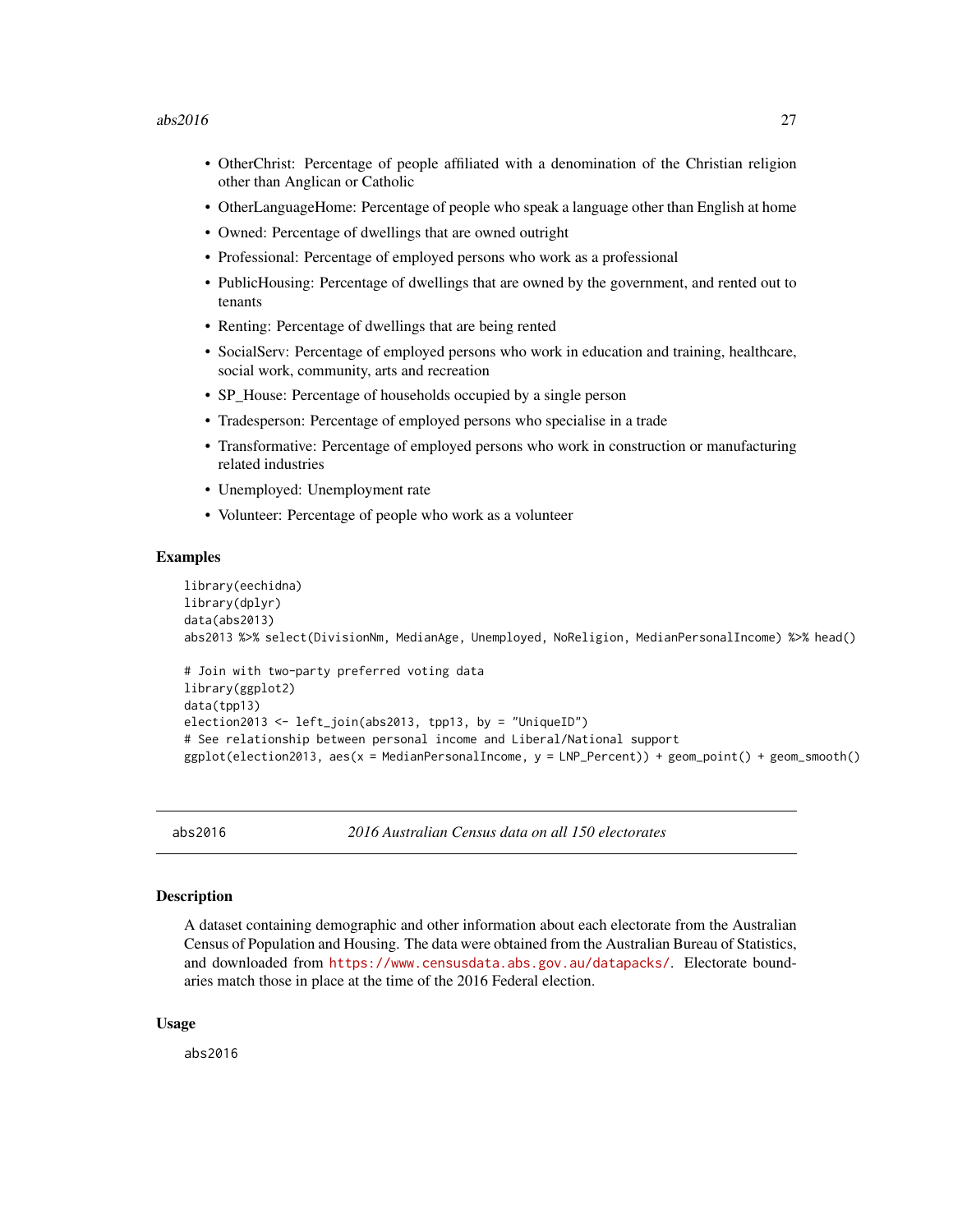#### <span id="page-26-0"></span> $abs2016$  27

- OtherChrist: Percentage of people affiliated with a denomination of the Christian religion other than Anglican or Catholic
- OtherLanguageHome: Percentage of people who speak a language other than English at home
- Owned: Percentage of dwellings that are owned outright
- Professional: Percentage of employed persons who work as a professional
- PublicHousing: Percentage of dwellings that are owned by the government, and rented out to tenants
- Renting: Percentage of dwellings that are being rented
- SocialServ: Percentage of employed persons who work in education and training, healthcare, social work, community, arts and recreation
- SP House: Percentage of households occupied by a single person
- Tradesperson: Percentage of employed persons who specialise in a trade
- Transformative: Percentage of employed persons who work in construction or manufacturing related industries
- Unemployed: Unemployment rate
- Volunteer: Percentage of people who work as a volunteer

#### Examples

```
library(eechidna)
library(dplyr)
data(abs2013)
abs2013 %>% select(DivisionNm, MedianAge, Unemployed, NoReligion, MedianPersonalIncome) %>% head()
```

```
# Join with two-party preferred voting data
library(ggplot2)
data(tpp13)
election2013 <- left_join(abs2013, tpp13, by = "UniqueID")
# See relationship between personal income and Liberal/National support
ggplot(election2013, aes(x = MedianPersonalIncome, y = LNP_Percent)) + geom_point() + geom_smooth()
```
abs2016 *2016 Australian Census data on all 150 electorates*

### **Description**

A dataset containing demographic and other information about each electorate from the Australian Census of Population and Housing. The data were obtained from the Australian Bureau of Statistics, and downloaded from <https://www.censusdata.abs.gov.au/datapacks/>. Electorate boundaries match those in place at the time of the 2016 Federal election.

#### Usage

abs2016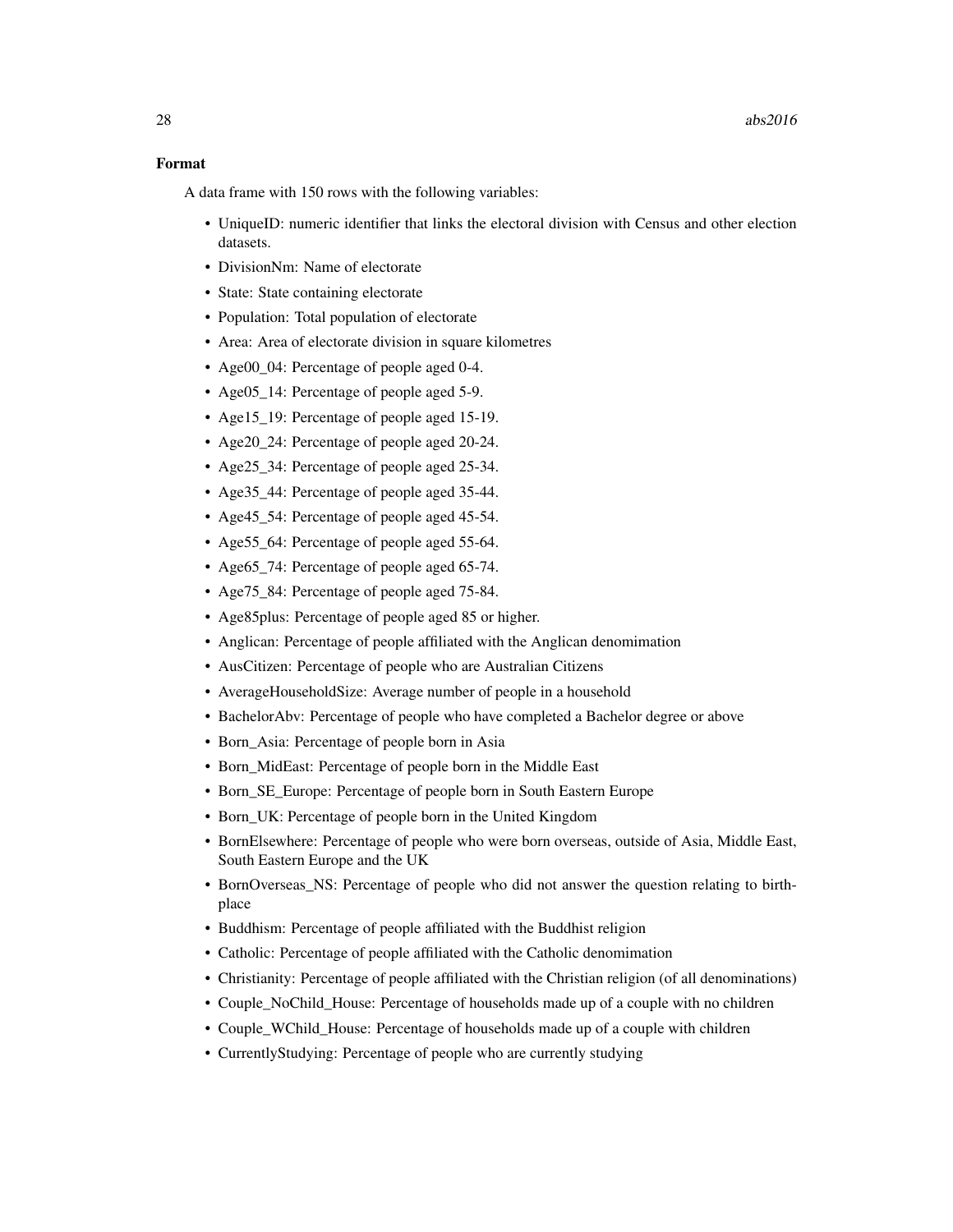# Format

- UniqueID: numeric identifier that links the electoral division with Census and other election datasets.
- DivisionNm: Name of electorate
- State: State containing electorate
- Population: Total population of electorate
- Area: Area of electorate division in square kilometres
- Age00\_04: Percentage of people aged 0-4.
- Age05\_14: Percentage of people aged 5-9.
- Age15\_19: Percentage of people aged 15-19.
- Age20\_24: Percentage of people aged 20-24.
- Age25\_34: Percentage of people aged 25-34.
- Age 35 44: Percentage of people aged 35-44.
- Age45 54: Percentage of people aged 45-54.
- Age 55 64: Percentage of people aged 55-64.
- Age 65 74: Percentage of people aged 65-74.
- Age75\_84: Percentage of people aged 75-84.
- Age85plus: Percentage of people aged 85 or higher.
- Anglican: Percentage of people affiliated with the Anglican denomimation
- AusCitizen: Percentage of people who are Australian Citizens
- AverageHouseholdSize: Average number of people in a household
- BachelorAbv: Percentage of people who have completed a Bachelor degree or above
- Born\_Asia: Percentage of people born in Asia
- Born\_MidEast: Percentage of people born in the Middle East
- Born\_SE\_Europe: Percentage of people born in South Eastern Europe
- Born UK: Percentage of people born in the United Kingdom
- BornElsewhere: Percentage of people who were born overseas, outside of Asia, Middle East, South Eastern Europe and the UK
- BornOverseas\_NS: Percentage of people who did not answer the question relating to birthplace
- Buddhism: Percentage of people affiliated with the Buddhist religion
- Catholic: Percentage of people affiliated with the Catholic denomimation
- Christianity: Percentage of people affiliated with the Christian religion (of all denominations)
- Couple\_NoChild\_House: Percentage of households made up of a couple with no children
- Couple\_WChild\_House: Percentage of households made up of a couple with children
- CurrentlyStudying: Percentage of people who are currently studying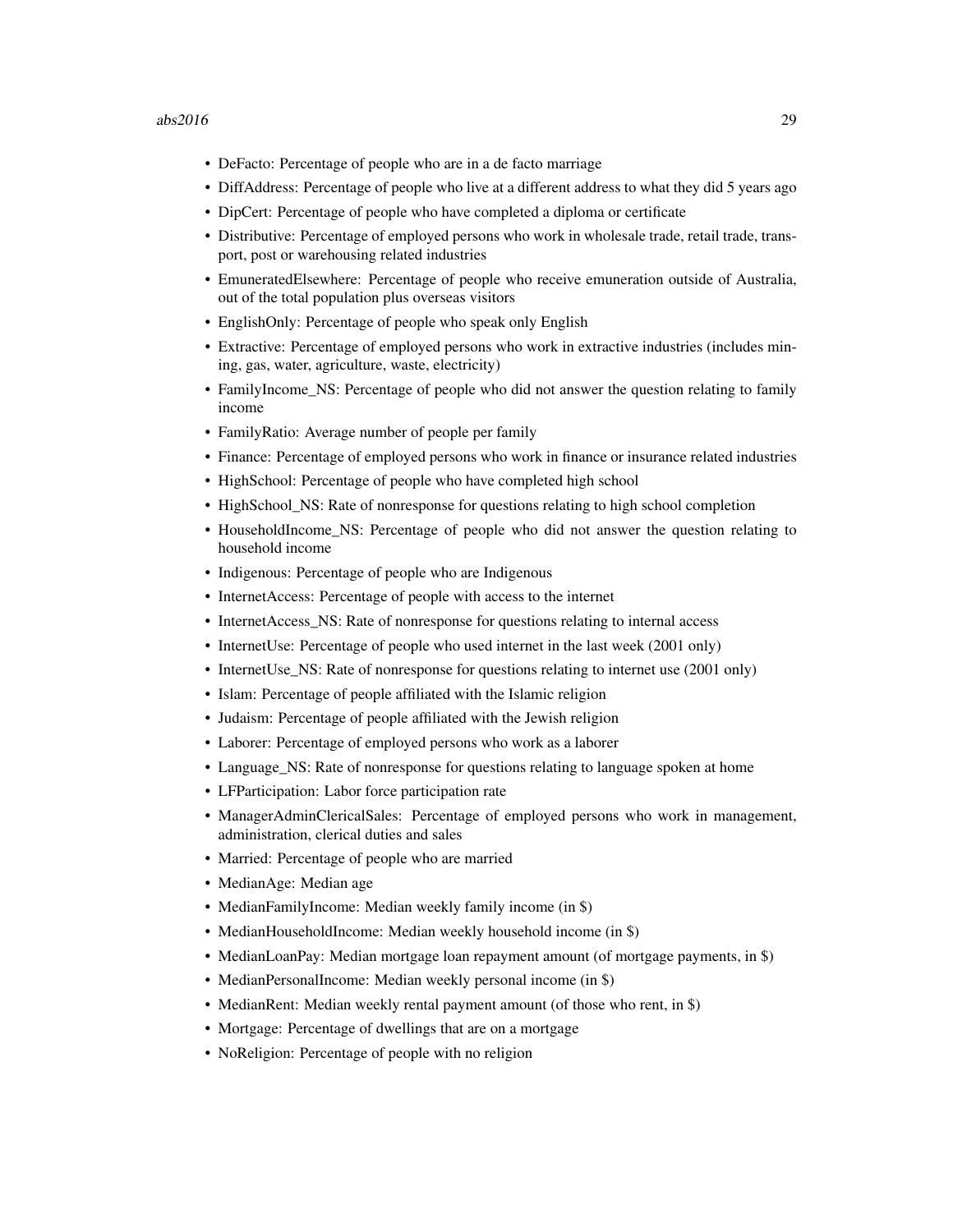- DeFacto: Percentage of people who are in a de facto marriage
- DiffAddress: Percentage of people who live at a different address to what they did 5 years ago
- DipCert: Percentage of people who have completed a diploma or certificate
- Distributive: Percentage of employed persons who work in wholesale trade, retail trade, transport, post or warehousing related industries
- EmuneratedElsewhere: Percentage of people who receive emuneration outside of Australia, out of the total population plus overseas visitors
- EnglishOnly: Percentage of people who speak only English
- Extractive: Percentage of employed persons who work in extractive industries (includes mining, gas, water, agriculture, waste, electricity)
- FamilyIncome NS: Percentage of people who did not answer the question relating to family income
- FamilyRatio: Average number of people per family
- Finance: Percentage of employed persons who work in finance or insurance related industries
- HighSchool: Percentage of people who have completed high school
- HighSchool\_NS: Rate of nonresponse for questions relating to high school completion
- HouseholdIncome NS: Percentage of people who did not answer the question relating to household income
- Indigenous: Percentage of people who are Indigenous
- InternetAccess: Percentage of people with access to the internet
- InternetAccess NS: Rate of nonresponse for questions relating to internal access
- InternetUse: Percentage of people who used internet in the last week (2001 only)
- InternetUse NS: Rate of nonresponse for questions relating to internet use (2001 only)
- Islam: Percentage of people affiliated with the Islamic religion
- Judaism: Percentage of people affiliated with the Jewish religion
- Laborer: Percentage of employed persons who work as a laborer
- Language\_NS: Rate of nonresponse for questions relating to language spoken at home
- LFParticipation: Labor force participation rate
- ManagerAdminClericalSales: Percentage of employed persons who work in management, administration, clerical duties and sales
- Married: Percentage of people who are married
- MedianAge: Median age
- MedianFamilyIncome: Median weekly family income (in \$)
- MedianHouseholdIncome: Median weekly household income (in \$)
- MedianLoanPay: Median mortgage loan repayment amount (of mortgage payments, in \$)
- MedianPersonalIncome: Median weekly personal income (in \$)
- MedianRent: Median weekly rental payment amount (of those who rent, in \$)
- Mortgage: Percentage of dwellings that are on a mortgage
- NoReligion: Percentage of people with no religion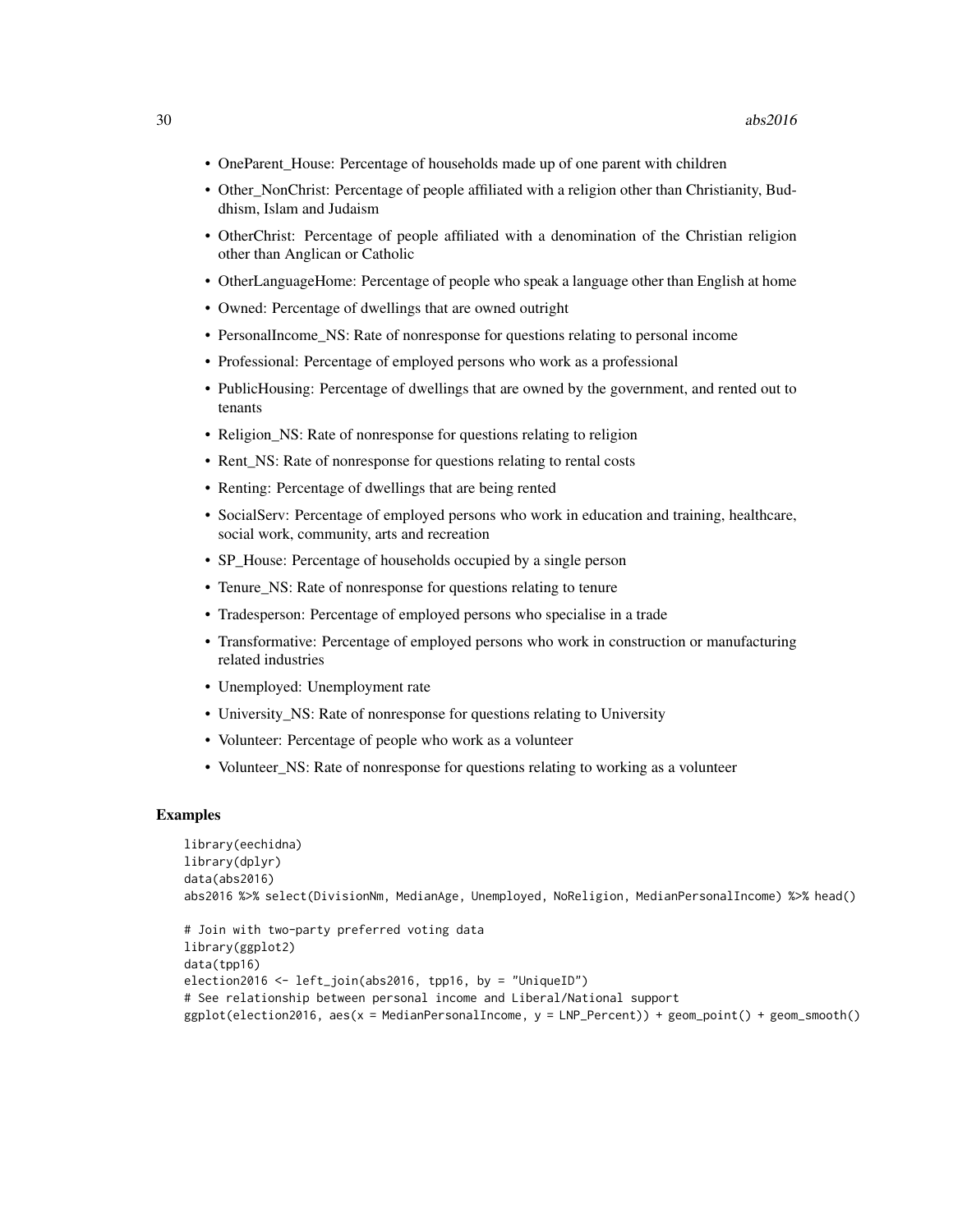- OneParent\_House: Percentage of households made up of one parent with children
- Other NonChrist: Percentage of people affiliated with a religion other than Christianity, Buddhism, Islam and Judaism
- OtherChrist: Percentage of people affiliated with a denomination of the Christian religion other than Anglican or Catholic
- OtherLanguageHome: Percentage of people who speak a language other than English at home
- Owned: Percentage of dwellings that are owned outright
- PersonalIncome\_NS: Rate of nonresponse for questions relating to personal income
- Professional: Percentage of employed persons who work as a professional
- PublicHousing: Percentage of dwellings that are owned by the government, and rented out to tenants
- Religion\_NS: Rate of nonresponse for questions relating to religion
- Rent\_NS: Rate of nonresponse for questions relating to rental costs
- Renting: Percentage of dwellings that are being rented
- SocialServ: Percentage of employed persons who work in education and training, healthcare, social work, community, arts and recreation
- SP\_House: Percentage of households occupied by a single person
- Tenure\_NS: Rate of nonresponse for questions relating to tenure
- Tradesperson: Percentage of employed persons who specialise in a trade
- Transformative: Percentage of employed persons who work in construction or manufacturing related industries
- Unemployed: Unemployment rate
- University NS: Rate of nonresponse for questions relating to University
- Volunteer: Percentage of people who work as a volunteer
- Volunteer NS: Rate of nonresponse for questions relating to working as a volunteer

```
library(eechidna)
library(dplyr)
data(abs2016)
abs2016 %>% select(DivisionNm, MedianAge, Unemployed, NoReligion, MedianPersonalIncome) %>% head()
```

```
# Join with two-party preferred voting data
library(ggplot2)
data(tpp16)
election2016 <- left_join(abs2016, tpp16, by = "UniqueID")
# See relationship between personal income and Liberal/National support
ggplot(election2016, aes(x = MedianPersonalIncome, y = LNP_Percent)) + geom_point() + geom_smooth()
```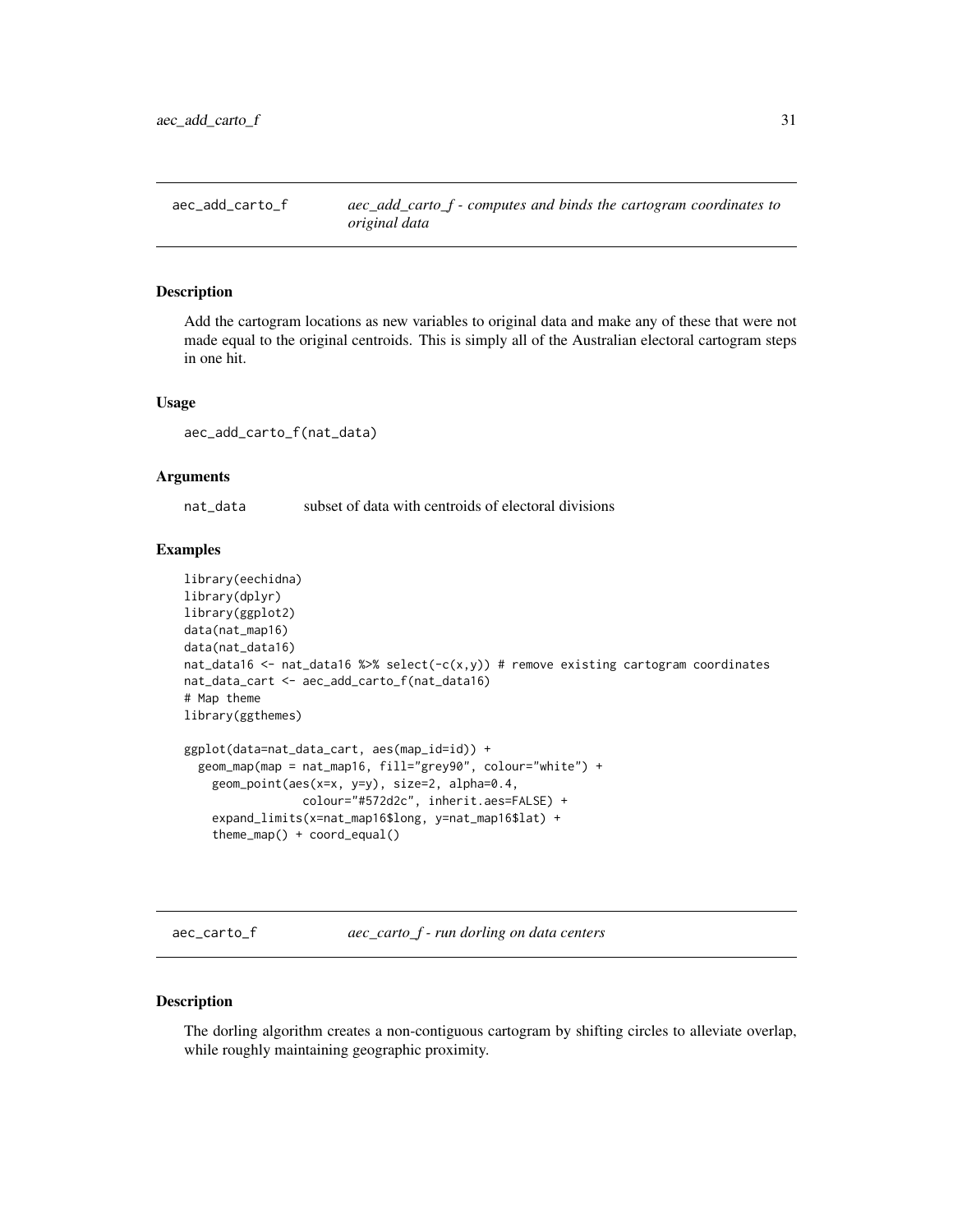<span id="page-30-0"></span>aec\_add\_carto\_f *aec\_add\_carto\_f - computes and binds the cartogram coordinates to original data*

### Description

Add the cartogram locations as new variables to original data and make any of these that were not made equal to the original centroids. This is simply all of the Australian electoral cartogram steps in one hit.

#### Usage

aec\_add\_carto\_f(nat\_data)

### Arguments

nat\_data subset of data with centroids of electoral divisions

#### Examples

```
library(eechidna)
library(dplyr)
library(ggplot2)
data(nat_map16)
data(nat_data16)
nat_data16 <- nat_data16 %>% select(-c(x,y)) # remove existing cartogram coordinates
nat_data_cart <- aec_add_carto_f(nat_data16)
# Map theme
library(ggthemes)
ggplot(data=nat_data_cart, aes(map_id=id)) +
  geom_map(map = nat_map16, fill="grey90", colour="white") +
    geom_point(aes(x=x, y=y), size=2, alpha=0.4,
                 colour="#572d2c", inherit.aes=FALSE) +
    expand_limits(x=nat_map16$long, y=nat_map16$lat) +
    theme_map() + coord_equal()
```
aec\_carto\_f *aec\_carto\_f - run dorling on data centers*

#### Description

The dorling algorithm creates a non-contiguous cartogram by shifting circles to alleviate overlap, while roughly maintaining geographic proximity.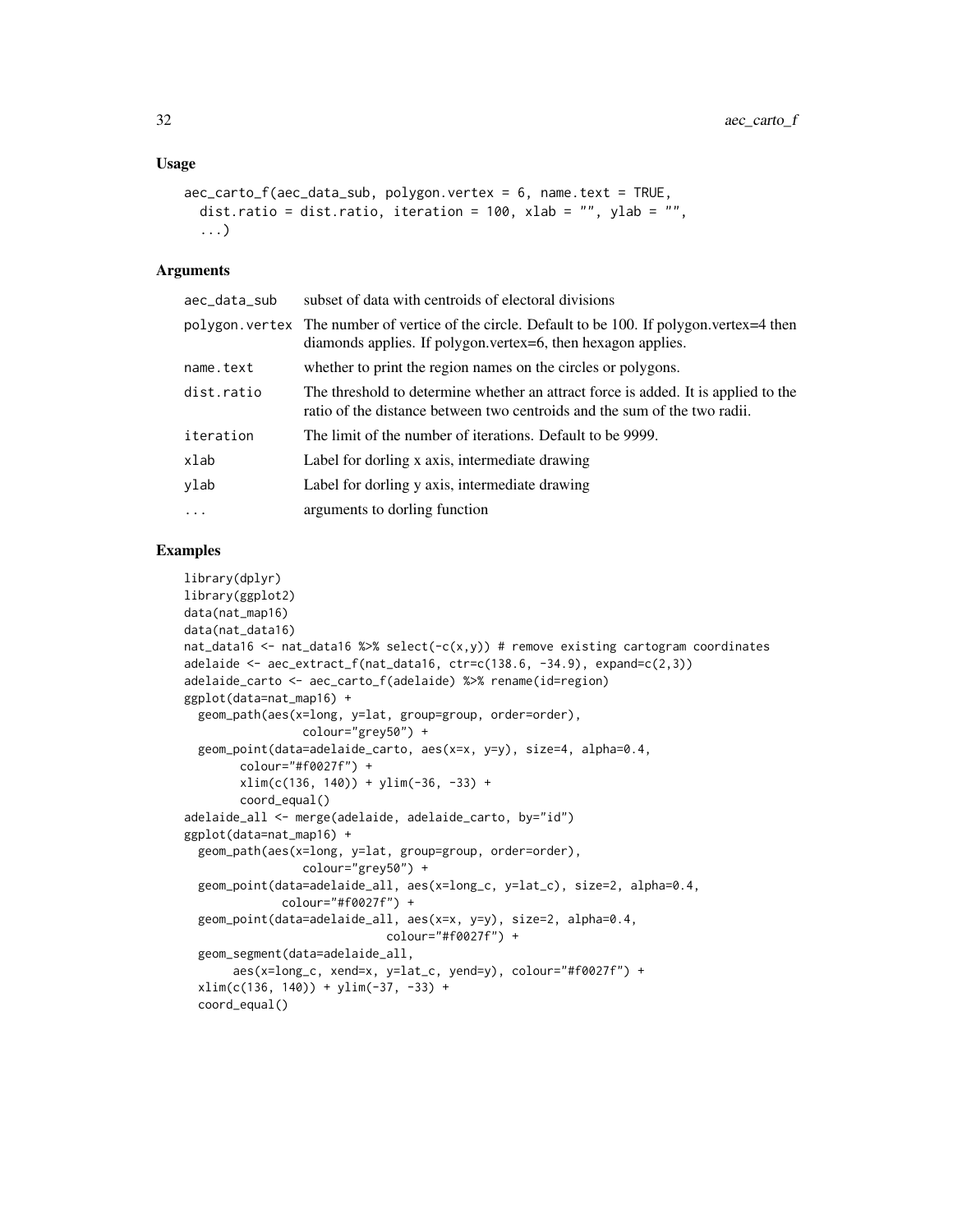#### Usage

```
\text{acc\_carto\_f(aec\_data\_sub, polygon.vertex = 6, name.text = TRUE},dist.ratio = dist.ratio, iteration = 100, xlab = "", ylab = "",
  ...)
```
### Arguments

| aec_data_sub | subset of data with centroids of electoral divisions                                                                                                              |
|--------------|-------------------------------------------------------------------------------------------------------------------------------------------------------------------|
|              | polygon, vertex The number of vertice of the circle. Default to be 100. If polygon, vertex=4 then<br>diamonds applies. If polygon.vertex=6, then hexagon applies. |
| name.text    | whether to print the region names on the circles or polygons.                                                                                                     |
| dist.ratio   | The threshold to determine whether an attract force is added. It is applied to the<br>ratio of the distance between two centroids and the sum of the two radii.   |
| iteration    | The limit of the number of iterations. Default to be 9999.                                                                                                        |
| xlab         | Label for dorling x axis, intermediate drawing                                                                                                                    |
| ylab         | Label for dorling y axis, intermediate drawing                                                                                                                    |
| $\ddots$     | arguments to dorling function                                                                                                                                     |

```
library(dplyr)
library(ggplot2)
data(nat_map16)
data(nat_data16)
nat_data16 <- nat_data16 %>% select(-c(x,y)) # remove existing cartogram coordinates
adelaide \leq aec_extract_f(nat_data16, ctr=c(138.6, -34.9), expand=c(2,3))
adelaide_carto <- aec_carto_f(adelaide) %>% rename(id=region)
ggplot(data=nat_map16) +
  geom_path(aes(x=long, y=lat, group=group, order=order),
                 colour="grey50") +
  geom_point(data=adelaide_carto, aes(x=x, y=y), size=4, alpha=0.4,
        colour="#f0027f") +
        xlim(c(136, 140)) + ylim(-36, -33) +coord_equal()
adelaide_all <- merge(adelaide, adelaide_carto, by="id")
ggplot(data=nat_map16) +
  geom_path(aes(x=long, y=lat, group=group, order=order),
                 colour="grey50") +
  geom_point(data=adelaide_all, aes(x=long_c, y=lat_c), size=2, alpha=0.4,
              colour="#f0027f") +
  geom_point(data=adelaide_all, aes(x=x, y=y), size=2, alpha=0.4,
                             colour="#f0027f") +
  geom_segment(data=adelaide_all,
       aes(x=long_c, xend=x, y=lat_c, yend=y), colour="#f0027f") +
  xlim(c(136, 140)) + ylim(-37, -33) +coord_equal()
```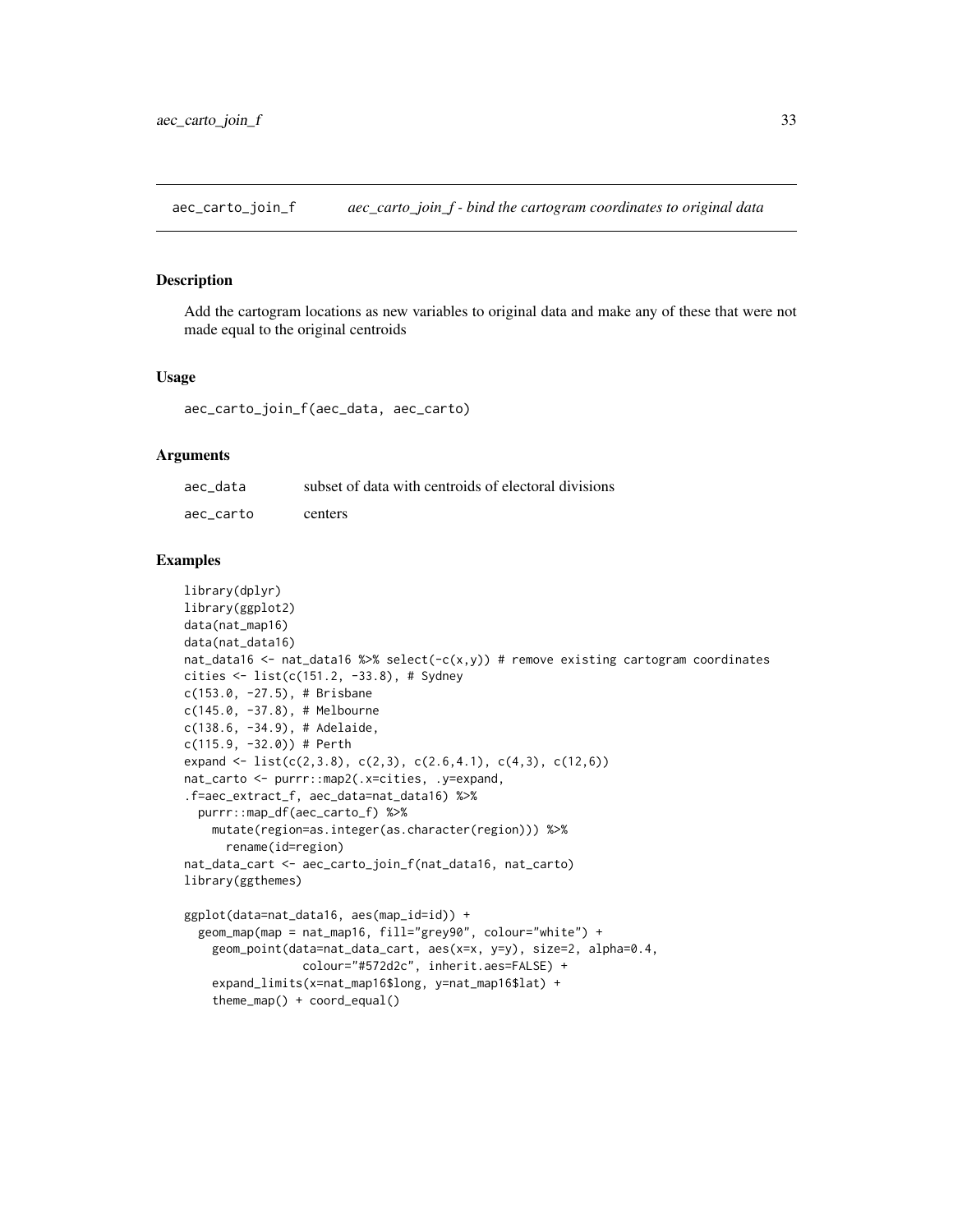<span id="page-32-0"></span>aec\_carto\_join\_f *aec\_carto\_join\_f - bind the cartogram coordinates to original data*

#### Description

Add the cartogram locations as new variables to original data and make any of these that were not made equal to the original centroids

#### Usage

aec\_carto\_join\_f(aec\_data, aec\_carto)

#### Arguments

| aec data  | subset of data with centroids of electoral divisions |
|-----------|------------------------------------------------------|
| aec carto | centers                                              |

```
library(dplyr)
library(ggplot2)
data(nat_map16)
data(nat_data16)
nat_data16 <- nat_data16 %>% select(-c(x,y)) # remove existing cartogram coordinates
cities <- list(c(151.2, -33.8), # Sydney
c(153.0, -27.5), # Brisbane
c(145.0, -37.8), # Melbourne
c(138.6, -34.9), # Adelaide,
c(115.9, -32.0)) # Perth
expand <- list(c(2,3.8), c(2,3), c(2.6,4.1), c(4,3), c(12,6))
nat_carto <- purrr::map2(.x=cities, .y=expand,
.f=aec_extract_f, aec_data=nat_data16) %>%
  purrr::map_df(aec_carto_f) %>%
    mutate(region=as.integer(as.character(region))) %>%
      rename(id=region)
nat_data_cart <- aec_carto_join_f(nat_data16, nat_carto)
library(ggthemes)
ggplot(data=nat_data16, aes(map_id=id)) +
  geom_map(map = nat_map16, fill="grey90", colour="white") +
    geom_point(data=nat_data_cart, aes(x=x, y=y), size=2, alpha=0.4,
                 colour="#572d2c", inherit.aes=FALSE) +
    expand_limits(x=nat_map16$long, y=nat_map16$lat) +
```

```
theme_map() + coord_equal()
```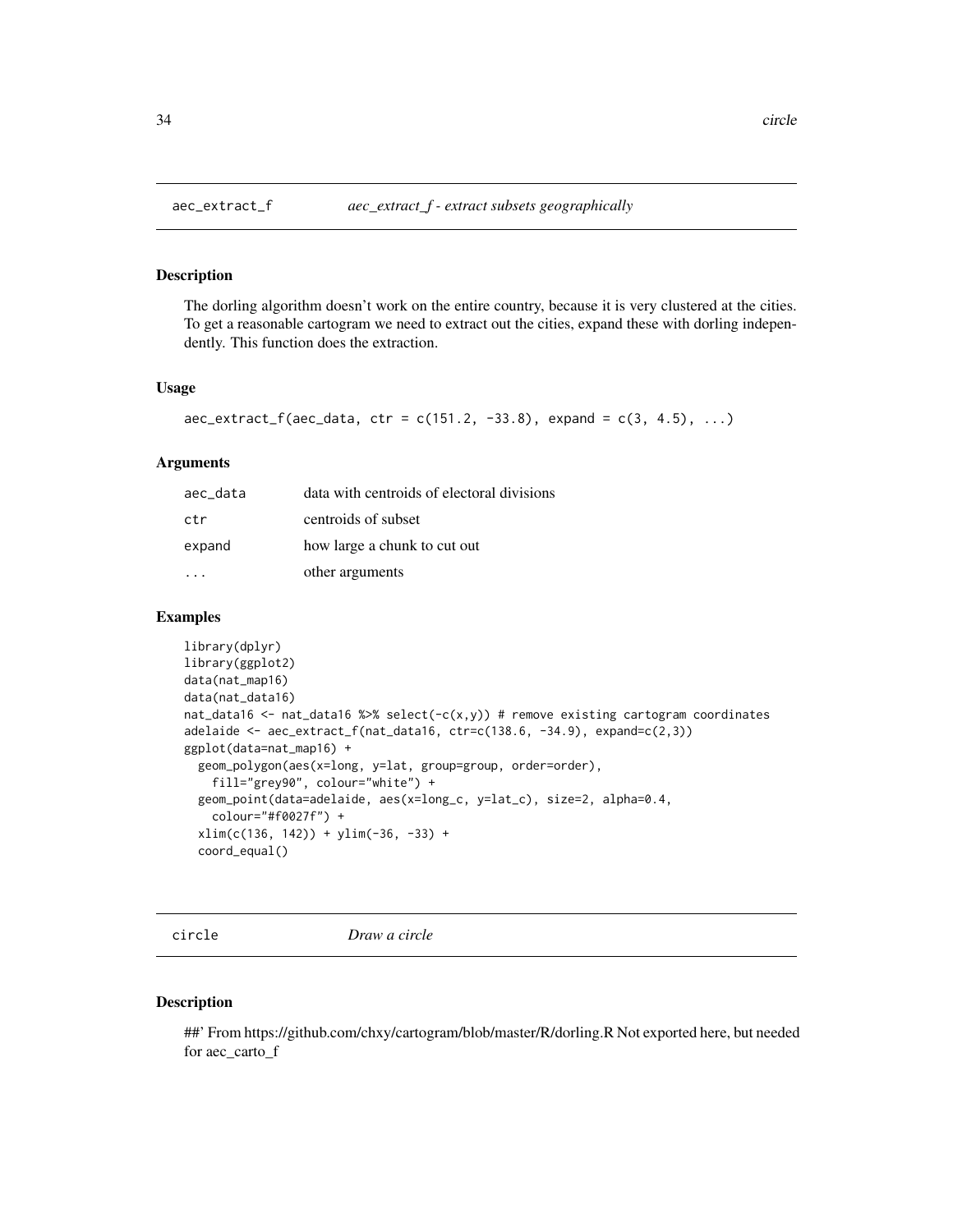<span id="page-33-0"></span>

#### Description

The dorling algorithm doesn't work on the entire country, because it is very clustered at the cities. To get a reasonable cartogram we need to extract out the cities, expand these with dorling independently. This function does the extraction.

#### Usage

```
\text{acc\_extract\_f(aec\_data, ctr = c(151.2, -33.8), expand = c(3, 4.5), ...)}
```
#### Arguments

| aec_data | data with centroids of electoral divisions |
|----------|--------------------------------------------|
| ctr      | centroids of subset                        |
| expand   | how large a chunk to cut out               |
|          | other arguments                            |

# Examples

```
library(dplyr)
library(ggplot2)
data(nat_map16)
data(nat_data16)
nat_data16 <- nat_data16 %>% select(-c(x,y)) # remove existing cartogram coordinates
adelaide <- aec_extract_f(nat_data16, ctr=c(138.6, -34.9), expand=c(2,3))
ggplot(data=nat_map16) +
  geom_polygon(aes(x=long, y=lat, group=group, order=order),
    fill="grey90", colour="white") +
  geom_point(data=adelaide, aes(x=long_c, y=lat_c), size=2, alpha=0.4,
   colour="#f0027f") +
  xlim(c(136, 142)) + ylim(-36, -33) +coord_equal()
```
circle *Draw a circle*

# Description

##' From https://github.com/chxy/cartogram/blob/master/R/dorling.R Not exported here, but needed for aec\_carto\_f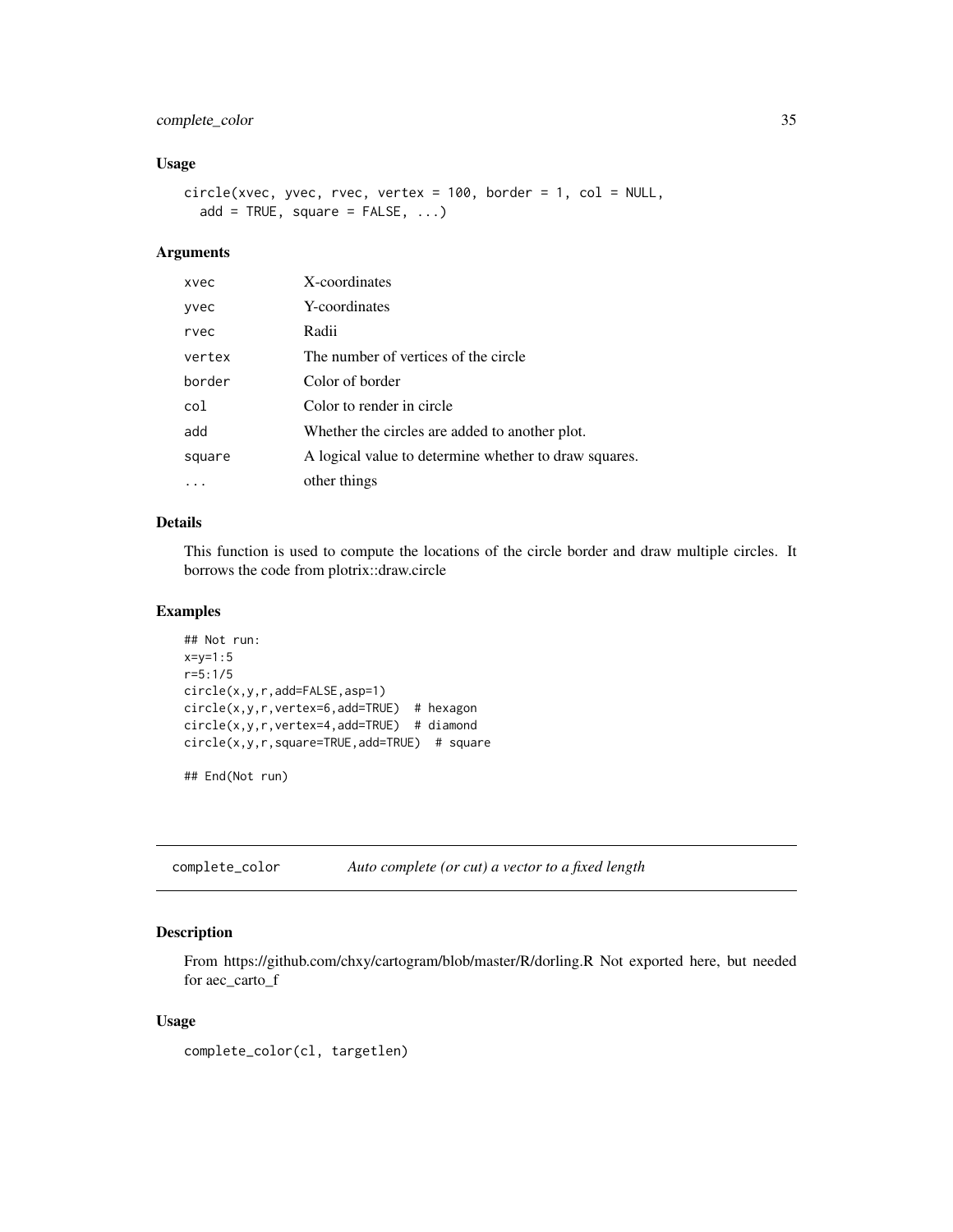# <span id="page-34-0"></span>complete\_color 35

# Usage

```
circle(xvec, yvec, rvec, vertex = 100, border = 1, col = NULL,
  add = TRUE, square = FALSE, ...)
```
# Arguments

| xvec        | X-coordinates                                         |
|-------------|-------------------------------------------------------|
| <b>vvec</b> | Y-coordinates                                         |
| rvec        | Radii                                                 |
| vertex      | The number of vertices of the circle                  |
| border      | Color of border                                       |
| col         | Color to render in circle                             |
| add         | Whether the circles are added to another plot.        |
| square      | A logical value to determine whether to draw squares. |
|             | other things                                          |

# Details

This function is used to compute the locations of the circle border and draw multiple circles. It borrows the code from plotrix::draw.circle

#### Examples

```
## Not run:
x=y=1:5r=5:1/5
circle(x,y,r,add=FALSE,asp=1)
circle(x,y,r,vertex=6,add=TRUE) # hexagon
circle(x,y,r,vertex=4,add=TRUE) # diamond
circle(x,y,r,square=TRUE,add=TRUE) # square
```
## End(Not run)

complete\_color *Auto complete (or cut) a vector to a fixed length*

# Description

From https://github.com/chxy/cartogram/blob/master/R/dorling.R Not exported here, but needed for aec\_carto\_f

#### Usage

```
complete_color(cl, targetlen)
```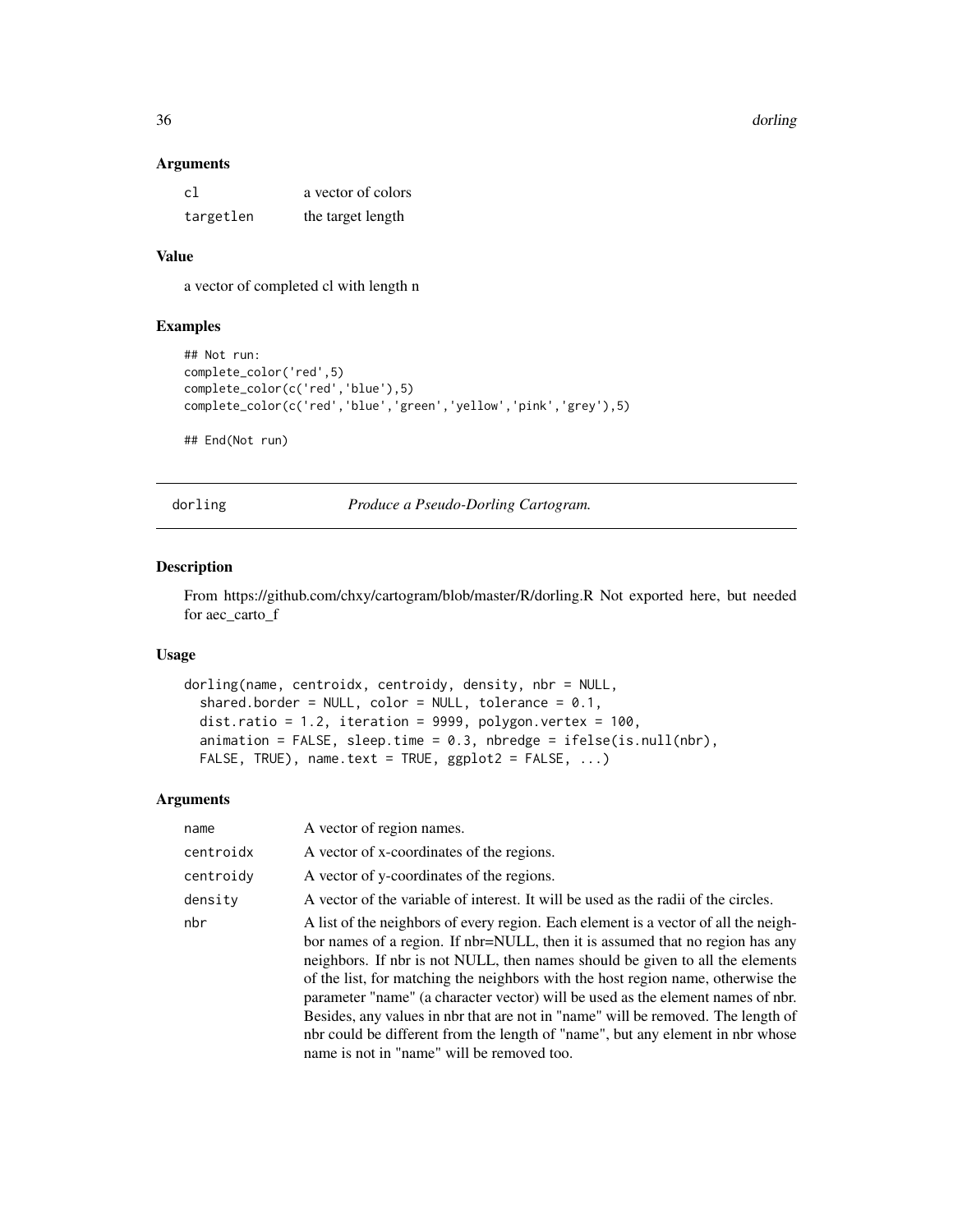#### 36 dorling

#### Arguments

| c1        | a vector of colors |
|-----------|--------------------|
| targetlen | the target length  |

# Value

a vector of completed cl with length n

# Examples

```
## Not run:
complete_color('red',5)
complete_color(c('red','blue'),5)
complete_color(c('red','blue','green','yellow','pink','grey'),5)
## End(Not run)
```
dorling *Produce a Pseudo-Dorling Cartogram.*

# Description

From https://github.com/chxy/cartogram/blob/master/R/dorling.R Not exported here, but needed for aec\_carto\_f

# Usage

```
dorling(name, centroidx, centroidy, density, nbr = NULL,
  shared.border = NULL, color = NULL, tolerance = 0.1,
 dist.ratio = 1.2, iteration = 9999, polygon.vertex = 100,
 animation = FALSE, sleep.time = 0.3, nbredge = ifelse(is.null(nbr),
 FALSE, TRUE), name.text = TRUE, ggplot2 = FALSE, ...)
```
#### Arguments

| name      | A vector of region names.                                                                                                                                                                                                                                                                                                                                                                                                                                                                                                                                                                                                                        |
|-----------|--------------------------------------------------------------------------------------------------------------------------------------------------------------------------------------------------------------------------------------------------------------------------------------------------------------------------------------------------------------------------------------------------------------------------------------------------------------------------------------------------------------------------------------------------------------------------------------------------------------------------------------------------|
| centroidx | A vector of x-coordinates of the regions.                                                                                                                                                                                                                                                                                                                                                                                                                                                                                                                                                                                                        |
| centroidv | A vector of y-coordinates of the regions.                                                                                                                                                                                                                                                                                                                                                                                                                                                                                                                                                                                                        |
| densitv   | A vector of the variable of interest. It will be used as the radii of the circles.                                                                                                                                                                                                                                                                                                                                                                                                                                                                                                                                                               |
| nbr       | A list of the neighbors of every region. Each element is a vector of all the neigh-<br>bor names of a region. If nbr=NULL, then it is assumed that no region has any<br>neighbors. If nbr is not NULL, then names should be given to all the elements<br>of the list, for matching the neighbors with the host region name, otherwise the<br>parameter "name" (a character vector) will be used as the element names of nbr.<br>Besides, any values in nbr that are not in "name" will be removed. The length of<br>nbr could be different from the length of "name", but any element in nbr whose<br>name is not in "name" will be removed too. |

<span id="page-35-0"></span>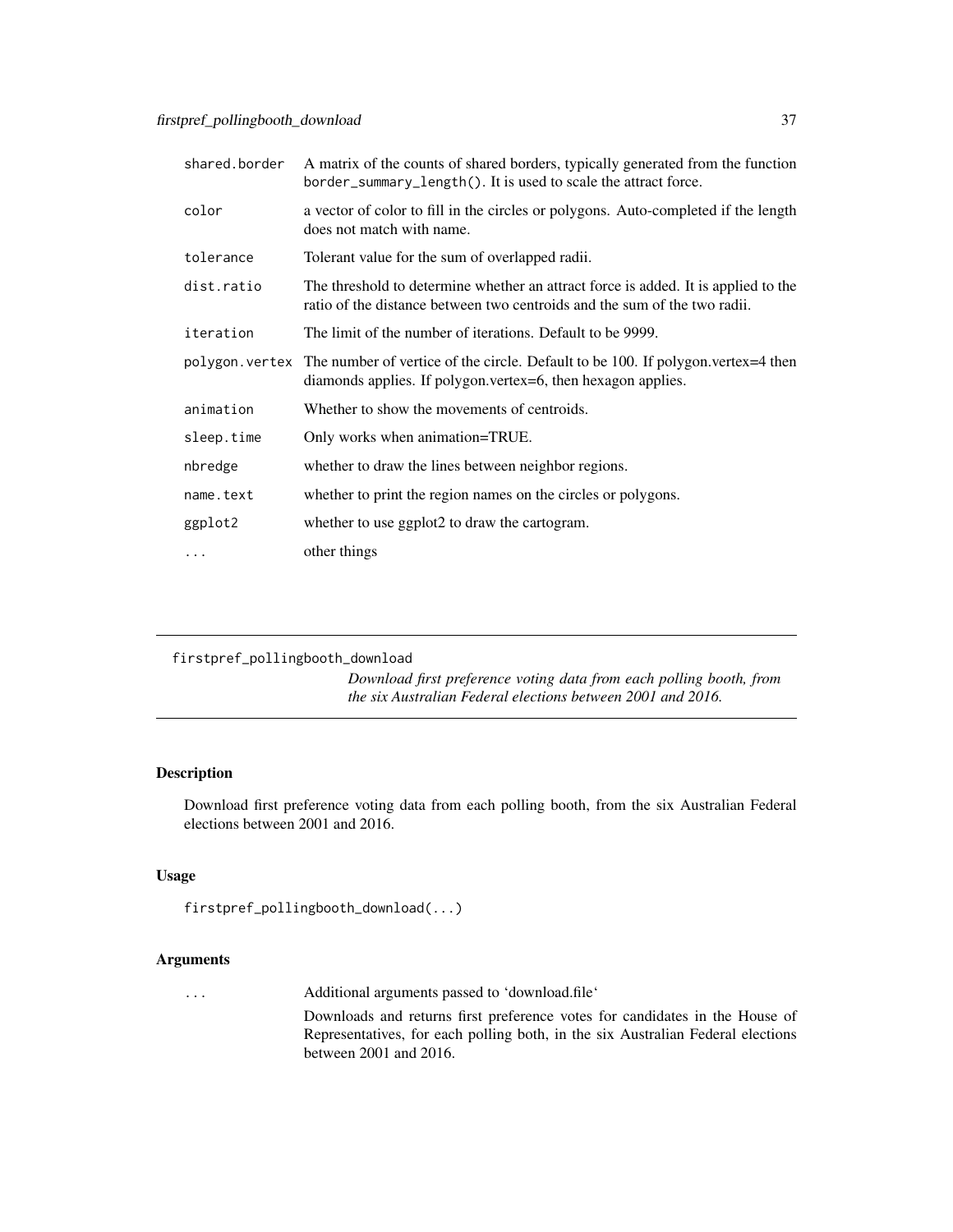<span id="page-36-0"></span>

| shared.border | A matrix of the counts of shared borders, typically generated from the function<br>border_summary_length(). It is used to scale the attract force.                |
|---------------|-------------------------------------------------------------------------------------------------------------------------------------------------------------------|
| color         | a vector of color to fill in the circles or polygons. Auto-completed if the length<br>does not match with name.                                                   |
| tolerance     | Tolerant value for the sum of overlapped radii.                                                                                                                   |
| dist.ratio    | The threshold to determine whether an attract force is added. It is applied to the<br>ratio of the distance between two centroids and the sum of the two radii.   |
| iteration     | The limit of the number of iterations. Default to be 9999.                                                                                                        |
|               | polygon. vertex The number of vertice of the circle. Default to be 100. If polygon. vertex=4 then<br>diamonds applies. If polygon.vertex=6, then hexagon applies. |
| animation     | Whether to show the movements of centroids.                                                                                                                       |
| sleep.time    | Only works when animation=TRUE.                                                                                                                                   |
| nbredge       | whether to draw the lines between neighbor regions.                                                                                                               |
| name.text     | whether to print the region names on the circles or polygons.                                                                                                     |
| ggplot2       | whether to use ggplot2 to draw the cartogram.                                                                                                                     |
| $\cdots$      | other things                                                                                                                                                      |

```
firstpref_pollingbooth_download
```
*Download first preference voting data from each polling booth, from the six Australian Federal elections between 2001 and 2016.*

## Description

Download first preference voting data from each polling booth, from the six Australian Federal elections between 2001 and 2016.

# Usage

```
firstpref_pollingbooth_download(...)
```
#### Arguments

... Additional arguments passed to 'download.file'

Downloads and returns first preference votes for candidates in the House of Representatives, for each polling both, in the six Australian Federal elections between 2001 and 2016.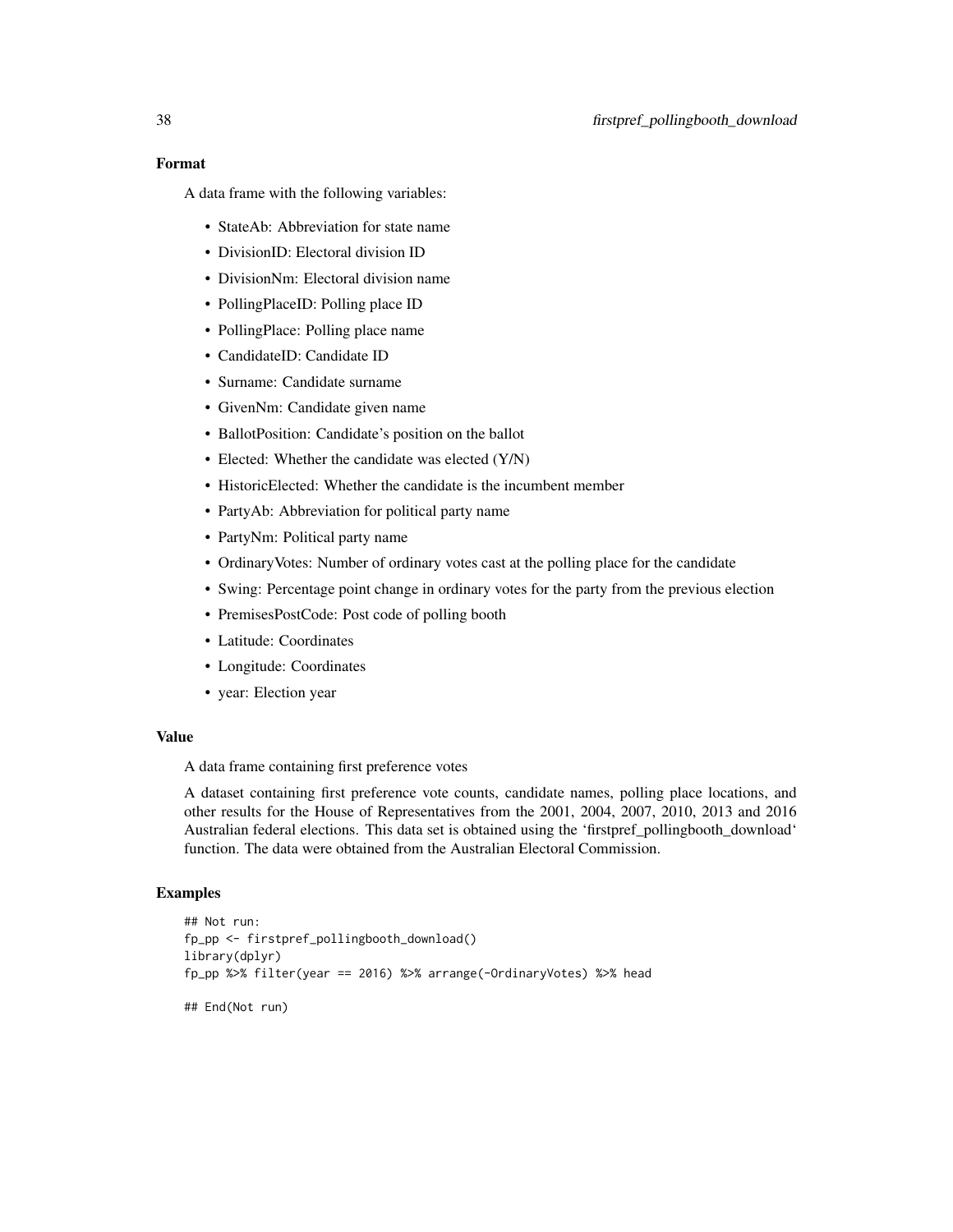# Format

A data frame with the following variables:

- StateAb: Abbreviation for state name
- DivisionID: Electoral division ID
- DivisionNm: Electoral division name
- PollingPlaceID: Polling place ID
- PollingPlace: Polling place name
- CandidateID: Candidate ID
- Surname: Candidate surname
- GivenNm: Candidate given name
- BallotPosition: Candidate's position on the ballot
- Elected: Whether the candidate was elected (Y/N)
- HistoricElected: Whether the candidate is the incumbent member
- PartyAb: Abbreviation for political party name
- PartyNm: Political party name
- OrdinaryVotes: Number of ordinary votes cast at the polling place for the candidate
- Swing: Percentage point change in ordinary votes for the party from the previous election
- PremisesPostCode: Post code of polling booth
- Latitude: Coordinates
- Longitude: Coordinates
- year: Election year

# Value

A data frame containing first preference votes

A dataset containing first preference vote counts, candidate names, polling place locations, and other results for the House of Representatives from the 2001, 2004, 2007, 2010, 2013 and 2016 Australian federal elections. This data set is obtained using the 'firstpref\_pollingbooth\_download' function. The data were obtained from the Australian Electoral Commission.

```
## Not run:
fp_pp <- firstpref_pollingbooth_download()
library(dplyr)
fp_pp %>% filter(year == 2016) %>% arrange(-OrdinaryVotes) %>% head
## End(Not run)
```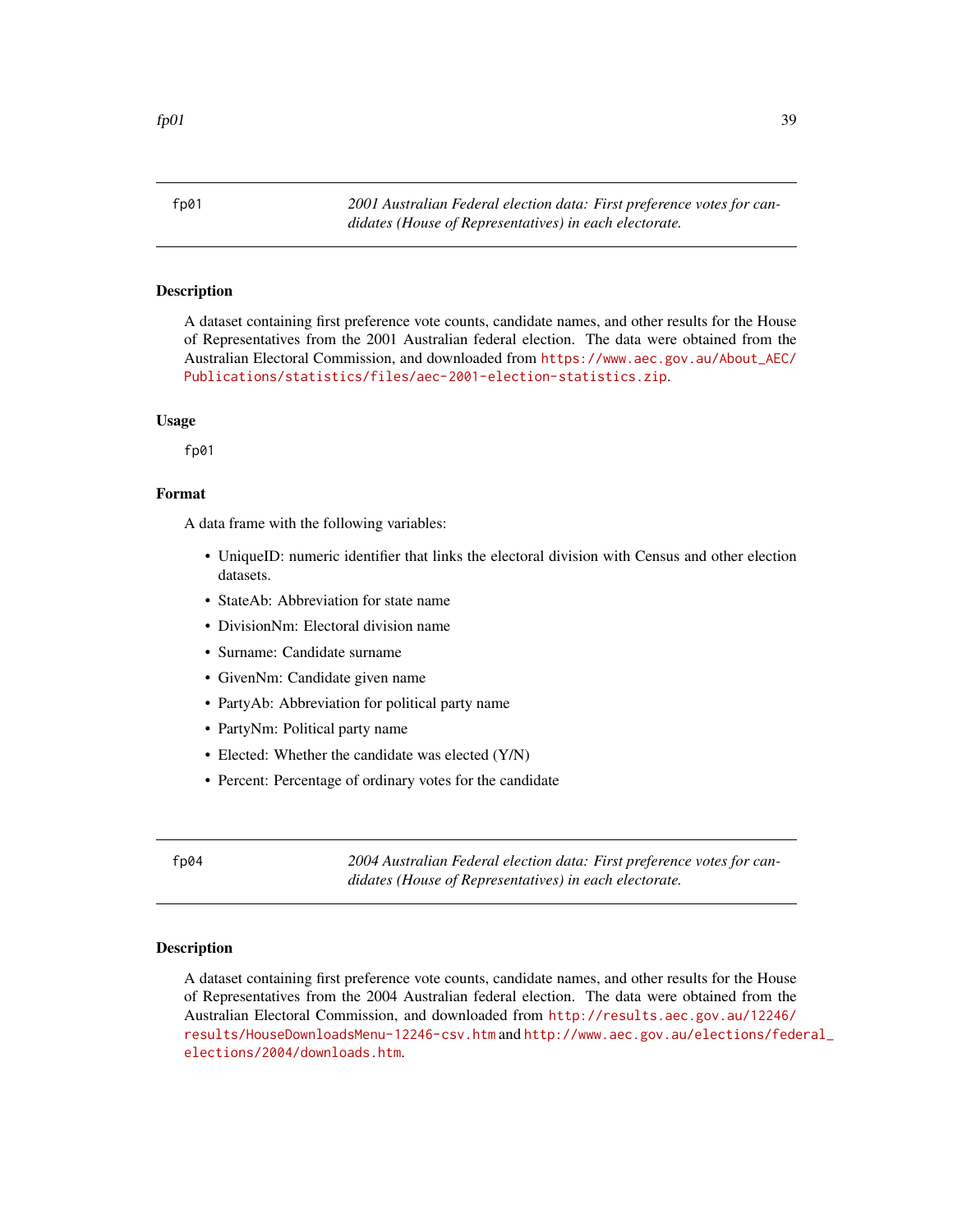<span id="page-38-0"></span>fp01 *2001 Australian Federal election data: First preference votes for candidates (House of Representatives) in each electorate.*

#### Description

A dataset containing first preference vote counts, candidate names, and other results for the House of Representatives from the 2001 Australian federal election. The data were obtained from the Australian Electoral Commission, and downloaded from [https://www.aec.gov.au/About\\_AEC/](https://www.aec.gov.au/About_AEC/Publications/statistics/files/aec-2001-election-statistics.zip) [Publications/statistics/files/aec-2001-election-statistics.zip](https://www.aec.gov.au/About_AEC/Publications/statistics/files/aec-2001-election-statistics.zip).

#### Usage

fp01

#### Format

A data frame with the following variables:

- UniqueID: numeric identifier that links the electoral division with Census and other election datasets.
- StateAb: Abbreviation for state name
- DivisionNm: Electoral division name
- Surname: Candidate surname
- GivenNm: Candidate given name
- PartyAb: Abbreviation for political party name
- PartyNm: Political party name
- Elected: Whether the candidate was elected (Y/N)
- Percent: Percentage of ordinary votes for the candidate

fp04 *2004 Australian Federal election data: First preference votes for candidates (House of Representatives) in each electorate.*

#### Description

A dataset containing first preference vote counts, candidate names, and other results for the House of Representatives from the 2004 Australian federal election. The data were obtained from the Australian Electoral Commission, and downloaded from [http://results.aec.gov.au/12246/](http://results.aec.gov.au/12246/results/HouseDownloadsMenu-12246-csv.htm) [results/HouseDownloadsMenu-12246-csv.htm](http://results.aec.gov.au/12246/results/HouseDownloadsMenu-12246-csv.htm) and [http://www.aec.gov.au/elections/fede](http://www.aec.gov.au/elections/federal_elections/2004/downloads.htm)ral\_ [elections/2004/downloads.htm](http://www.aec.gov.au/elections/federal_elections/2004/downloads.htm).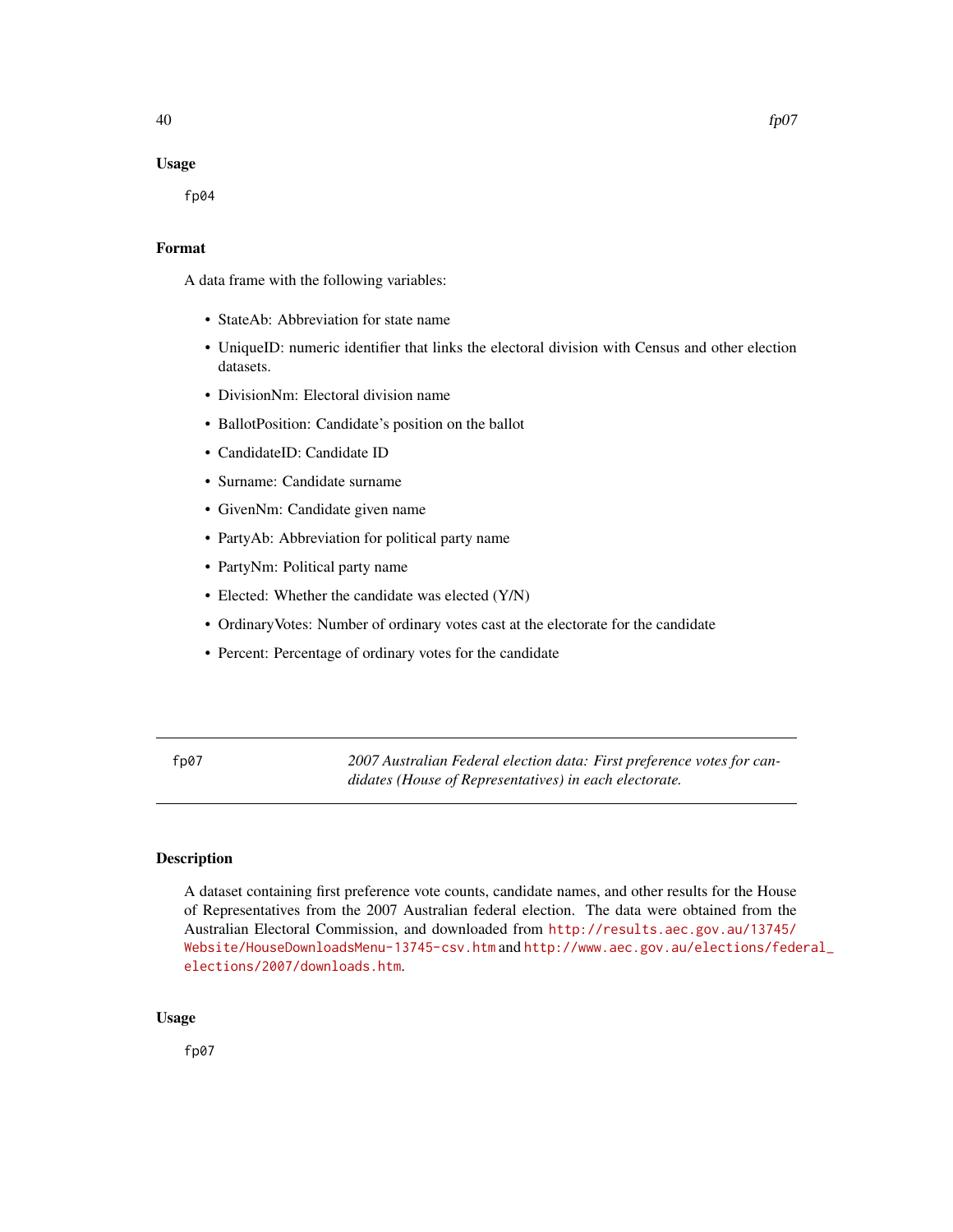#### Usage

fp04

# Format

A data frame with the following variables:

- StateAb: Abbreviation for state name
- UniqueID: numeric identifier that links the electoral division with Census and other election datasets.
- DivisionNm: Electoral division name
- BallotPosition: Candidate's position on the ballot
- CandidateID: Candidate ID
- Surname: Candidate surname
- GivenNm: Candidate given name
- PartyAb: Abbreviation for political party name
- PartyNm: Political party name
- Elected: Whether the candidate was elected (Y/N)
- OrdinaryVotes: Number of ordinary votes cast at the electorate for the candidate
- Percent: Percentage of ordinary votes for the candidate

fp07 *2007 Australian Federal election data: First preference votes for candidates (House of Representatives) in each electorate.*

# Description

A dataset containing first preference vote counts, candidate names, and other results for the House of Representatives from the 2007 Australian federal election. The data were obtained from the Australian Electoral Commission, and downloaded from [http://results.aec.gov.au/13745/](http://results.aec.gov.au/13745/Website/HouseDownloadsMenu-13745-csv.htm) [Website/HouseDownloadsMenu-13745-csv.htm](http://results.aec.gov.au/13745/Website/HouseDownloadsMenu-13745-csv.htm) and [http://www.aec.gov.au/elections/fede](http://www.aec.gov.au/elections/federal_elections/2007/downloads.htm)ral\_ [elections/2007/downloads.htm](http://www.aec.gov.au/elections/federal_elections/2007/downloads.htm).

#### Usage

fp07

<span id="page-39-0"></span>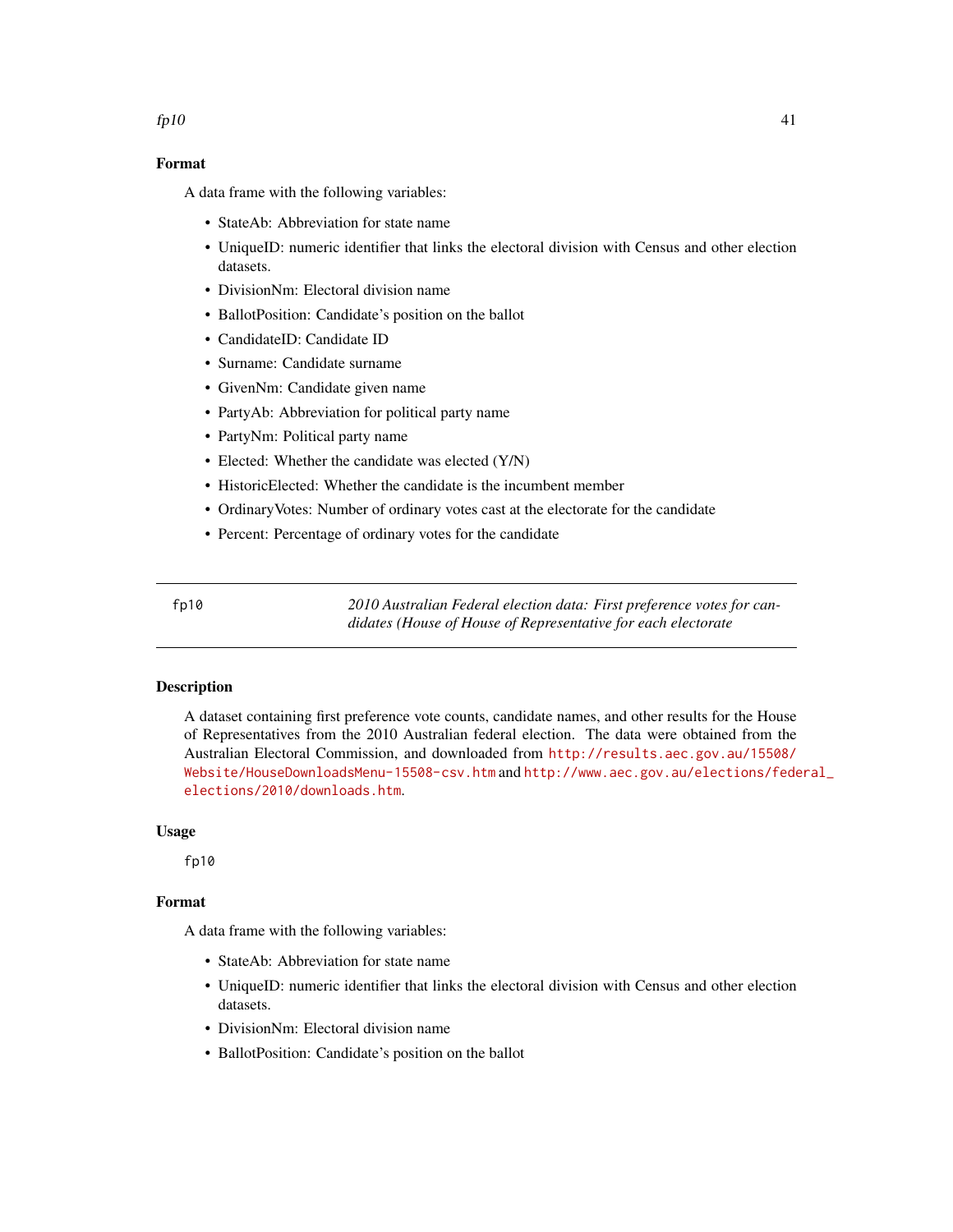# <span id="page-40-0"></span>Format

A data frame with the following variables:

- StateAb: Abbreviation for state name
- UniqueID: numeric identifier that links the electoral division with Census and other election datasets.
- DivisionNm: Electoral division name
- BallotPosition: Candidate's position on the ballot
- CandidateID: Candidate ID
- Surname: Candidate surname
- GivenNm: Candidate given name
- PartyAb: Abbreviation for political party name
- PartyNm: Political party name
- Elected: Whether the candidate was elected (Y/N)
- HistoricElected: Whether the candidate is the incumbent member
- OrdinaryVotes: Number of ordinary votes cast at the electorate for the candidate
- Percent: Percentage of ordinary votes for the candidate

fp10 *2010 Australian Federal election data: First preference votes for candidates (House of House of Representative for each electorate*

#### **Description**

A dataset containing first preference vote counts, candidate names, and other results for the House of Representatives from the 2010 Australian federal election. The data were obtained from the Australian Electoral Commission, and downloaded from [http://results.aec.gov.au/15508/](http://results.aec.gov.au/15508/Website/HouseDownloadsMenu-15508-csv.htm) [Website/HouseDownloadsMenu-15508-csv.htm](http://results.aec.gov.au/15508/Website/HouseDownloadsMenu-15508-csv.htm) and [http://www.aec.gov.au/elections/fede](http://www.aec.gov.au/elections/federal_elections/2010/downloads.htm)ral\_ [elections/2010/downloads.htm](http://www.aec.gov.au/elections/federal_elections/2010/downloads.htm).

# Usage

fp10

# Format

- StateAb: Abbreviation for state name
- UniqueID: numeric identifier that links the electoral division with Census and other election datasets.
- DivisionNm: Electoral division name
- BallotPosition: Candidate's position on the ballot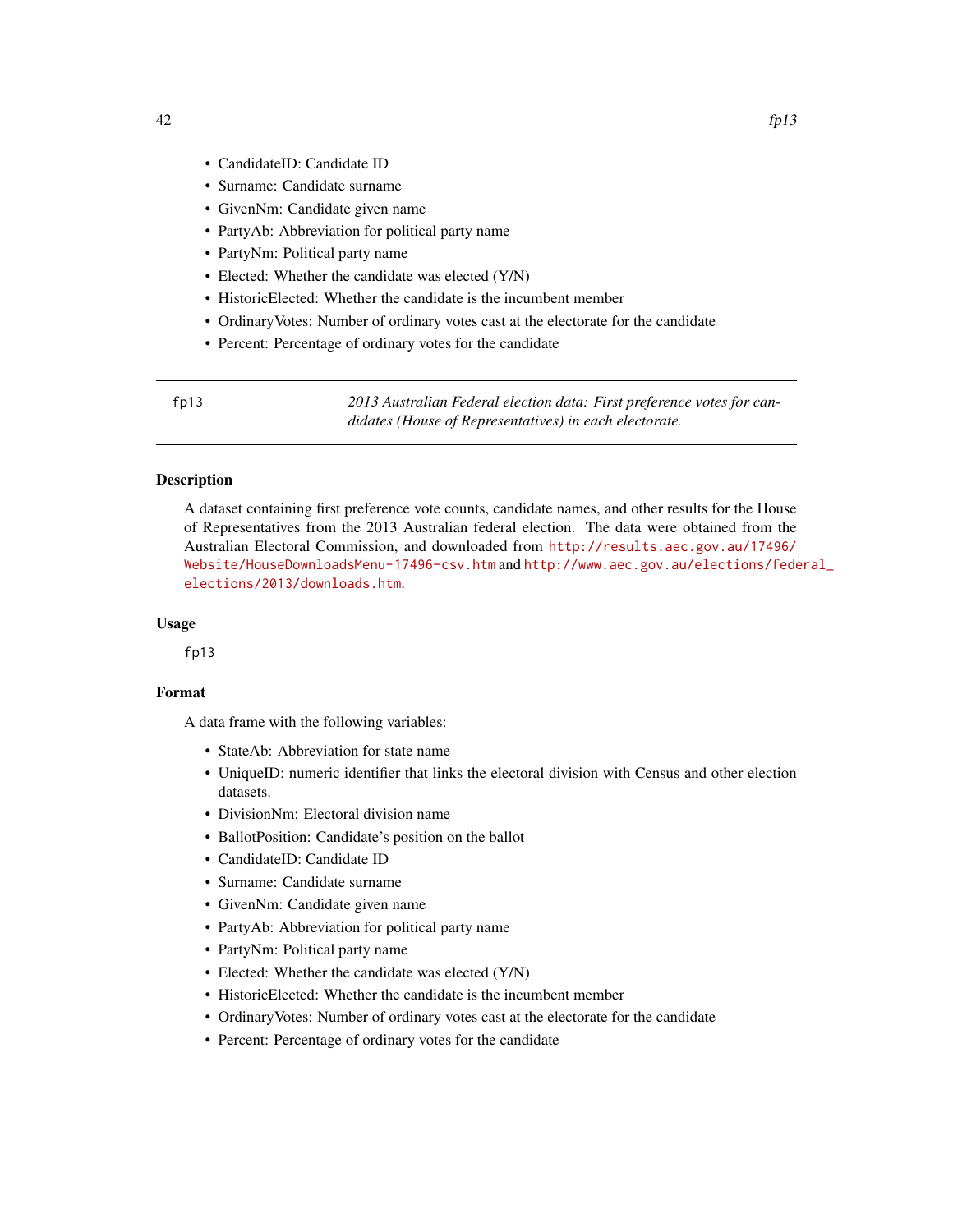- <span id="page-41-0"></span>• CandidateID: Candidate ID
- Surname: Candidate surname
- GivenNm: Candidate given name
- PartyAb: Abbreviation for political party name
- PartyNm: Political party name
- Elected: Whether the candidate was elected (Y/N)
- HistoricElected: Whether the candidate is the incumbent member
- OrdinaryVotes: Number of ordinary votes cast at the electorate for the candidate
- Percent: Percentage of ordinary votes for the candidate

fp13 *2013 Australian Federal election data: First preference votes for candidates (House of Representatives) in each electorate.*

#### Description

A dataset containing first preference vote counts, candidate names, and other results for the House of Representatives from the 2013 Australian federal election. The data were obtained from the Australian Electoral Commission, and downloaded from [http://results.aec.gov.au/17496/](http://results.aec.gov.au/17496/Website/HouseDownloadsMenu-17496-csv.htm) [Website/HouseDownloadsMenu-17496-csv.htm](http://results.aec.gov.au/17496/Website/HouseDownloadsMenu-17496-csv.htm) and [http://www.aec.gov.au/elections/fede](http://www.aec.gov.au/elections/federal_elections/2013/downloads.htm)ral\_ [elections/2013/downloads.htm](http://www.aec.gov.au/elections/federal_elections/2013/downloads.htm).

#### Usage

fp13

# Format

- StateAb: Abbreviation for state name
- UniqueID: numeric identifier that links the electoral division with Census and other election datasets.
- DivisionNm: Electoral division name
- BallotPosition: Candidate's position on the ballot
- CandidateID: Candidate ID
- Surname: Candidate surname
- GivenNm: Candidate given name
- PartyAb: Abbreviation for political party name
- PartyNm: Political party name
- Elected: Whether the candidate was elected (Y/N)
- HistoricElected: Whether the candidate is the incumbent member
- OrdinaryVotes: Number of ordinary votes cast at the electorate for the candidate
- Percent: Percentage of ordinary votes for the candidate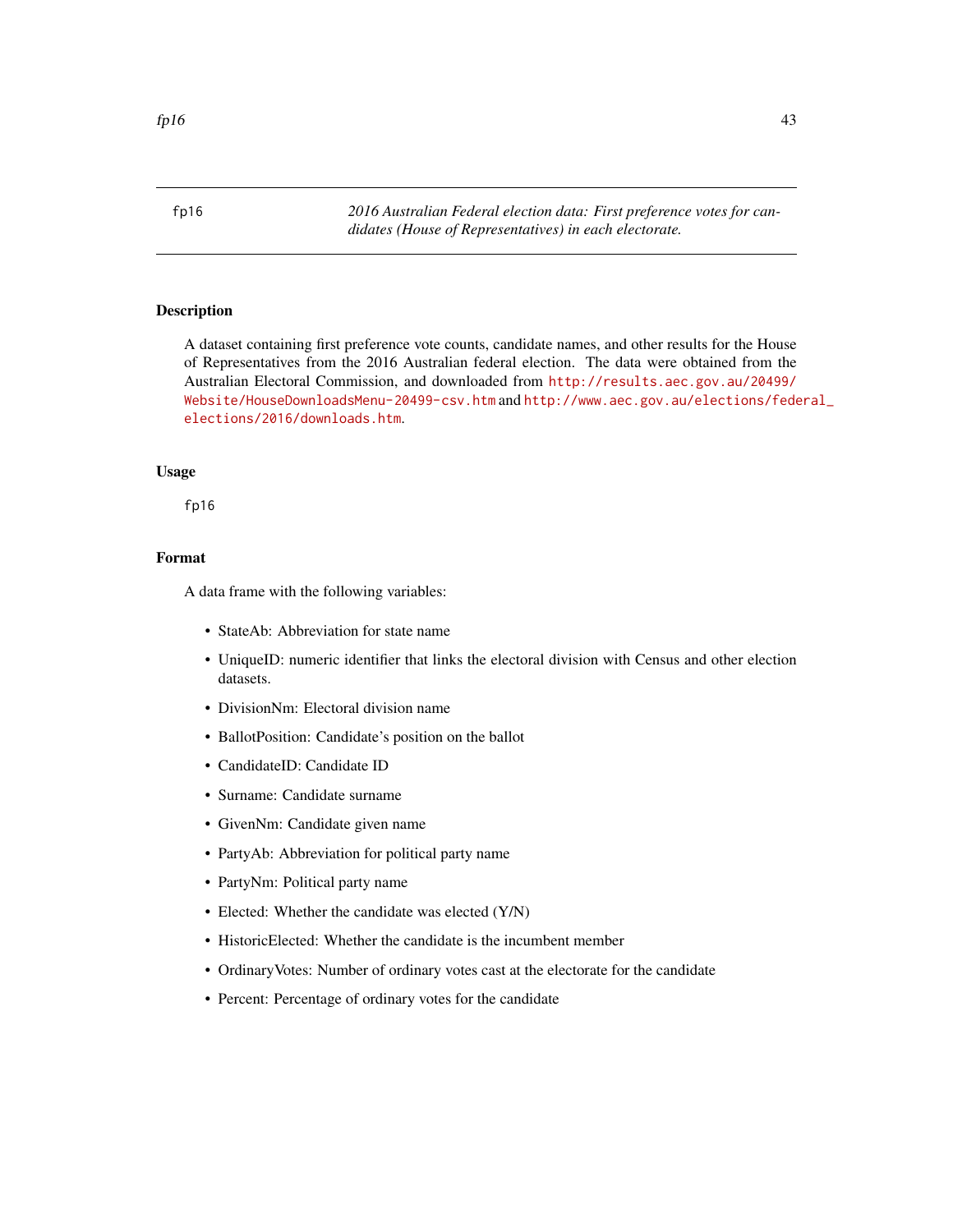<span id="page-42-0"></span>fp16 *2016 Australian Federal election data: First preference votes for candidates (House of Representatives) in each electorate.*

# Description

A dataset containing first preference vote counts, candidate names, and other results for the House of Representatives from the 2016 Australian federal election. The data were obtained from the Australian Electoral Commission, and downloaded from [http://results.aec.gov.au/20499/](http://results.aec.gov.au/20499/Website/HouseDownloadsMenu-20499-csv.htm) [Website/HouseDownloadsMenu-20499-csv.htm](http://results.aec.gov.au/20499/Website/HouseDownloadsMenu-20499-csv.htm) and [http://www.aec.gov.au/elections/fede](http://www.aec.gov.au/elections/federal_elections/2016/downloads.htm)ral\_ [elections/2016/downloads.htm](http://www.aec.gov.au/elections/federal_elections/2016/downloads.htm).

### Usage

fp16

# Format

- StateAb: Abbreviation for state name
- UniqueID: numeric identifier that links the electoral division with Census and other election datasets.
- DivisionNm: Electoral division name
- BallotPosition: Candidate's position on the ballot
- CandidateID: Candidate ID
- Surname: Candidate surname
- GivenNm: Candidate given name
- PartyAb: Abbreviation for political party name
- PartyNm: Political party name
- Elected: Whether the candidate was elected (Y/N)
- HistoricElected: Whether the candidate is the incumbent member
- OrdinaryVotes: Number of ordinary votes cast at the electorate for the candidate
- Percent: Percentage of ordinary votes for the candidate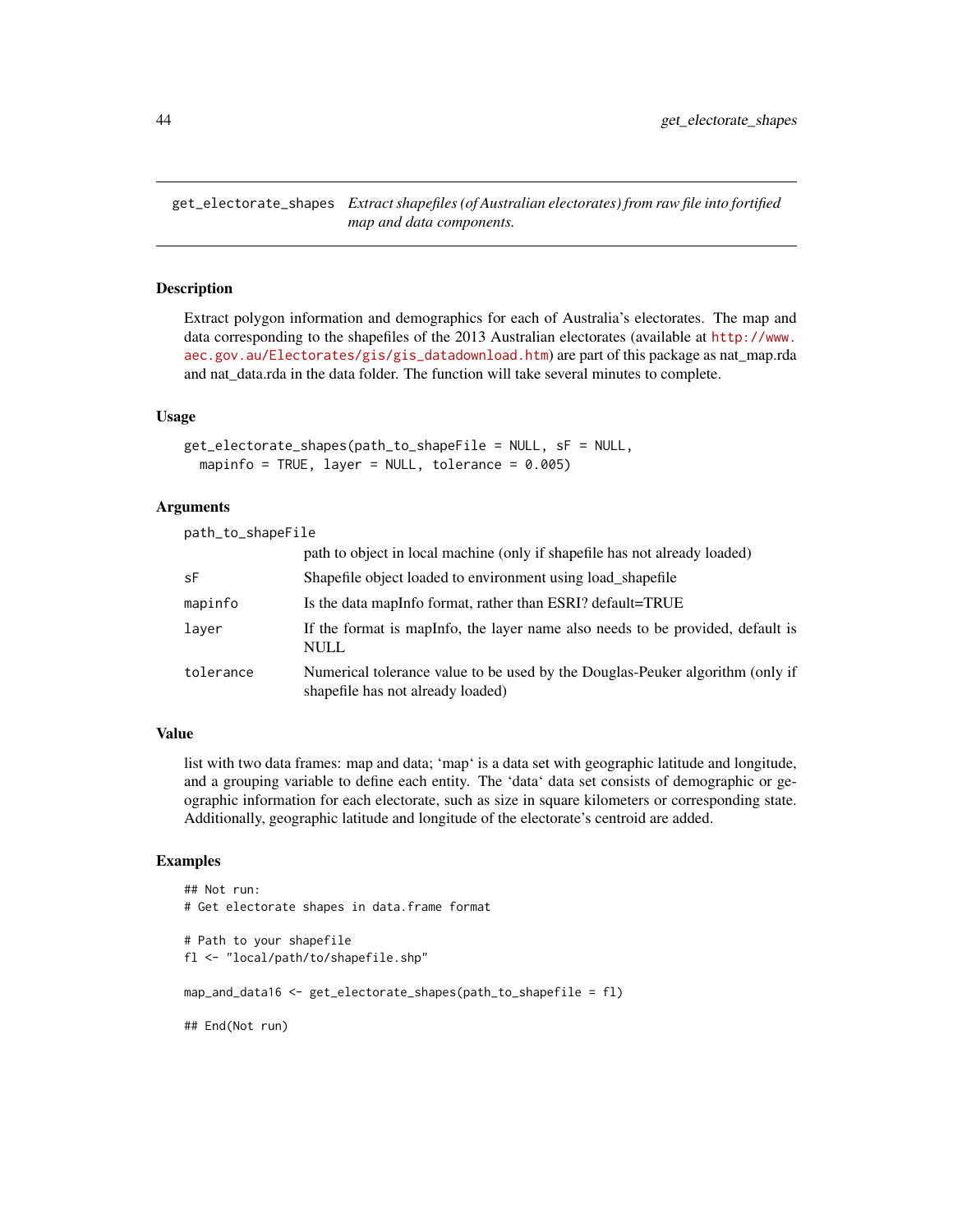<span id="page-43-0"></span>get\_electorate\_shapes *Extract shapefiles (of Australian electorates) from raw file into fortified map and data components.*

#### Description

Extract polygon information and demographics for each of Australia's electorates. The map and data corresponding to the shapefiles of the 2013 Australian electorates (available at [http://www.](http://www.aec.gov.au/Electorates/gis/gis_datadownload.htm) [aec.gov.au/Electorates/gis/gis\\_datadownload.htm](http://www.aec.gov.au/Electorates/gis/gis_datadownload.htm)) are part of this package as nat\_map.rda and nat\_data.rda in the data folder. The function will take several minutes to complete.

#### Usage

```
get_electorate_shapes(path_to_shapeFile = NULL, sF = NULL,
 mapinfo = TRUE, layer = NULL, tolerance = 0.005)
```
#### Arguments

path\_to\_shapeFile

|           | path to object in local machine (only if shapefile has not already loaded)                                         |
|-----------|--------------------------------------------------------------------------------------------------------------------|
| sF        | Shapefile object loaded to environment using load shapefile                                                        |
| mapinfo   | Is the data mapInfo format, rather than ESRI? default=TRUE                                                         |
| laver     | If the format is mapInfo, the layer name also needs to be provided, default is<br><b>NULL</b>                      |
| tolerance | Numerical tolerance value to be used by the Douglas-Peuker algorithm (only if<br>shapefile has not already loaded) |

#### Value

list with two data frames: map and data; 'map' is a data set with geographic latitude and longitude, and a grouping variable to define each entity. The 'data' data set consists of demographic or geographic information for each electorate, such as size in square kilometers or corresponding state. Additionally, geographic latitude and longitude of the electorate's centroid are added.

```
## Not run:
# Get electorate shapes in data.frame format
# Path to your shapefile
fl <- "local/path/to/shapefile.shp"
map_and_data16 <- get_electorate_shapes(path_to_shapefile = fl)
## End(Not run)
```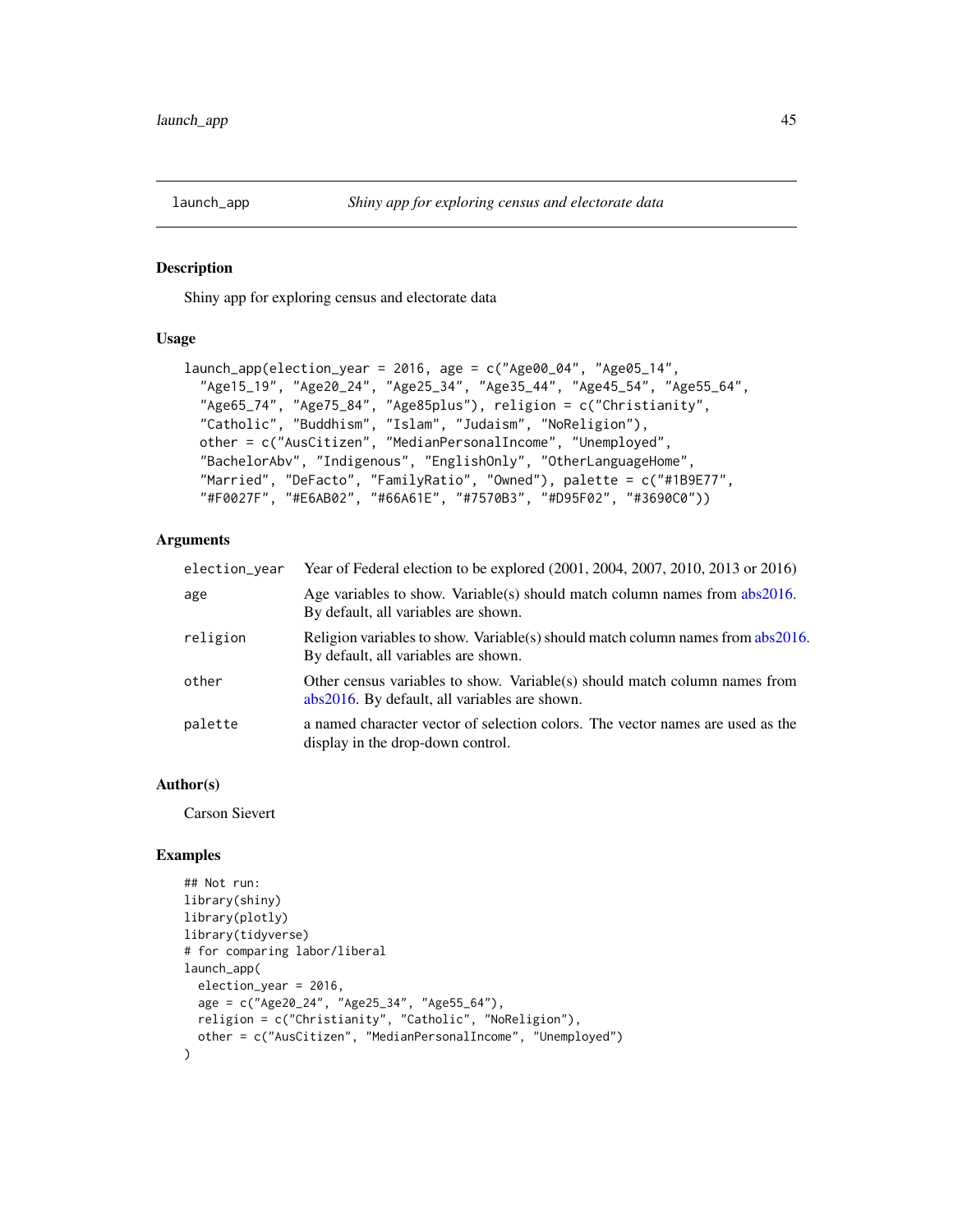<span id="page-44-0"></span>

#### Description

Shiny app for exploring census and electorate data

# Usage

```
launch_app(election_year = 2016, age = c("Age00_04", "Age05_14",
  "Age15_19", "Age20_24", "Age25_34", "Age35_44", "Age45_54", "Age55_64",
 "Age65_74", "Age75_84", "Age85plus"), religion = c("Christianity",
  "Catholic", "Buddhism", "Islam", "Judaism", "NoReligion"),
 other = c("AusCitizen", "MedianPersonalIncome", "Unemployed",
  "BachelorAbv", "Indigenous", "EnglishOnly", "OtherLanguageHome",
  "Married", "DeFacto", "FamilyRatio", "Owned"), palette = c("#1B9E77",
  "#F0027F", "#E6AB02", "#66A61E", "#7570B3", "#D95F02", "#3690C0"))
```
# Arguments

| election_year | Year of Federal election to be explored (2001, 2004, 2007, 2010, 2013 or 2016)                                              |
|---------------|-----------------------------------------------------------------------------------------------------------------------------|
| age           | Age variables to show. Variable(s) should match column names from $abs2016$ .<br>By default, all variables are shown.       |
| religion      | Religion variables to show. Variable(s) should match column names from abs2016.<br>By default, all variables are shown.     |
| other         | Other census variables to show. Variable(s) should match column names from<br>abs2016. By default, all variables are shown. |
| palette       | a named character vector of selection colors. The vector names are used as the<br>display in the drop-down control.         |

#### Author(s)

Carson Sievert

```
## Not run:
library(shiny)
library(plotly)
library(tidyverse)
# for comparing labor/liberal
launch_app(
  election_year = 2016,
  age = c("Age20_24", "Age25_34", "Age55_64"),
  religion = c("Christianity", "Catholic", "NoReligion"),
  other = c("AusCitizen", "MedianPersonalIncome", "Unemployed")
)
```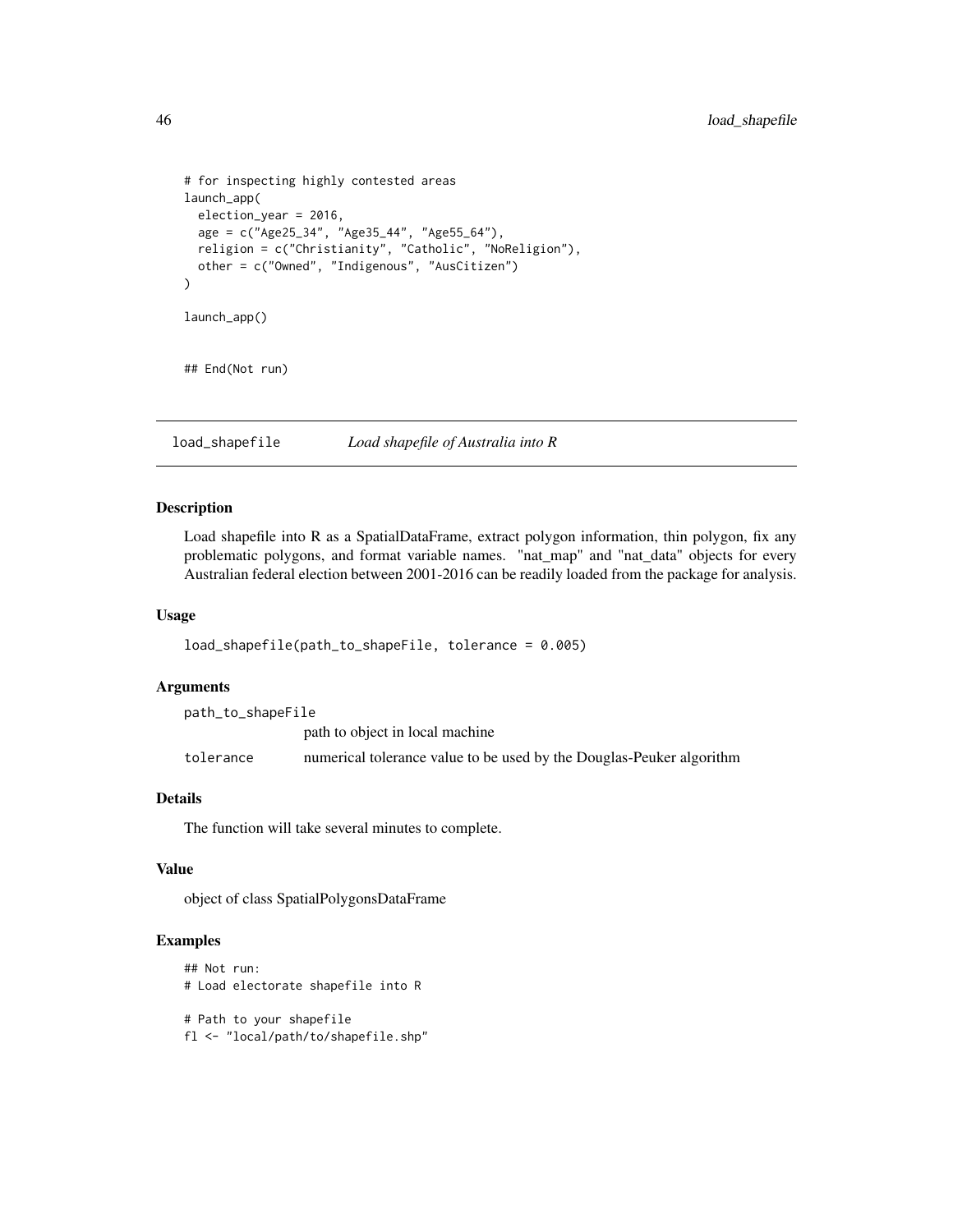```
# for inspecting highly contested areas
launch_app(
  election_year = 2016,
  age = c("Age25_34", "Age35_44", "Age55_64"),
  religion = c("Christianity", "Catholic", "NoReligion"),
  other = c("Owned", "Indigenous", "AusCitizen")
\mathcal{L}launch_app()
## End(Not run)
```
load\_shapefile *Load shapefile of Australia into R*

#### Description

Load shapefile into R as a SpatialDataFrame, extract polygon information, thin polygon, fix any problematic polygons, and format variable names. "nat\_map" and "nat\_data" objects for every Australian federal election between 2001-2016 can be readily loaded from the package for analysis.

### Usage

```
load_shapefile(path_to_shapeFile, tolerance = 0.005)
```
# Arguments

| path_to_shapeFile |                                                                      |
|-------------------|----------------------------------------------------------------------|
|                   | path to object in local machine                                      |
| tolerance         | numerical tolerance value to be used by the Douglas-Peuker algorithm |

# Details

The function will take several minutes to complete.

# Value

object of class SpatialPolygonsDataFrame

```
## Not run:
# Load electorate shapefile into R
# Path to your shapefile
fl <- "local/path/to/shapefile.shp"
```
<span id="page-45-0"></span>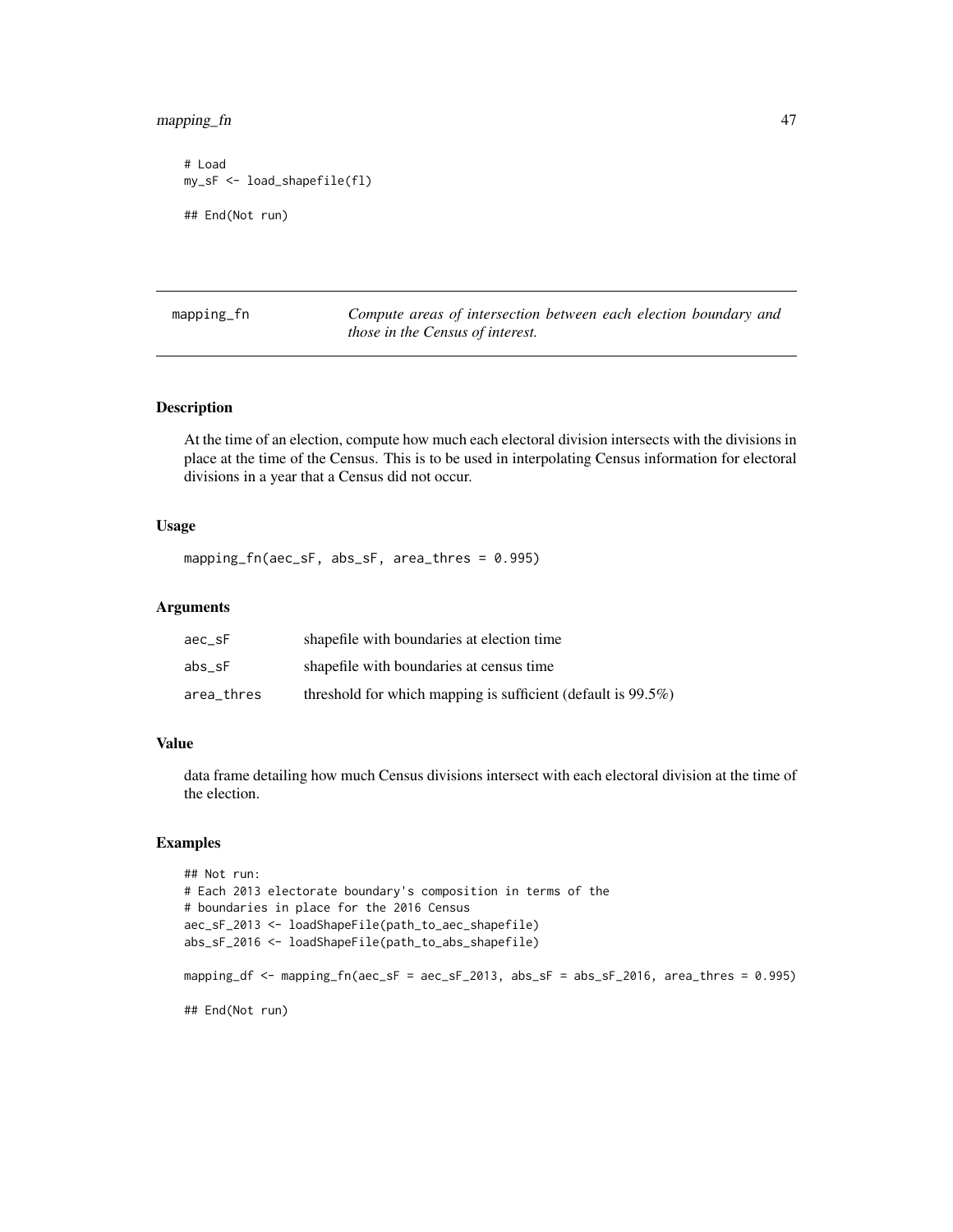# <span id="page-46-0"></span>mapping\_fn 47

```
# Load
my_sF <- load_shapefile(fl)
## End(Not run)
```
mapping\_fn *Compute areas of intersection between each election boundary and those in the Census of interest.*

# Description

At the time of an election, compute how much each electoral division intersects with the divisions in place at the time of the Census. This is to be used in interpolating Census information for electoral divisions in a year that a Census did not occur.

#### Usage

mapping\_fn(aec\_sF, abs\_sF, area\_thres = 0.995)

# Arguments

| aec sF     | shapefile with boundaries at election time                       |
|------------|------------------------------------------------------------------|
| abs sF     | shapefile with boundaries at census time                         |
| area thres | threshold for which mapping is sufficient (default is $99.5\%$ ) |

#### Value

data frame detailing how much Census divisions intersect with each electoral division at the time of the election.

```
## Not run:
# Each 2013 electorate boundary's composition in terms of the
# boundaries in place for the 2016 Census
aec_sF_2013 <- loadShapeFile(path_to_aec_shapefile)
abs_sF_2016 <- loadShapeFile(path_to_abs_shapefile)
mapping_df <- mapping_fn(aec_sF = aec_sF_2013, abs_sF = abs_sF_2016, area_thres = 0.995)
## End(Not run)
```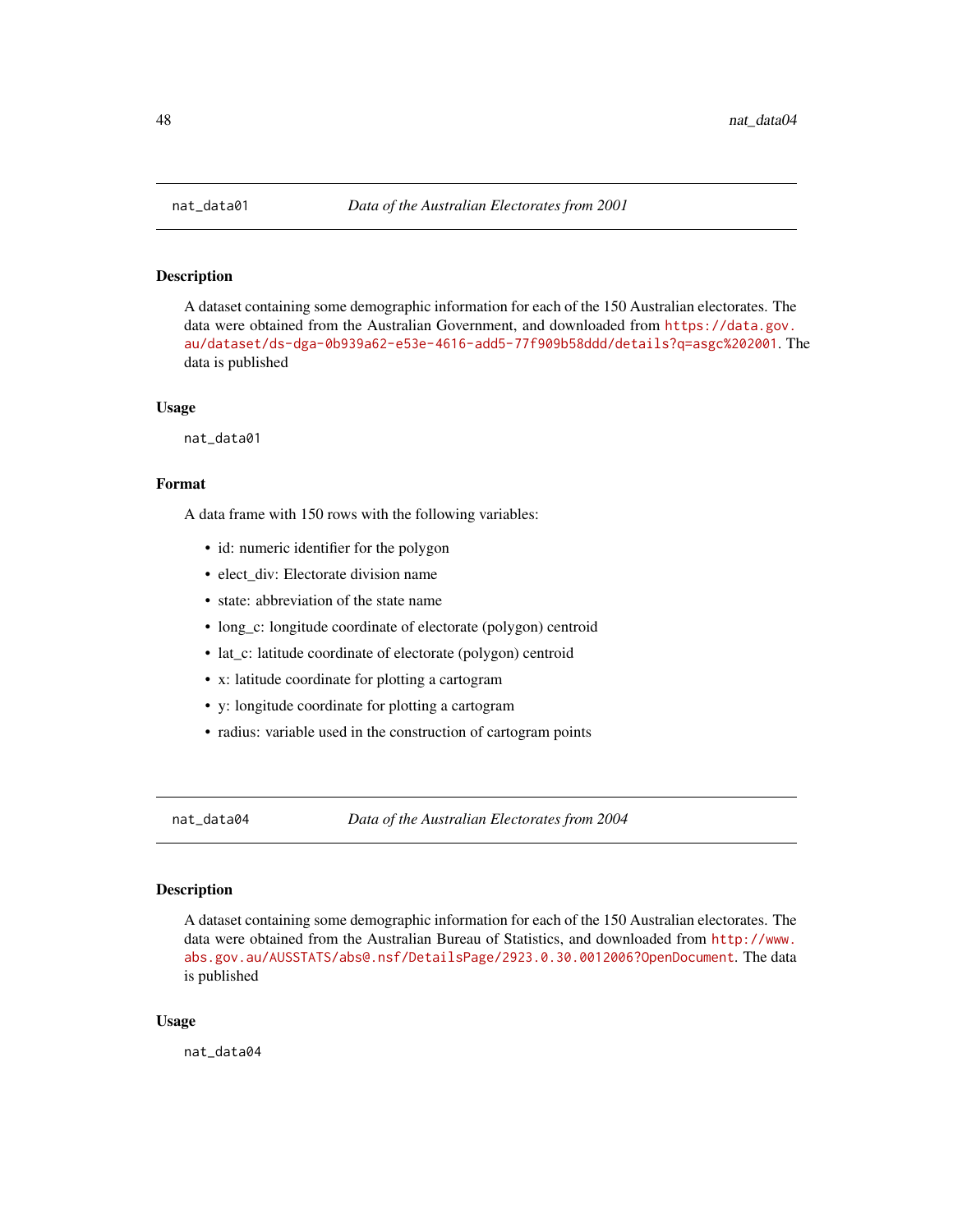<span id="page-47-0"></span>

# Description

A dataset containing some demographic information for each of the 150 Australian electorates. The data were obtained from the Australian Government, and downloaded from [https://data.gov.](https://data.gov.au/dataset/ds-dga-0b939a62-e53e-4616-add5-77f909b58ddd/details?q=asgc%202001) [au/dataset/ds-dga-0b939a62-e53e-4616-add5-77f909b58ddd/details?q=asgc%202001](https://data.gov.au/dataset/ds-dga-0b939a62-e53e-4616-add5-77f909b58ddd/details?q=asgc%202001). The data is published

#### Usage

nat\_data01

#### Format

A data frame with 150 rows with the following variables:

- id: numeric identifier for the polygon
- elect div: Electorate division name
- state: abbreviation of the state name
- long\_c: longitude coordinate of electorate (polygon) centroid
- lat\_c: latitude coordinate of electorate (polygon) centroid
- x: latitude coordinate for plotting a cartogram
- y: longitude coordinate for plotting a cartogram
- radius: variable used in the construction of cartogram points

nat\_data04 *Data of the Australian Electorates from 2004*

#### Description

A dataset containing some demographic information for each of the 150 Australian electorates. The data were obtained from the Australian Bureau of Statistics, and downloaded from [http://www.](http://www.abs.gov.au/AUSSTATS/abs@.nsf/DetailsPage/2923.0.30.0012006?OpenDocument) [abs.gov.au/AUSSTATS/abs@.nsf/DetailsPage/2923.0.30.0012006?OpenDocument](http://www.abs.gov.au/AUSSTATS/abs@.nsf/DetailsPage/2923.0.30.0012006?OpenDocument). The data is published

#### Usage

nat data04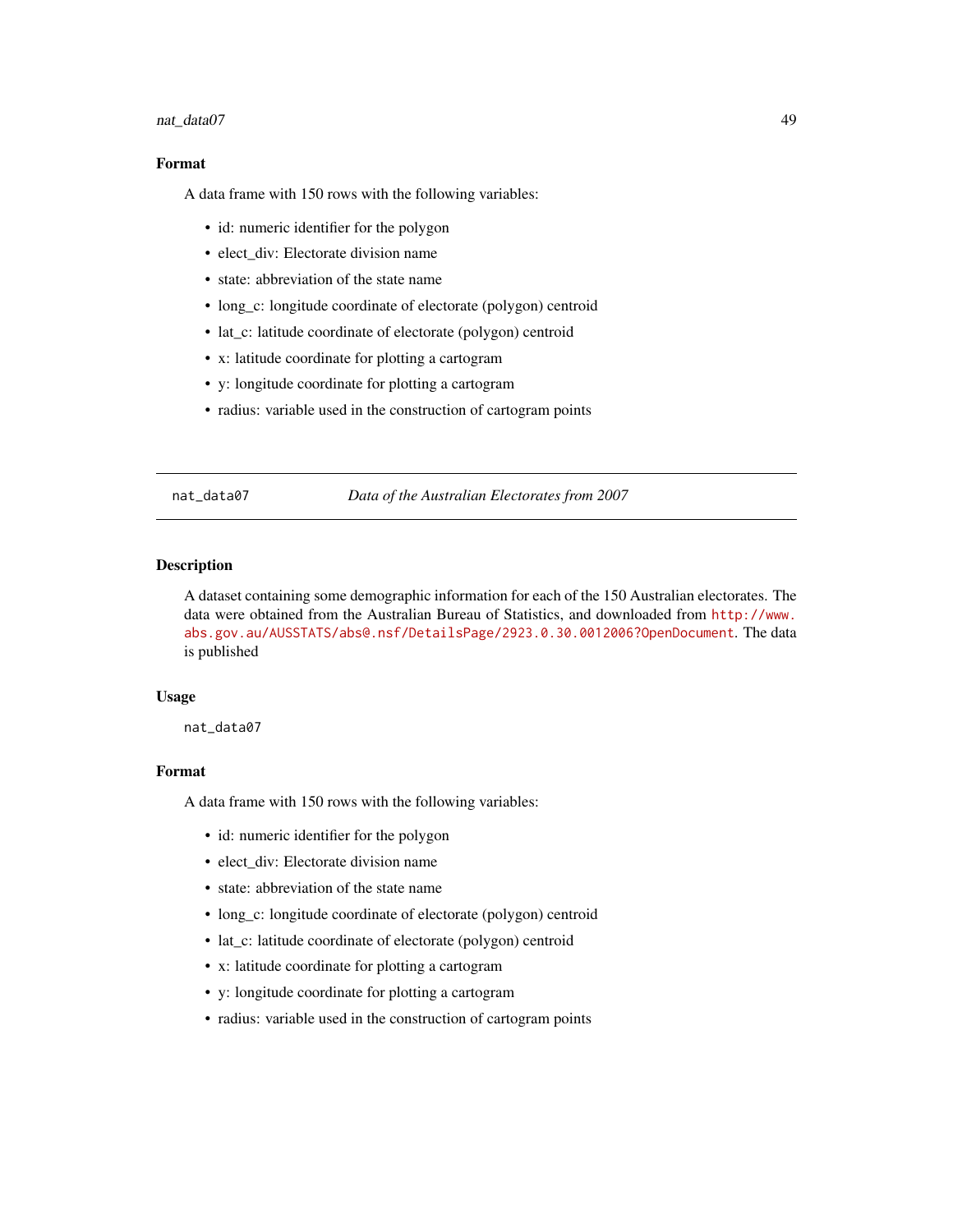#### <span id="page-48-0"></span>nat\_data07 49

# Format

A data frame with 150 rows with the following variables:

- id: numeric identifier for the polygon
- elect\_div: Electorate division name
- state: abbreviation of the state name
- long\_c: longitude coordinate of electorate (polygon) centroid
- lat\_c: latitude coordinate of electorate (polygon) centroid
- x: latitude coordinate for plotting a cartogram
- y: longitude coordinate for plotting a cartogram
- radius: variable used in the construction of cartogram points

nat\_data07 *Data of the Australian Electorates from 2007*

#### Description

A dataset containing some demographic information for each of the 150 Australian electorates. The data were obtained from the Australian Bureau of Statistics, and downloaded from [http://www.](http://www.abs.gov.au/AUSSTATS/abs@.nsf/DetailsPage/2923.0.30.0012006?OpenDocument) [abs.gov.au/AUSSTATS/abs@.nsf/DetailsPage/2923.0.30.0012006?OpenDocument](http://www.abs.gov.au/AUSSTATS/abs@.nsf/DetailsPage/2923.0.30.0012006?OpenDocument). The data is published

#### Usage

nat\_data07

#### Format

A data frame with 150 rows with the following variables:

- id: numeric identifier for the polygon
- elect div: Electorate division name
- state: abbreviation of the state name
- long\_c: longitude coordinate of electorate (polygon) centroid
- lat\_c: latitude coordinate of electorate (polygon) centroid
- x: latitude coordinate for plotting a cartogram
- y: longitude coordinate for plotting a cartogram
- radius: variable used in the construction of cartogram points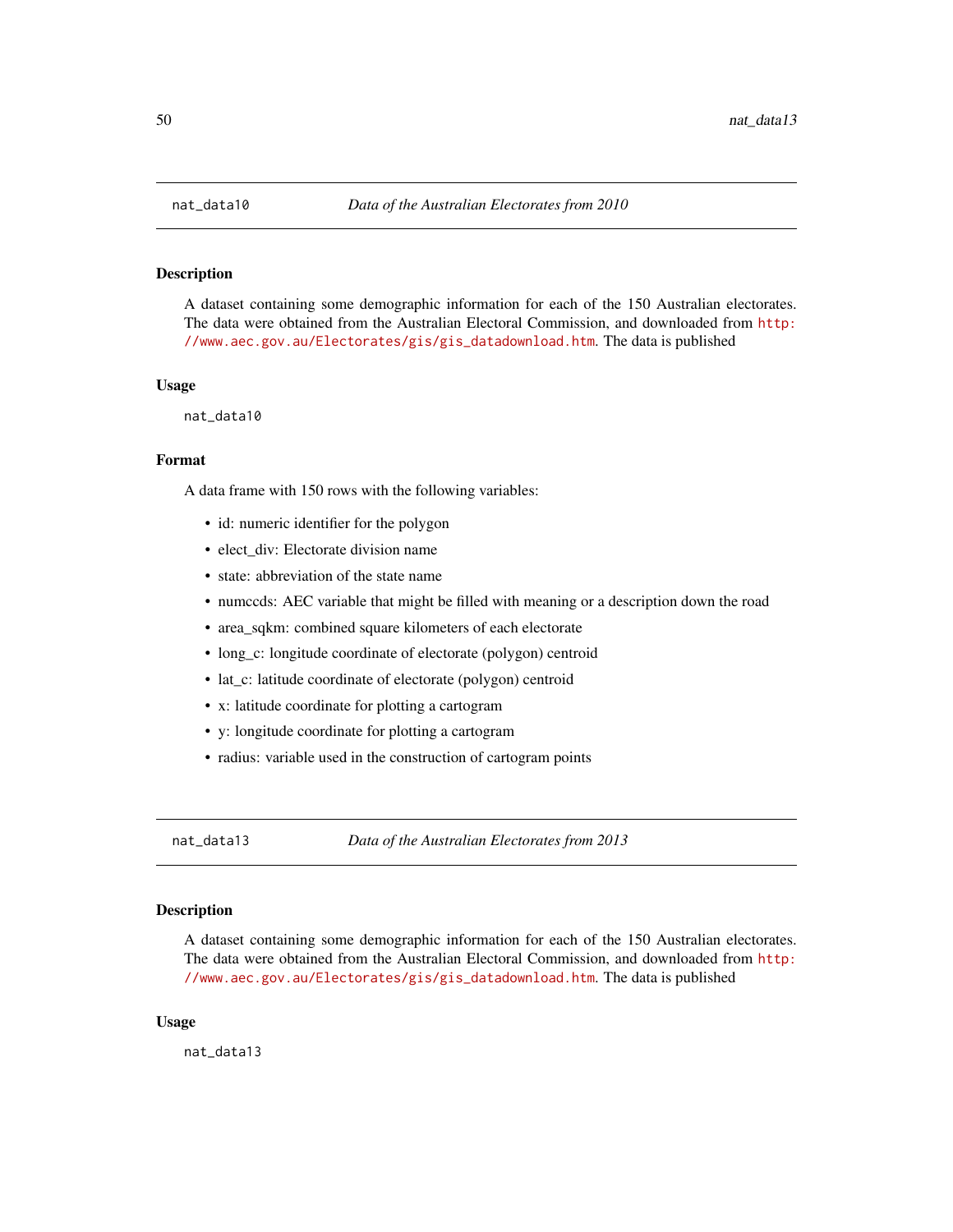# Description

A dataset containing some demographic information for each of the 150 Australian electorates. The data were obtained from the Australian Electoral Commission, and downloaded from [http:](http://www.aec.gov.au/Electorates/gis/gis_datadownload.htm) [//www.aec.gov.au/Electorates/gis/gis\\_datadownload.htm](http://www.aec.gov.au/Electorates/gis/gis_datadownload.htm). The data is published

#### Usage

nat\_data10

#### Format

A data frame with 150 rows with the following variables:

- id: numeric identifier for the polygon
- elect\_div: Electorate division name
- state: abbreviation of the state name
- numccds: AEC variable that might be filled with meaning or a description down the road
- area\_sqkm: combined square kilometers of each electorate
- long\_c: longitude coordinate of electorate (polygon) centroid
- lat\_c: latitude coordinate of electorate (polygon) centroid
- x: latitude coordinate for plotting a cartogram
- y: longitude coordinate for plotting a cartogram
- radius: variable used in the construction of cartogram points

nat\_data13 *Data of the Australian Electorates from 2013*

#### Description

A dataset containing some demographic information for each of the 150 Australian electorates. The data were obtained from the Australian Electoral Commission, and downloaded from [http:](http://www.aec.gov.au/Electorates/gis/gis_datadownload.htm) [//www.aec.gov.au/Electorates/gis/gis\\_datadownload.htm](http://www.aec.gov.au/Electorates/gis/gis_datadownload.htm). The data is published

#### Usage

nat data13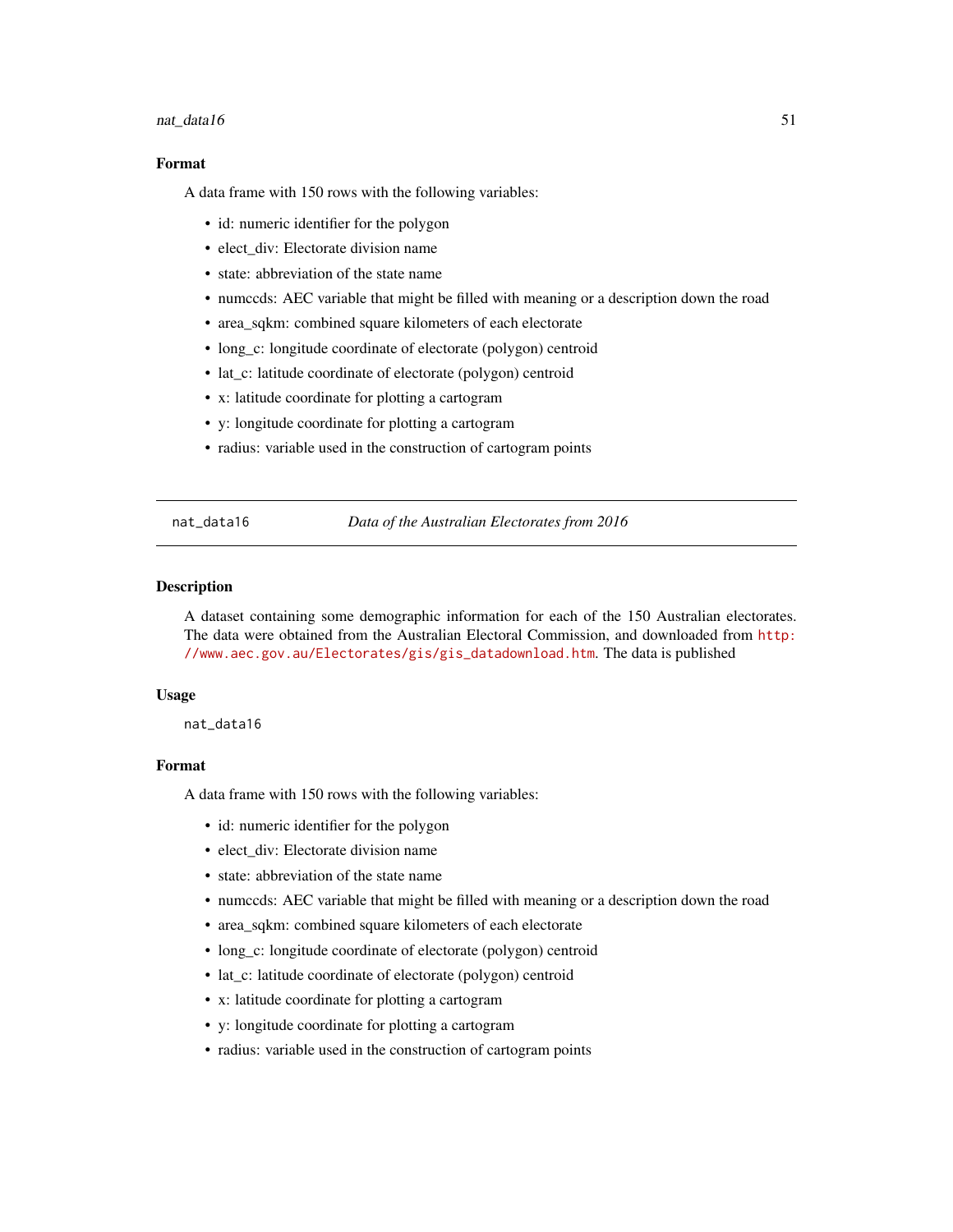#### <span id="page-50-0"></span> $n_1$  at  $\frac{1}{2}$  at  $\frac{1}{2}$  51

# Format

A data frame with 150 rows with the following variables:

- id: numeric identifier for the polygon
- elect div: Electorate division name
- state: abbreviation of the state name
- numccds: AEC variable that might be filled with meaning or a description down the road
- area\_sqkm: combined square kilometers of each electorate
- long\_c: longitude coordinate of electorate (polygon) centroid
- lat c: latitude coordinate of electorate (polygon) centroid
- x: latitude coordinate for plotting a cartogram
- y: longitude coordinate for plotting a cartogram
- radius: variable used in the construction of cartogram points

nat\_data16 *Data of the Australian Electorates from 2016*

#### Description

A dataset containing some demographic information for each of the 150 Australian electorates. The data were obtained from the Australian Electoral Commission, and downloaded from [http:](http://www.aec.gov.au/Electorates/gis/gis_datadownload.htm) [//www.aec.gov.au/Electorates/gis/gis\\_datadownload.htm](http://www.aec.gov.au/Electorates/gis/gis_datadownload.htm). The data is published

#### Usage

nat data16

# Format

A data frame with 150 rows with the following variables:

- id: numeric identifier for the polygon
- elect\_div: Electorate division name
- state: abbreviation of the state name
- numccds: AEC variable that might be filled with meaning or a description down the road
- area\_sqkm: combined square kilometers of each electorate
- long\_c: longitude coordinate of electorate (polygon) centroid
- lat\_c: latitude coordinate of electorate (polygon) centroid
- x: latitude coordinate for plotting a cartogram
- y: longitude coordinate for plotting a cartogram
- radius: variable used in the construction of cartogram points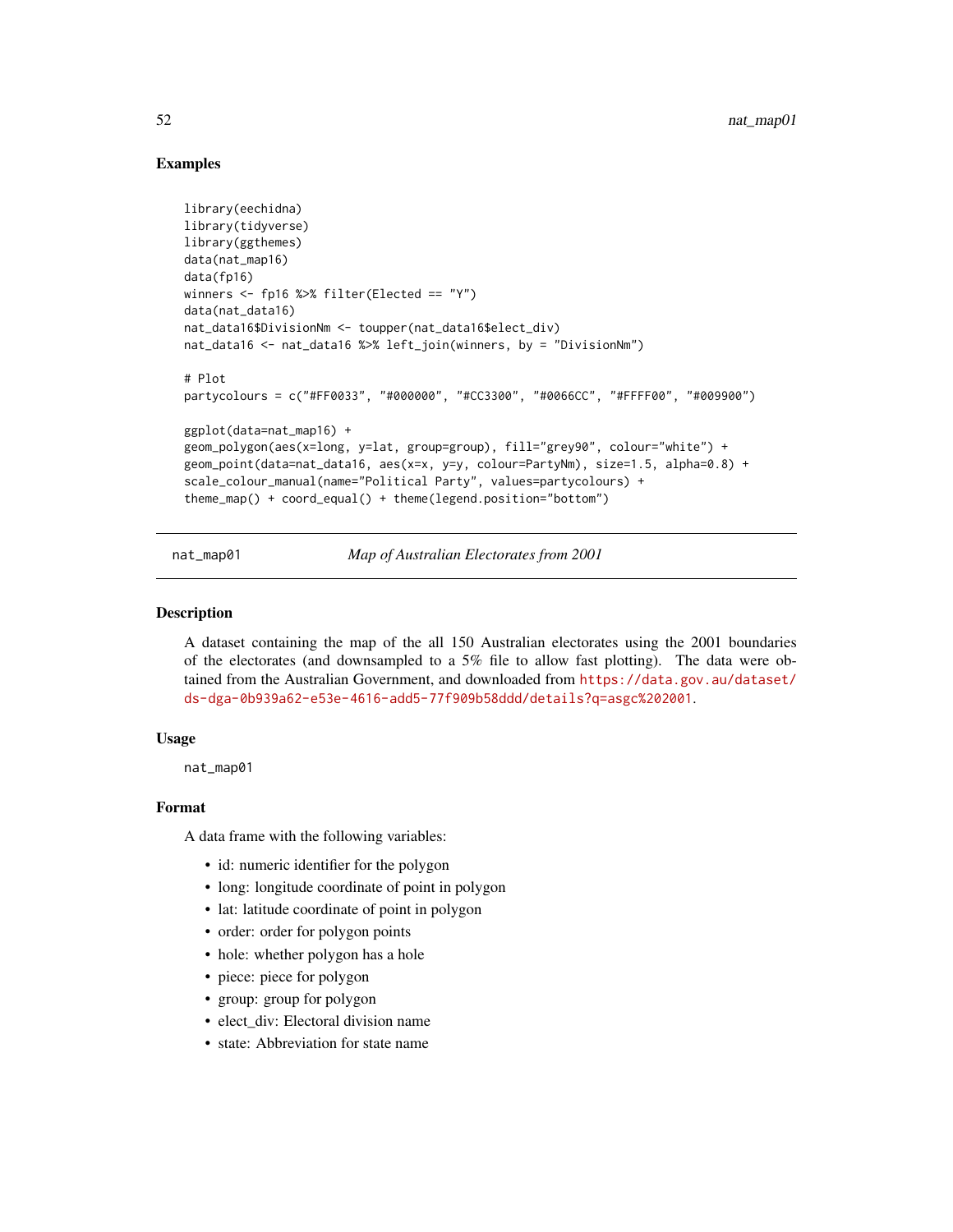# Examples

```
library(eechidna)
library(tidyverse)
library(ggthemes)
data(nat_map16)
data(fp16)
winners <- fp16 %>% filter(Elected == "Y")
data(nat_data16)
nat_data16$DivisionNm <- toupper(nat_data16$elect_div)
nat_data16 <- nat_data16 %>% left_join(winners, by = "DivisionNm")
# Plot
partycolours = c("#FF0033", "#000000", "#CC3300", "#0066CC", "#FFFF00", "#009900")
ggplot(data=nat_map16) +
geom_polygon(aes(x=long, y=lat, group=group), fill="grey90", colour="white") +
geom_point(data=nat_data16, aes(x=x, y=y, colour=PartyNm), size=1.5, alpha=0.8) +
scale_colour_manual(name="Political Party", values=partycolours) +
theme_map() + coord_equal() + theme(legend.position="bottom")
```
nat\_map01 *Map of Australian Electorates from 2001*

#### Description

A dataset containing the map of the all 150 Australian electorates using the 2001 boundaries of the electorates (and downsampled to a 5% file to allow fast plotting). The data were obtained from the Australian Government, and downloaded from [https://data.gov.au/dataset/](https://data.gov.au/dataset/ds-dga-0b939a62-e53e-4616-add5-77f909b58ddd/details?q=asgc%202001) [ds-dga-0b939a62-e53e-4616-add5-77f909b58ddd/details?q=asgc%202001](https://data.gov.au/dataset/ds-dga-0b939a62-e53e-4616-add5-77f909b58ddd/details?q=asgc%202001).

#### Usage

```
nat_map01
```
# Format

- id: numeric identifier for the polygon
- long: longitude coordinate of point in polygon
- lat: latitude coordinate of point in polygon
- order: order for polygon points
- hole: whether polygon has a hole
- piece: piece for polygon
- group: group for polygon
- elect div: Electoral division name
- state: Abbreviation for state name

<span id="page-51-0"></span>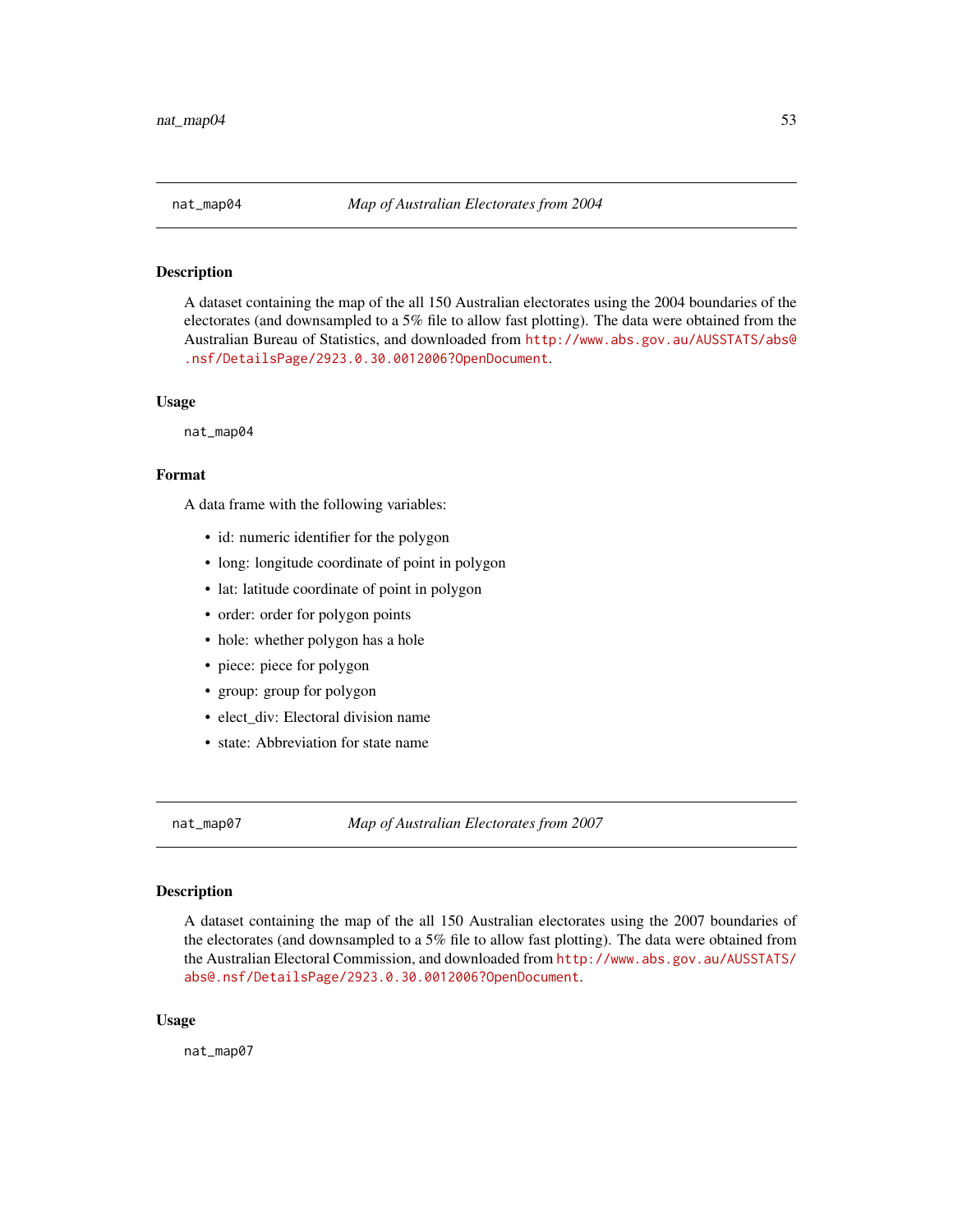<span id="page-52-0"></span>

# Description

A dataset containing the map of the all 150 Australian electorates using the 2004 boundaries of the electorates (and downsampled to a 5% file to allow fast plotting). The data were obtained from the Australian Bureau of Statistics, and downloaded from [http://www.abs.gov.au/AUSSTATS/abs@](http://www.abs.gov.au/AUSSTATS/abs@.nsf/DetailsPage/2923.0.30.0012006?OpenDocument) [.nsf/DetailsPage/2923.0.30.0012006?OpenDocument](http://www.abs.gov.au/AUSSTATS/abs@.nsf/DetailsPage/2923.0.30.0012006?OpenDocument).

#### Usage

nat\_map04

# Format

A data frame with the following variables:

- id: numeric identifier for the polygon
- long: longitude coordinate of point in polygon
- lat: latitude coordinate of point in polygon
- order: order for polygon points
- hole: whether polygon has a hole
- piece: piece for polygon
- group: group for polygon
- elect\_div: Electoral division name
- state: Abbreviation for state name

nat\_map07 *Map of Australian Electorates from 2007*

#### Description

A dataset containing the map of the all 150 Australian electorates using the 2007 boundaries of the electorates (and downsampled to a 5% file to allow fast plotting). The data were obtained from the Australian Electoral Commission, and downloaded from [http://www.abs.gov.au/AUSSTATS/](http://www.abs.gov.au/AUSSTATS/abs@.nsf/DetailsPage/2923.0.30.0012006?OpenDocument) [abs@.nsf/DetailsPage/2923.0.30.0012006?OpenDocument](http://www.abs.gov.au/AUSSTATS/abs@.nsf/DetailsPage/2923.0.30.0012006?OpenDocument).

#### Usage

nat\_map07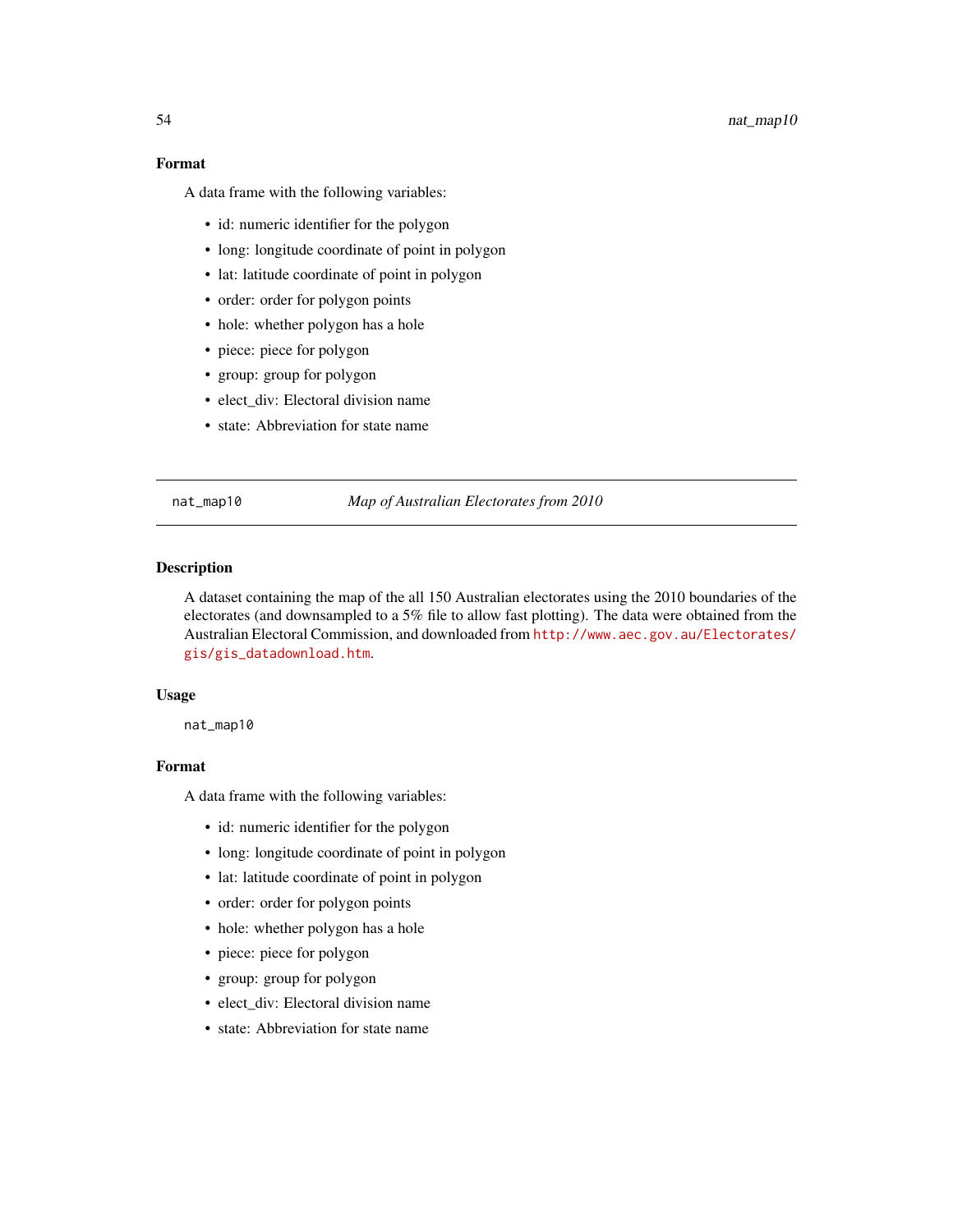# Format

A data frame with the following variables:

- id: numeric identifier for the polygon
- long: longitude coordinate of point in polygon
- lat: latitude coordinate of point in polygon
- order: order for polygon points
- hole: whether polygon has a hole
- piece: piece for polygon
- group: group for polygon
- elect\_div: Electoral division name
- state: Abbreviation for state name

#### nat\_map10 *Map of Australian Electorates from 2010*

#### Description

A dataset containing the map of the all 150 Australian electorates using the 2010 boundaries of the electorates (and downsampled to a 5% file to allow fast plotting). The data were obtained from the Australian Electoral Commission, and downloaded from [http://www.aec.gov.au/Electorates/](http://www.aec.gov.au/Electorates/gis/gis_datadownload.htm) [gis/gis\\_datadownload.htm](http://www.aec.gov.au/Electorates/gis/gis_datadownload.htm).

# Usage

nat\_map10

# Format

- id: numeric identifier for the polygon
- long: longitude coordinate of point in polygon
- lat: latitude coordinate of point in polygon
- order: order for polygon points
- hole: whether polygon has a hole
- piece: piece for polygon
- group: group for polygon
- elect div: Electoral division name
- state: Abbreviation for state name

<span id="page-53-0"></span>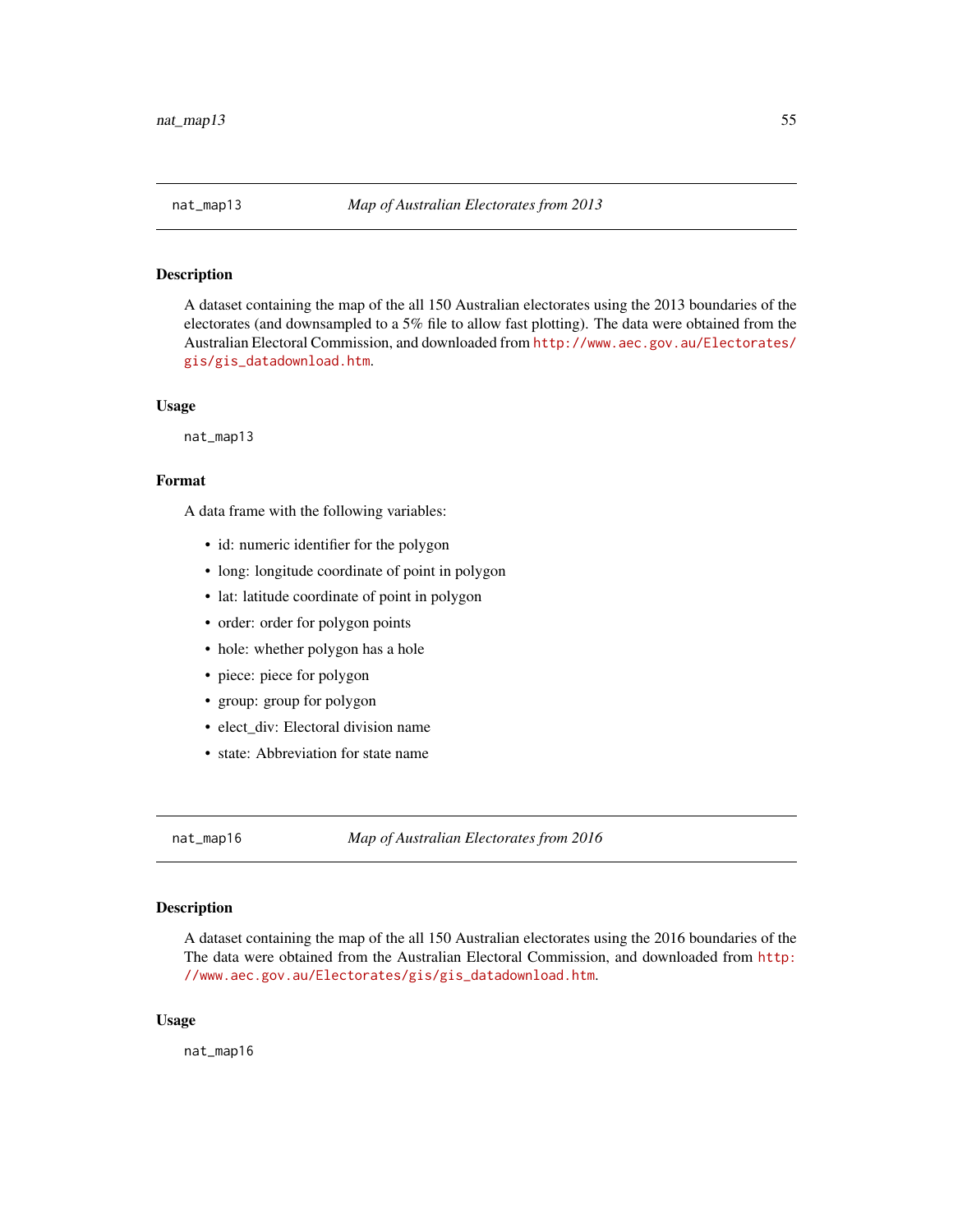#### <span id="page-54-0"></span>**Description**

A dataset containing the map of the all 150 Australian electorates using the 2013 boundaries of the electorates (and downsampled to a 5% file to allow fast plotting). The data were obtained from the Australian Electoral Commission, and downloaded from [http://www.aec.gov.au/Electorates/](http://www.aec.gov.au/Electorates/gis/gis_datadownload.htm) [gis/gis\\_datadownload.htm](http://www.aec.gov.au/Electorates/gis/gis_datadownload.htm).

#### Usage

nat\_map13

# Format

A data frame with the following variables:

- id: numeric identifier for the polygon
- long: longitude coordinate of point in polygon
- lat: latitude coordinate of point in polygon
- order: order for polygon points
- hole: whether polygon has a hole
- piece: piece for polygon
- group: group for polygon
- elect\_div: Electoral division name
- state: Abbreviation for state name

nat\_map16 *Map of Australian Electorates from 2016*

# Description

A dataset containing the map of the all 150 Australian electorates using the 2016 boundaries of the The data were obtained from the Australian Electoral Commission, and downloaded from [http:](http://www.aec.gov.au/Electorates/gis/gis_datadownload.htm) [//www.aec.gov.au/Electorates/gis/gis\\_datadownload.htm](http://www.aec.gov.au/Electorates/gis/gis_datadownload.htm).

### Usage

nat\_map16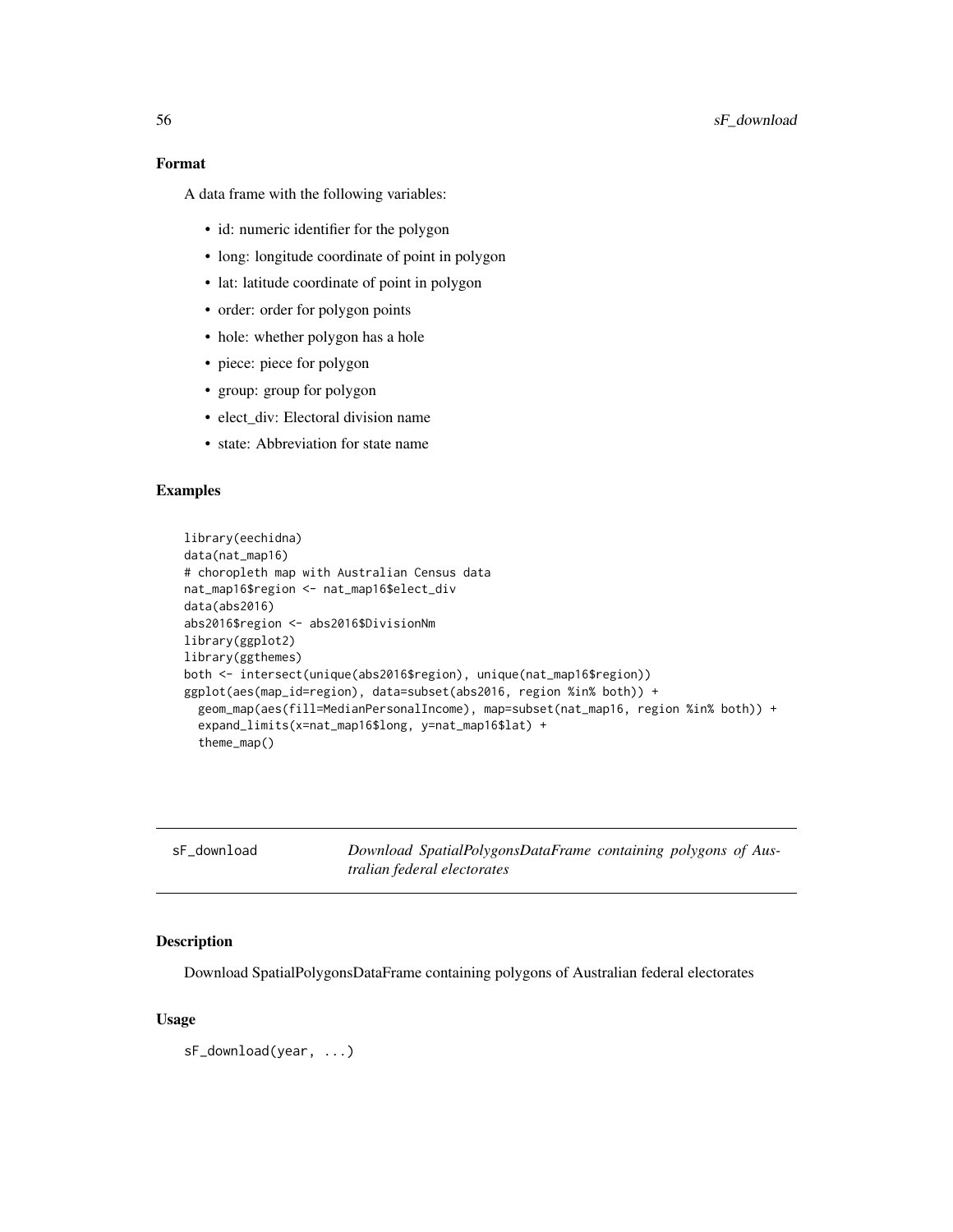# Format

A data frame with the following variables:

- id: numeric identifier for the polygon
- long: longitude coordinate of point in polygon
- lat: latitude coordinate of point in polygon
- order: order for polygon points
- hole: whether polygon has a hole
- piece: piece for polygon
- group: group for polygon
- elect\_div: Electoral division name
- state: Abbreviation for state name

# Examples

```
library(eechidna)
data(nat_map16)
# choropleth map with Australian Census data
nat_map16$region <- nat_map16$elect_div
data(abs2016)
abs2016$region <- abs2016$DivisionNm
library(ggplot2)
library(ggthemes)
both <- intersect(unique(abs2016$region), unique(nat_map16$region))
ggplot(aes(map_id=region), data=subset(abs2016, region %in% both)) +
  geom_map(aes(fill=MedianPersonalIncome), map=subset(nat_map16, region %in% both)) +
  expand_limits(x=nat_map16$long, y=nat_map16$lat) +
  theme_map()
```

| sF download | Download SpatialPolygonsDataFrame containing polygons of Aus- |  |  |
|-------------|---------------------------------------------------------------|--|--|
|             | tralian federal electorates                                   |  |  |

#### Description

Download SpatialPolygonsDataFrame containing polygons of Australian federal electorates

# Usage

sF\_download(year, ...)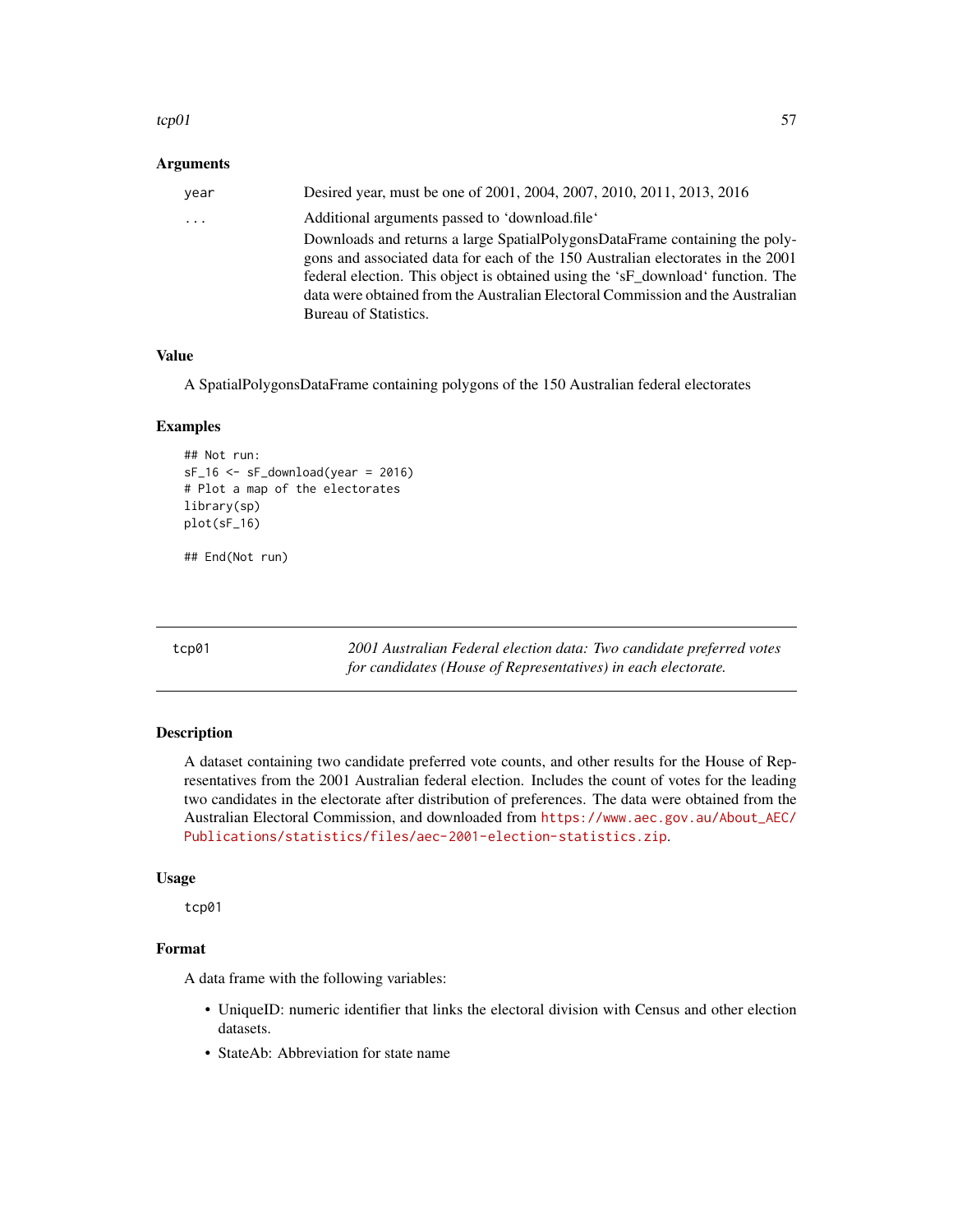#### <span id="page-56-0"></span> $\epsilon$ tcp01 57

### Arguments

| vear | Desired year, must be one of 2001, 2004, 2007, 2010, 2011, 2013, 2016                                                                                                                                                                                                                                                               |
|------|-------------------------------------------------------------------------------------------------------------------------------------------------------------------------------------------------------------------------------------------------------------------------------------------------------------------------------------|
| .    | Additional arguments passed to 'download.file'                                                                                                                                                                                                                                                                                      |
|      | Downloads and returns a large SpatialPolygonsDataFrame containing the poly-<br>gons and associated data for each of the 150 Australian electorates in the 2001<br>federal election. This object is obtained using the 'sF download' function. The<br>data were obtained from the Australian Electoral Commission and the Australian |
|      | Bureau of Statistics.                                                                                                                                                                                                                                                                                                               |

# Value

A SpatialPolygonsDataFrame containing polygons of the 150 Australian federal electorates

#### Examples

```
## Not run:
sF_16 \leq sF_download(year = 2016)# Plot a map of the electorates
library(sp)
plot(sF_16)
```
## End(Not run)

tcp01 *2001 Australian Federal election data: Two candidate preferred votes for candidates (House of Representatives) in each electorate.*

# Description

A dataset containing two candidate preferred vote counts, and other results for the House of Representatives from the 2001 Australian federal election. Includes the count of votes for the leading two candidates in the electorate after distribution of preferences. The data were obtained from the Australian Electoral Commission, and downloaded from [https://www.aec.gov.au/About\\_AEC/](https://www.aec.gov.au/About_AEC/Publications/statistics/files/aec-2001-election-statistics.zip) [Publications/statistics/files/aec-2001-election-statistics.zip](https://www.aec.gov.au/About_AEC/Publications/statistics/files/aec-2001-election-statistics.zip).

#### Usage

tcp01

# Format

- UniqueID: numeric identifier that links the electoral division with Census and other election datasets.
- StateAb: Abbreviation for state name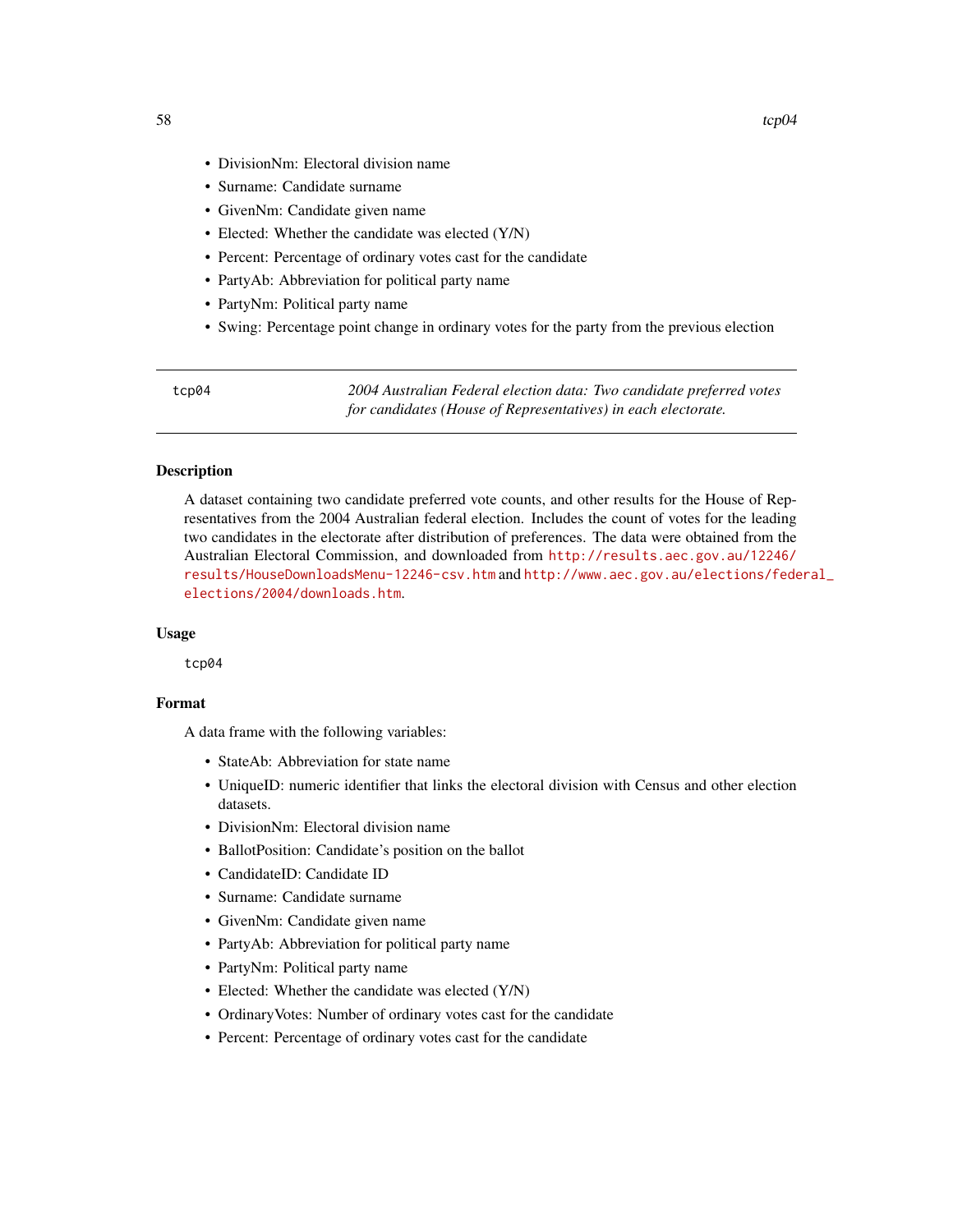- <span id="page-57-0"></span>• DivisionNm: Electoral division name
- Surname: Candidate surname
- GivenNm: Candidate given name
- Elected: Whether the candidate was elected (Y/N)
- Percent: Percentage of ordinary votes cast for the candidate
- PartyAb: Abbreviation for political party name
- PartyNm: Political party name
- Swing: Percentage point change in ordinary votes for the party from the previous election

tcp04 *2004 Australian Federal election data: Two candidate preferred votes for candidates (House of Representatives) in each electorate.*

# **Description**

A dataset containing two candidate preferred vote counts, and other results for the House of Representatives from the 2004 Australian federal election. Includes the count of votes for the leading two candidates in the electorate after distribution of preferences. The data were obtained from the Australian Electoral Commission, and downloaded from [http://results.aec.gov.au/12246/](http://results.aec.gov.au/12246/results/HouseDownloadsMenu-12246-csv.htm) [results/HouseDownloadsMenu-12246-csv.htm](http://results.aec.gov.au/12246/results/HouseDownloadsMenu-12246-csv.htm) and [http://www.aec.gov.au/elections/fede](http://www.aec.gov.au/elections/federal_elections/2004/downloads.htm)ral\_ [elections/2004/downloads.htm](http://www.aec.gov.au/elections/federal_elections/2004/downloads.htm).

# Usage

tcp04

# Format

- StateAb: Abbreviation for state name
- UniqueID: numeric identifier that links the electoral division with Census and other election datasets.
- DivisionNm: Electoral division name
- BallotPosition: Candidate's position on the ballot
- CandidateID: Candidate ID
- Surname: Candidate surname
- GivenNm: Candidate given name
- PartyAb: Abbreviation for political party name
- PartyNm: Political party name
- Elected: Whether the candidate was elected (Y/N)
- OrdinaryVotes: Number of ordinary votes cast for the candidate
- Percent: Percentage of ordinary votes cast for the candidate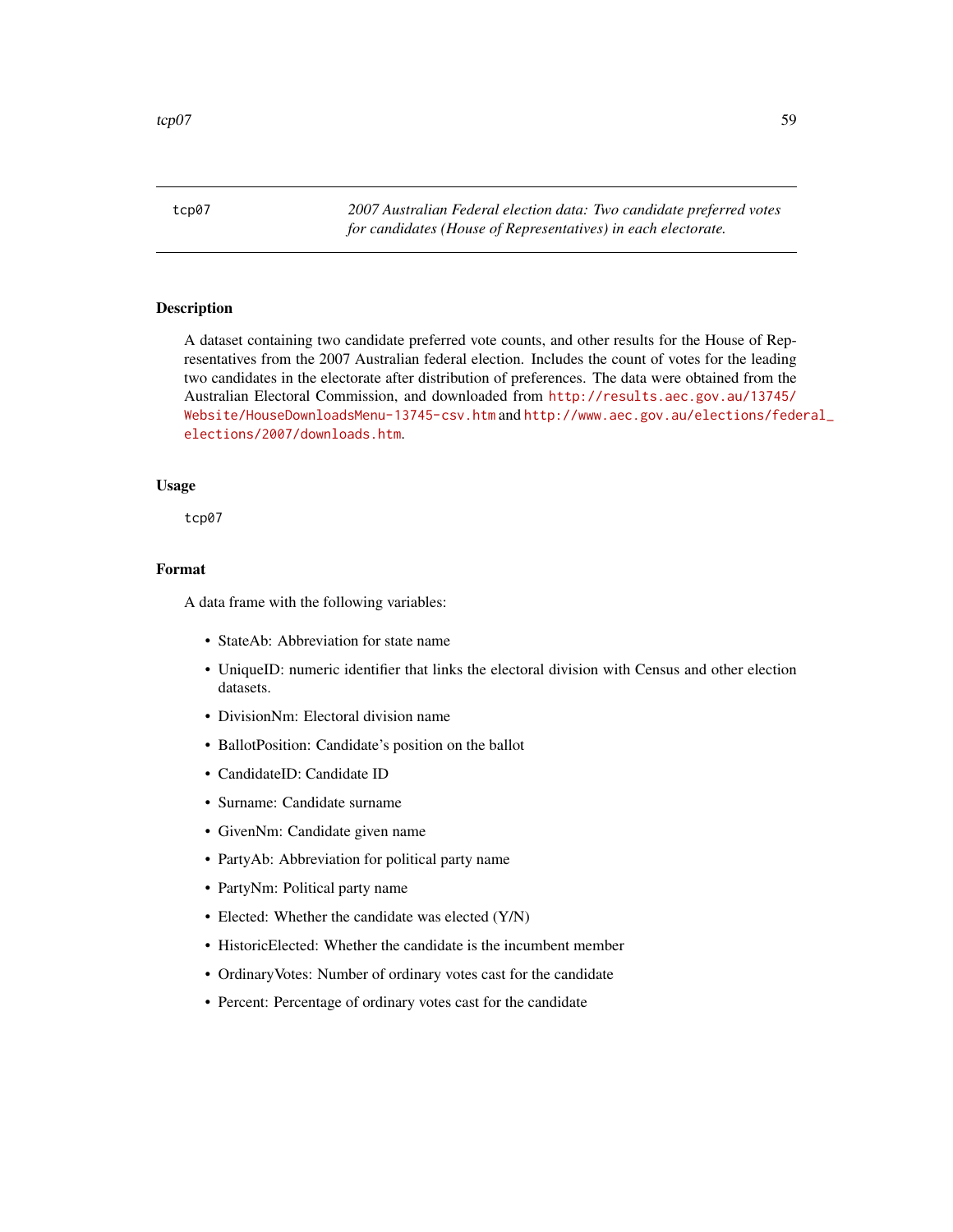<span id="page-58-0"></span>tcp07 *2007 Australian Federal election data: Two candidate preferred votes for candidates (House of Representatives) in each electorate.*

# **Description**

A dataset containing two candidate preferred vote counts, and other results for the House of Representatives from the 2007 Australian federal election. Includes the count of votes for the leading two candidates in the electorate after distribution of preferences. The data were obtained from the Australian Electoral Commission, and downloaded from [http://results.aec.gov.au/13745/](http://results.aec.gov.au/13745/Website/HouseDownloadsMenu-13745-csv.htm) [Website/HouseDownloadsMenu-13745-csv.htm](http://results.aec.gov.au/13745/Website/HouseDownloadsMenu-13745-csv.htm) and [http://www.aec.gov.au/elections/fede](http://www.aec.gov.au/elections/federal_elections/2007/downloads.htm)ral\_ [elections/2007/downloads.htm](http://www.aec.gov.au/elections/federal_elections/2007/downloads.htm).

#### Usage

tcp07

## Format

- StateAb: Abbreviation for state name
- UniqueID: numeric identifier that links the electoral division with Census and other election datasets.
- DivisionNm: Electoral division name
- BallotPosition: Candidate's position on the ballot
- CandidateID: Candidate ID
- Surname: Candidate surname
- GivenNm: Candidate given name
- PartyAb: Abbreviation for political party name
- PartyNm: Political party name
- Elected: Whether the candidate was elected (Y/N)
- HistoricElected: Whether the candidate is the incumbent member
- OrdinaryVotes: Number of ordinary votes cast for the candidate
- Percent: Percentage of ordinary votes cast for the candidate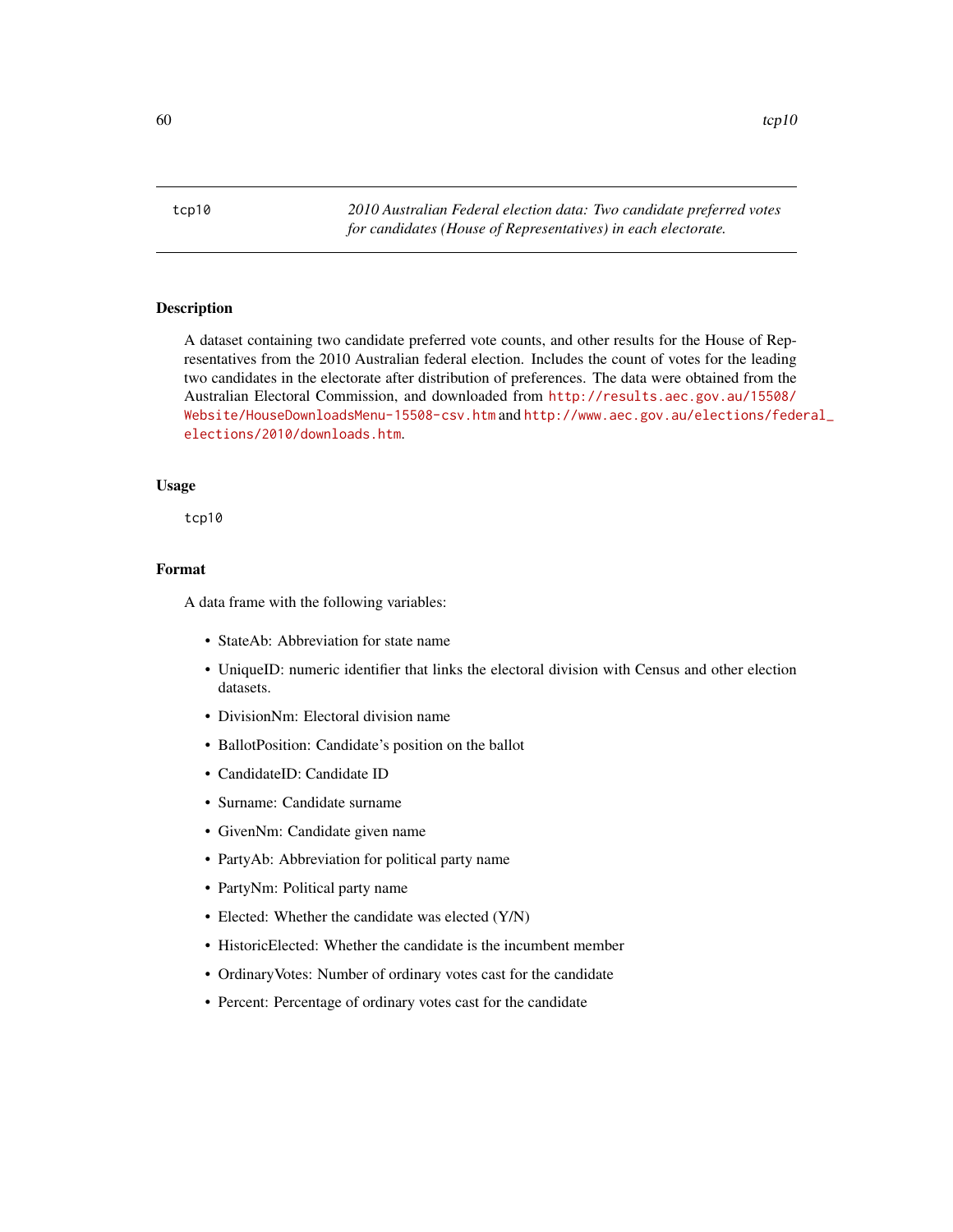<span id="page-59-0"></span>tcp10 *2010 Australian Federal election data: Two candidate preferred votes for candidates (House of Representatives) in each electorate.*

# **Description**

A dataset containing two candidate preferred vote counts, and other results for the House of Representatives from the 2010 Australian federal election. Includes the count of votes for the leading two candidates in the electorate after distribution of preferences. The data were obtained from the Australian Electoral Commission, and downloaded from [http://results.aec.gov.au/15508/](http://results.aec.gov.au/15508/Website/HouseDownloadsMenu-15508-csv.htm) [Website/HouseDownloadsMenu-15508-csv.htm](http://results.aec.gov.au/15508/Website/HouseDownloadsMenu-15508-csv.htm) and [http://www.aec.gov.au/elections/fede](http://www.aec.gov.au/elections/federal_elections/2010/downloads.htm)ral\_ [elections/2010/downloads.htm](http://www.aec.gov.au/elections/federal_elections/2010/downloads.htm).

#### Usage

tcp10

## Format

- StateAb: Abbreviation for state name
- UniqueID: numeric identifier that links the electoral division with Census and other election datasets.
- DivisionNm: Electoral division name
- BallotPosition: Candidate's position on the ballot
- CandidateID: Candidate ID
- Surname: Candidate surname
- GivenNm: Candidate given name
- PartyAb: Abbreviation for political party name
- PartyNm: Political party name
- Elected: Whether the candidate was elected (Y/N)
- HistoricElected: Whether the candidate is the incumbent member
- OrdinaryVotes: Number of ordinary votes cast for the candidate
- Percent: Percentage of ordinary votes cast for the candidate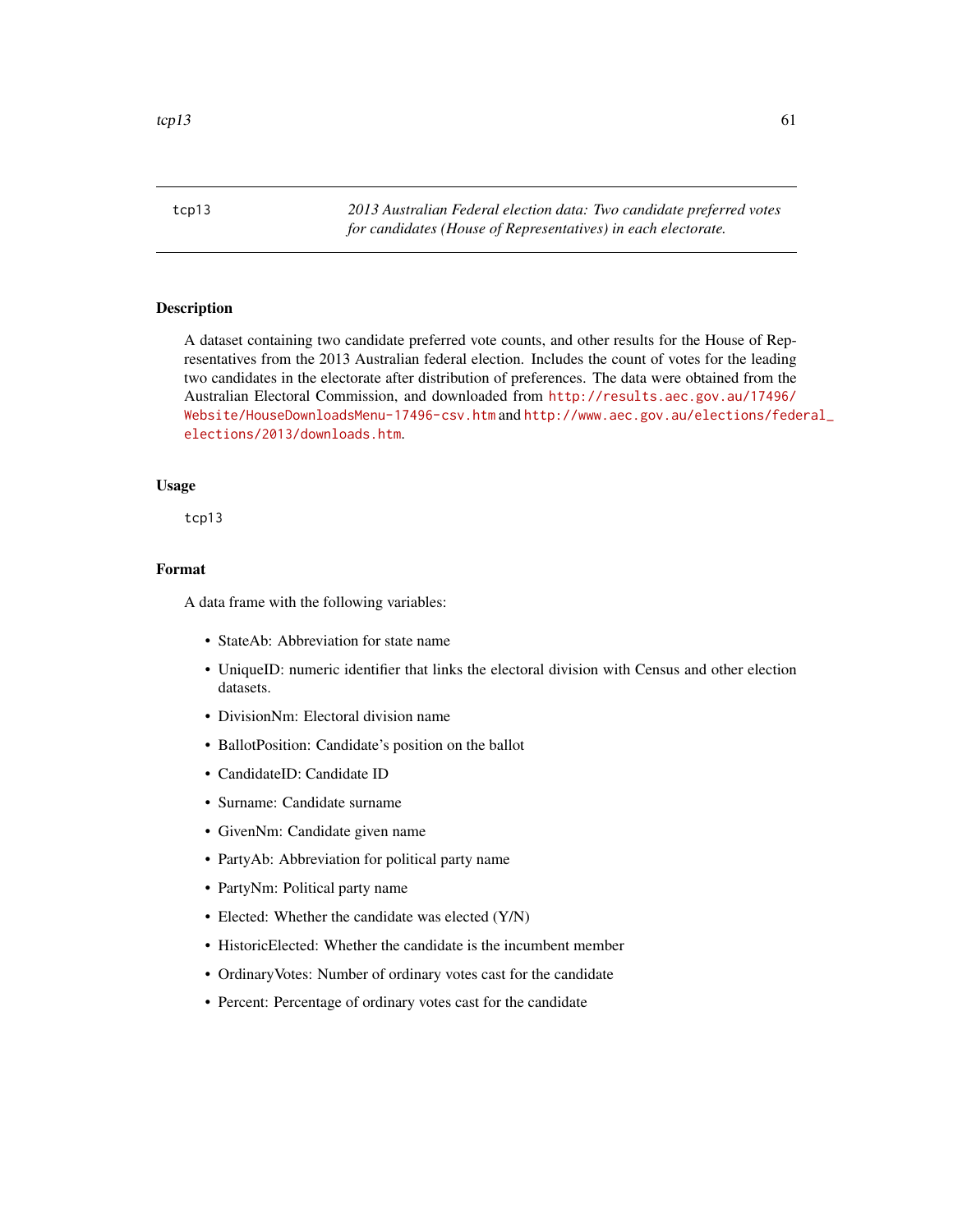<span id="page-60-0"></span>tcp13 *2013 Australian Federal election data: Two candidate preferred votes for candidates (House of Representatives) in each electorate.*

# **Description**

A dataset containing two candidate preferred vote counts, and other results for the House of Representatives from the 2013 Australian federal election. Includes the count of votes for the leading two candidates in the electorate after distribution of preferences. The data were obtained from the Australian Electoral Commission, and downloaded from [http://results.aec.gov.au/17496/](http://results.aec.gov.au/17496/Website/HouseDownloadsMenu-17496-csv.htm) [Website/HouseDownloadsMenu-17496-csv.htm](http://results.aec.gov.au/17496/Website/HouseDownloadsMenu-17496-csv.htm) and [http://www.aec.gov.au/elections/fede](http://www.aec.gov.au/elections/federal_elections/2013/downloads.htm)ral\_ [elections/2013/downloads.htm](http://www.aec.gov.au/elections/federal_elections/2013/downloads.htm).

#### Usage

tcp13

## Format

- StateAb: Abbreviation for state name
- UniqueID: numeric identifier that links the electoral division with Census and other election datasets.
- DivisionNm: Electoral division name
- BallotPosition: Candidate's position on the ballot
- CandidateID: Candidate ID
- Surname: Candidate surname
- GivenNm: Candidate given name
- PartyAb: Abbreviation for political party name
- PartyNm: Political party name
- Elected: Whether the candidate was elected (Y/N)
- HistoricElected: Whether the candidate is the incumbent member
- OrdinaryVotes: Number of ordinary votes cast for the candidate
- Percent: Percentage of ordinary votes cast for the candidate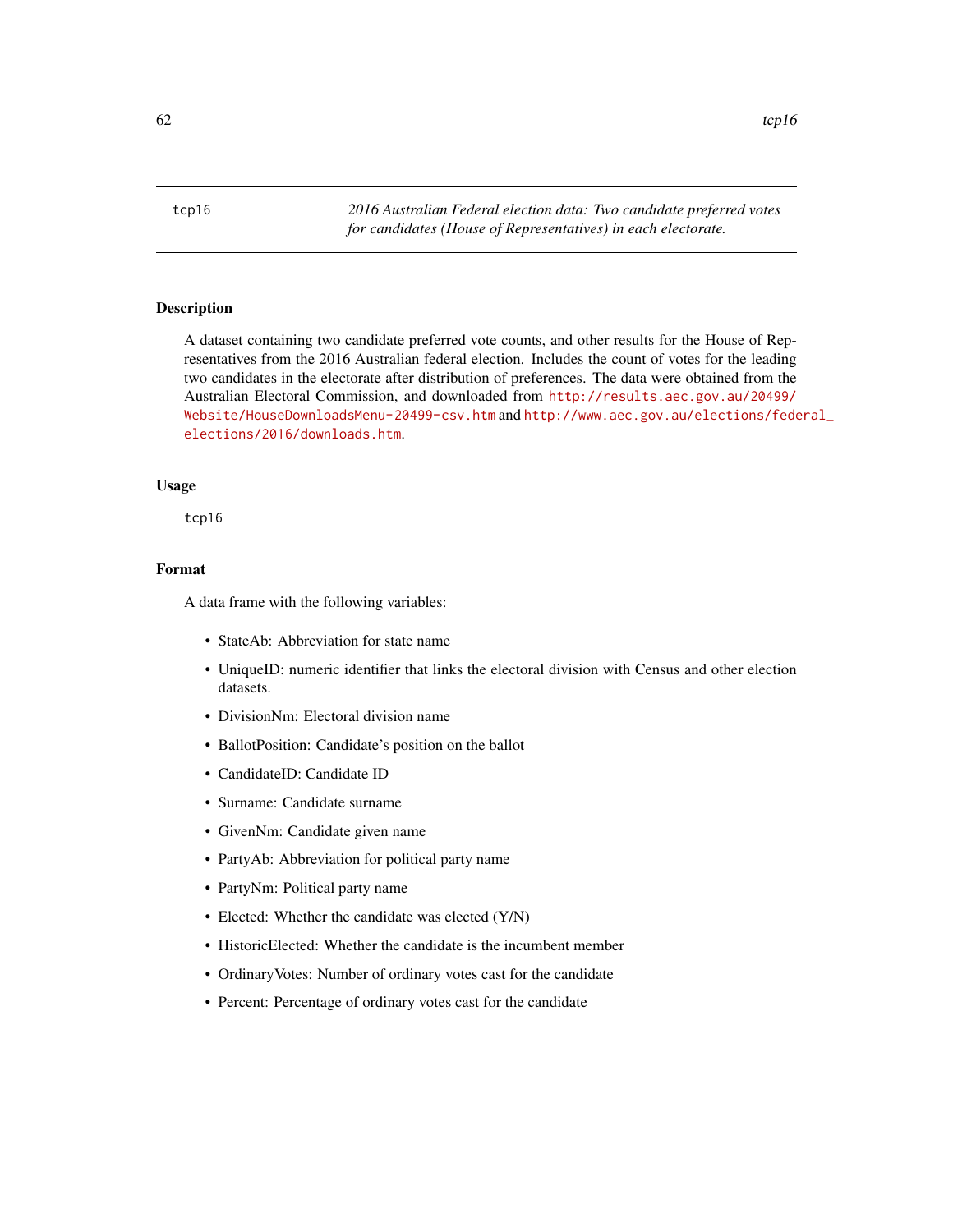<span id="page-61-0"></span>tcp16 *2016 Australian Federal election data: Two candidate preferred votes for candidates (House of Representatives) in each electorate.*

# **Description**

A dataset containing two candidate preferred vote counts, and other results for the House of Representatives from the 2016 Australian federal election. Includes the count of votes for the leading two candidates in the electorate after distribution of preferences. The data were obtained from the Australian Electoral Commission, and downloaded from [http://results.aec.gov.au/20499/](http://results.aec.gov.au/20499/Website/HouseDownloadsMenu-20499-csv.htm) [Website/HouseDownloadsMenu-20499-csv.htm](http://results.aec.gov.au/20499/Website/HouseDownloadsMenu-20499-csv.htm) and [http://www.aec.gov.au/elections/fede](http://www.aec.gov.au/elections/federal_elections/2016/downloads.htm)ral\_ [elections/2016/downloads.htm](http://www.aec.gov.au/elections/federal_elections/2016/downloads.htm).

#### Usage

tcp16

## Format

- StateAb: Abbreviation for state name
- UniqueID: numeric identifier that links the electoral division with Census and other election datasets.
- DivisionNm: Electoral division name
- BallotPosition: Candidate's position on the ballot
- CandidateID: Candidate ID
- Surname: Candidate surname
- GivenNm: Candidate given name
- PartyAb: Abbreviation for political party name
- PartyNm: Political party name
- Elected: Whether the candidate was elected (Y/N)
- HistoricElected: Whether the candidate is the incumbent member
- OrdinaryVotes: Number of ordinary votes cast for the candidate
- Percent: Percentage of ordinary votes cast for the candidate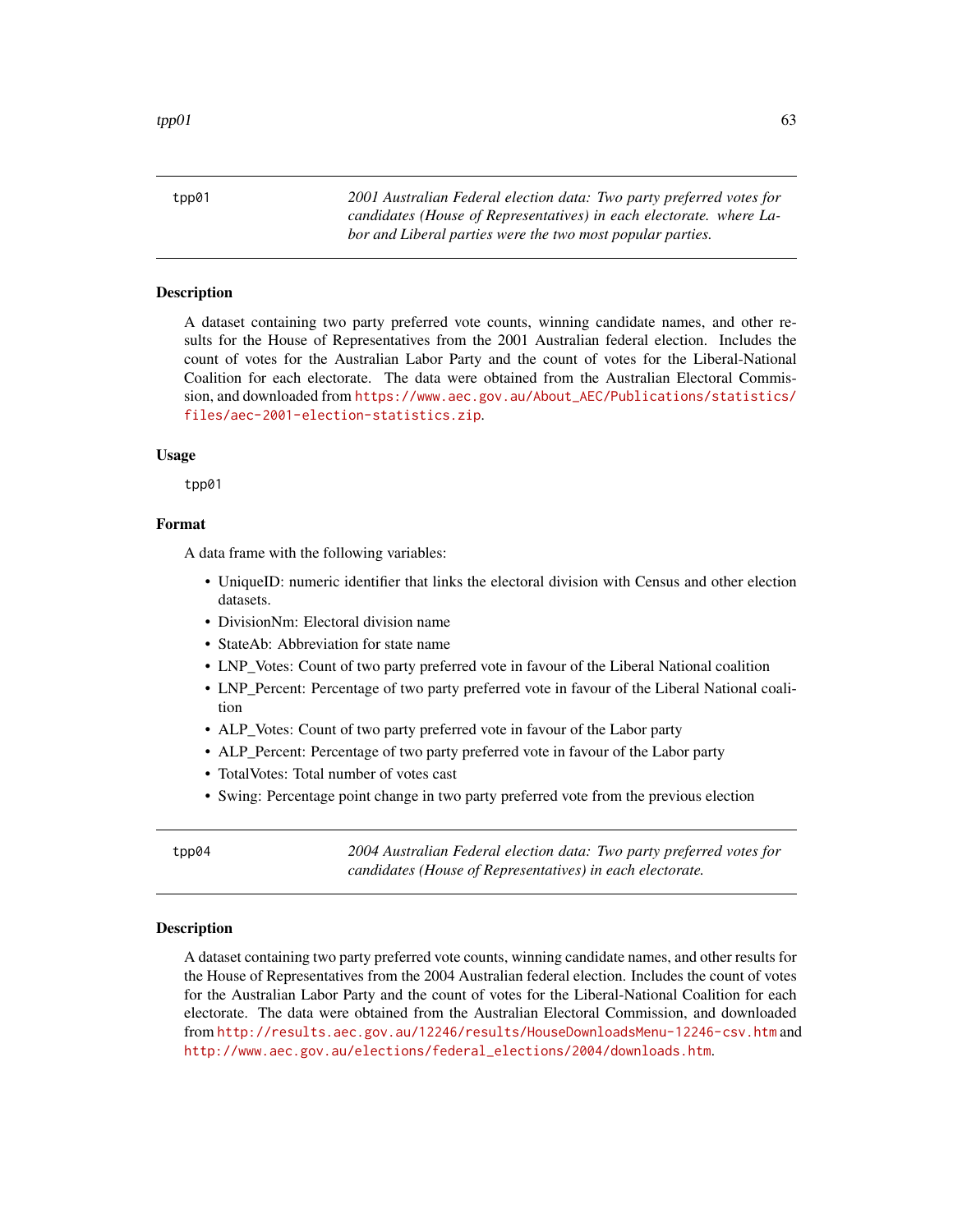<span id="page-62-0"></span>tpp01 *2001 Australian Federal election data: Two party preferred votes for candidates (House of Representatives) in each electorate. where Labor and Liberal parties were the two most popular parties.*

#### **Description**

A dataset containing two party preferred vote counts, winning candidate names, and other results for the House of Representatives from the 2001 Australian federal election. Includes the count of votes for the Australian Labor Party and the count of votes for the Liberal-National Coalition for each electorate. The data were obtained from the Australian Electoral Commission, and downloaded from [https://www.aec.gov.au/About\\_AEC/Publications/statistics/](https://www.aec.gov.au/About_AEC/Publications/statistics/files/aec-2001-election-statistics.zip) [files/aec-2001-election-statistics.zip](https://www.aec.gov.au/About_AEC/Publications/statistics/files/aec-2001-election-statistics.zip).

#### Usage

tpp01

#### Format

A data frame with the following variables:

- UniqueID: numeric identifier that links the electoral division with Census and other election datasets.
- DivisionNm: Electoral division name
- StateAb: Abbreviation for state name
- LNP\_Votes: Count of two party preferred vote in favour of the Liberal National coalition
- LNP\_Percent: Percentage of two party preferred vote in favour of the Liberal National coalition
- ALP\_Votes: Count of two party preferred vote in favour of the Labor party
- ALP\_Percent: Percentage of two party preferred vote in favour of the Labor party
- TotalVotes: Total number of votes cast
- Swing: Percentage point change in two party preferred vote from the previous election

tpp04 *2004 Australian Federal election data: Two party preferred votes for candidates (House of Representatives) in each electorate.*

#### **Description**

A dataset containing two party preferred vote counts, winning candidate names, and other results for the House of Representatives from the 2004 Australian federal election. Includes the count of votes for the Australian Labor Party and the count of votes for the Liberal-National Coalition for each electorate. The data were obtained from the Australian Electoral Commission, and downloaded from <http://results.aec.gov.au/12246/results/HouseDownloadsMenu-12246-csv.htm> and [http://www.aec.gov.au/elections/federal\\_elections/2004/downloads.htm](http://www.aec.gov.au/elections/federal_elections/2004/downloads.htm).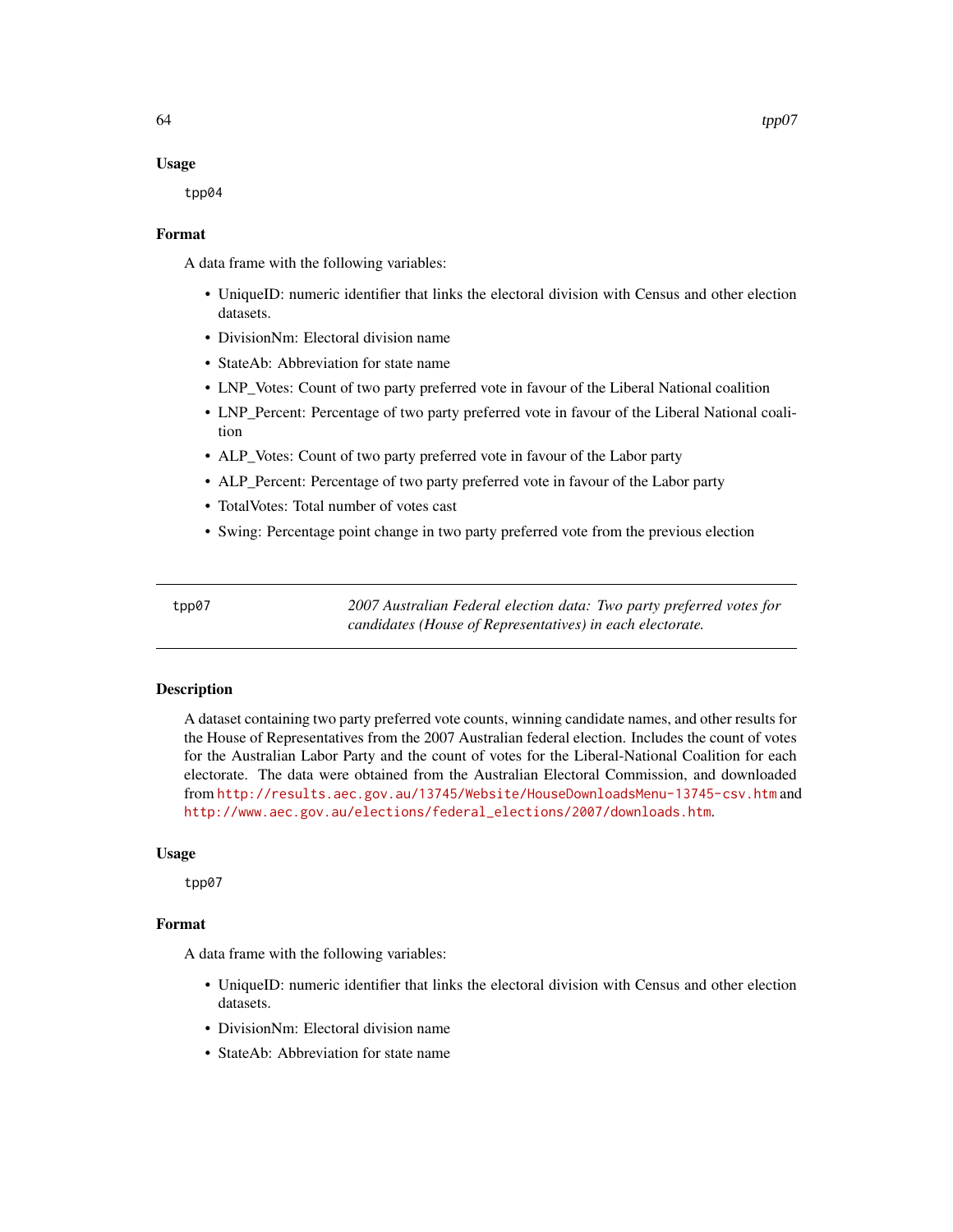#### Usage

tpp04

#### Format

A data frame with the following variables:

- UniqueID: numeric identifier that links the electoral division with Census and other election datasets.
- DivisionNm: Electoral division name
- StateAb: Abbreviation for state name
- LNP Votes: Count of two party preferred vote in favour of the Liberal National coalition
- LNP\_Percent: Percentage of two party preferred vote in favour of the Liberal National coalition
- ALP\_Votes: Count of two party preferred vote in favour of the Labor party
- ALP\_Percent: Percentage of two party preferred vote in favour of the Labor party
- TotalVotes: Total number of votes cast
- Swing: Percentage point change in two party preferred vote from the previous election

tpp07 *2007 Australian Federal election data: Two party preferred votes for candidates (House of Representatives) in each electorate.*

#### Description

A dataset containing two party preferred vote counts, winning candidate names, and other results for the House of Representatives from the 2007 Australian federal election. Includes the count of votes for the Australian Labor Party and the count of votes for the Liberal-National Coalition for each electorate. The data were obtained from the Australian Electoral Commission, and downloaded from <http://results.aec.gov.au/13745/Website/HouseDownloadsMenu-13745-csv.htm> and [http://www.aec.gov.au/elections/federal\\_elections/2007/downloads.htm](http://www.aec.gov.au/elections/federal_elections/2007/downloads.htm).

# Usage

tpp07

# Format

- UniqueID: numeric identifier that links the electoral division with Census and other election datasets.
- DivisionNm: Electoral division name
- StateAb: Abbreviation for state name

<span id="page-63-0"></span>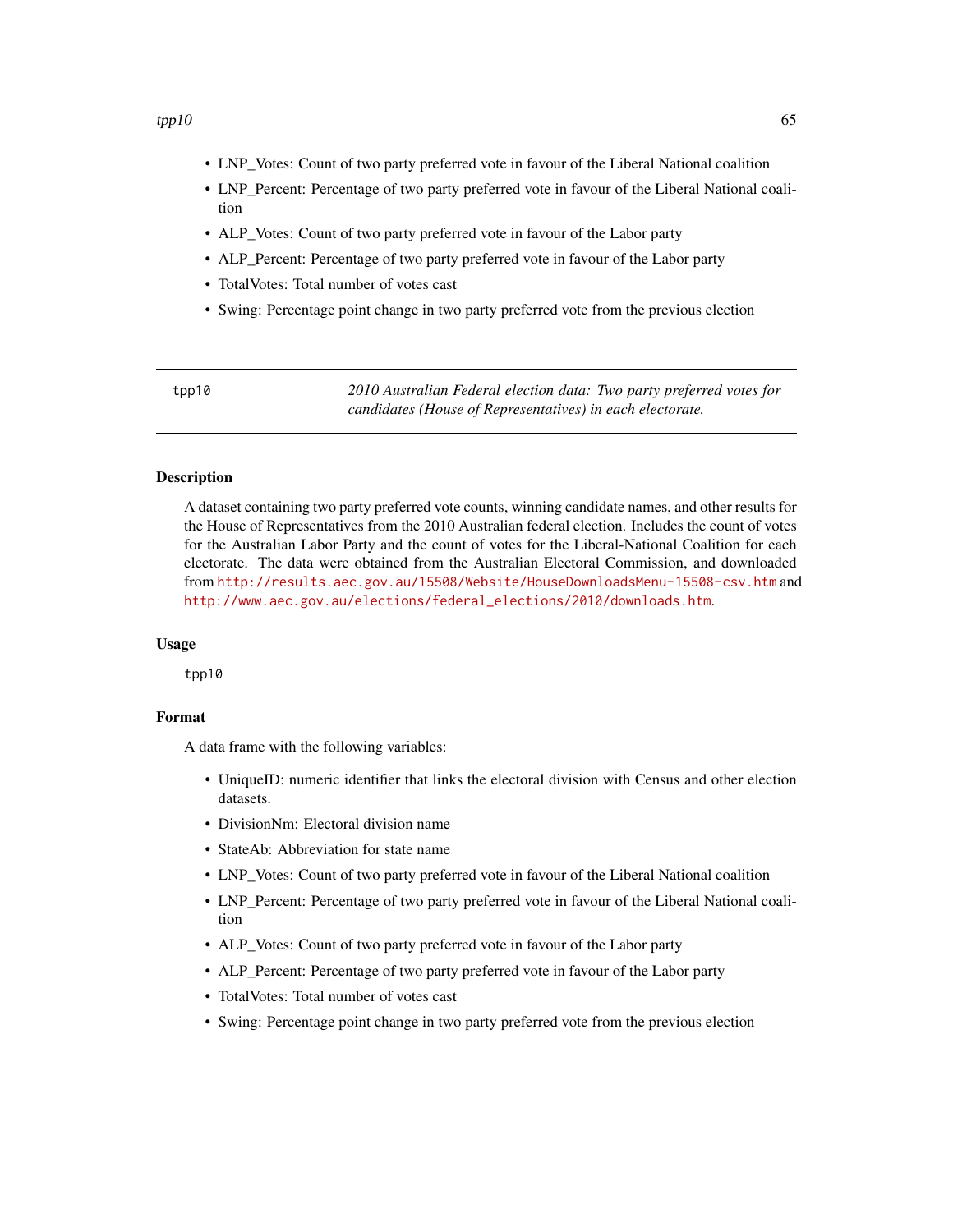- <span id="page-64-0"></span>• LNP\_Votes: Count of two party preferred vote in favour of the Liberal National coalition
- LNP\_Percent: Percentage of two party preferred vote in favour of the Liberal National coalition
- ALP Votes: Count of two party preferred vote in favour of the Labor party
- ALP Percent: Percentage of two party preferred vote in favour of the Labor party
- TotalVotes: Total number of votes cast
- Swing: Percentage point change in two party preferred vote from the previous election

| tpp10 | 2010 Australian Federal election data: Two party preferred votes for |
|-------|----------------------------------------------------------------------|
|       | candidates (House of Representatives) in each electorate.            |

# Description

A dataset containing two party preferred vote counts, winning candidate names, and other results for the House of Representatives from the 2010 Australian federal election. Includes the count of votes for the Australian Labor Party and the count of votes for the Liberal-National Coalition for each electorate. The data were obtained from the Australian Electoral Commission, and downloaded from <http://results.aec.gov.au/15508/Website/HouseDownloadsMenu-15508-csv.htm> and [http://www.aec.gov.au/elections/federal\\_elections/2010/downloads.htm](http://www.aec.gov.au/elections/federal_elections/2010/downloads.htm).

#### Usage

tpp10

# Format

- UniqueID: numeric identifier that links the electoral division with Census and other election datasets.
- DivisionNm: Electoral division name
- StateAb: Abbreviation for state name
- LNP\_Votes: Count of two party preferred vote in favour of the Liberal National coalition
- LNP\_Percent: Percentage of two party preferred vote in favour of the Liberal National coalition
- ALP\_Votes: Count of two party preferred vote in favour of the Labor party
- ALP\_Percent: Percentage of two party preferred vote in favour of the Labor party
- TotalVotes: Total number of votes cast
- Swing: Percentage point change in two party preferred vote from the previous election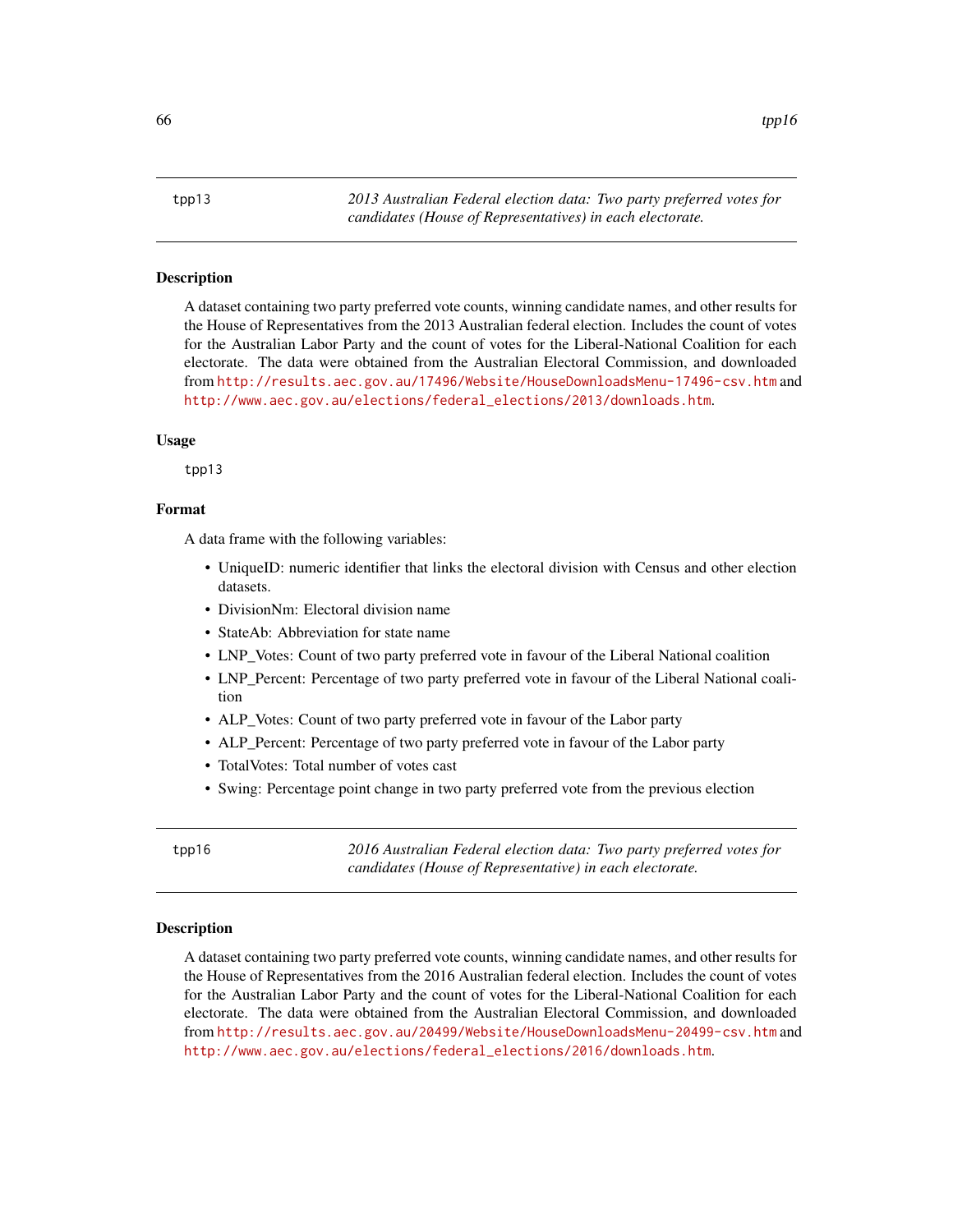<span id="page-65-0"></span>tpp13 *2013 Australian Federal election data: Two party preferred votes for candidates (House of Representatives) in each electorate.*

#### Description

A dataset containing two party preferred vote counts, winning candidate names, and other results for the House of Representatives from the 2013 Australian federal election. Includes the count of votes for the Australian Labor Party and the count of votes for the Liberal-National Coalition for each electorate. The data were obtained from the Australian Electoral Commission, and downloaded from <http://results.aec.gov.au/17496/Website/HouseDownloadsMenu-17496-csv.htm> and [http://www.aec.gov.au/elections/federal\\_elections/2013/downloads.htm](http://www.aec.gov.au/elections/federal_elections/2013/downloads.htm).

#### Usage

tpp13

# Format

A data frame with the following variables:

- UniqueID: numeric identifier that links the electoral division with Census and other election datasets.
- DivisionNm: Electoral division name
- StateAb: Abbreviation for state name
- LNP\_Votes: Count of two party preferred vote in favour of the Liberal National coalition
- LNP Percent: Percentage of two party preferred vote in favour of the Liberal National coalition
- ALP\_Votes: Count of two party preferred vote in favour of the Labor party
- ALP\_Percent: Percentage of two party preferred vote in favour of the Labor party
- TotalVotes: Total number of votes cast
- Swing: Percentage point change in two party preferred vote from the previous election

tpp16 *2016 Australian Federal election data: Two party preferred votes for candidates (House of Representative) in each electorate.*

#### **Description**

A dataset containing two party preferred vote counts, winning candidate names, and other results for the House of Representatives from the 2016 Australian federal election. Includes the count of votes for the Australian Labor Party and the count of votes for the Liberal-National Coalition for each electorate. The data were obtained from the Australian Electoral Commission, and downloaded from <http://results.aec.gov.au/20499/Website/HouseDownloadsMenu-20499-csv.htm> and [http://www.aec.gov.au/elections/federal\\_elections/2016/downloads.htm](http://www.aec.gov.au/elections/federal_elections/2016/downloads.htm).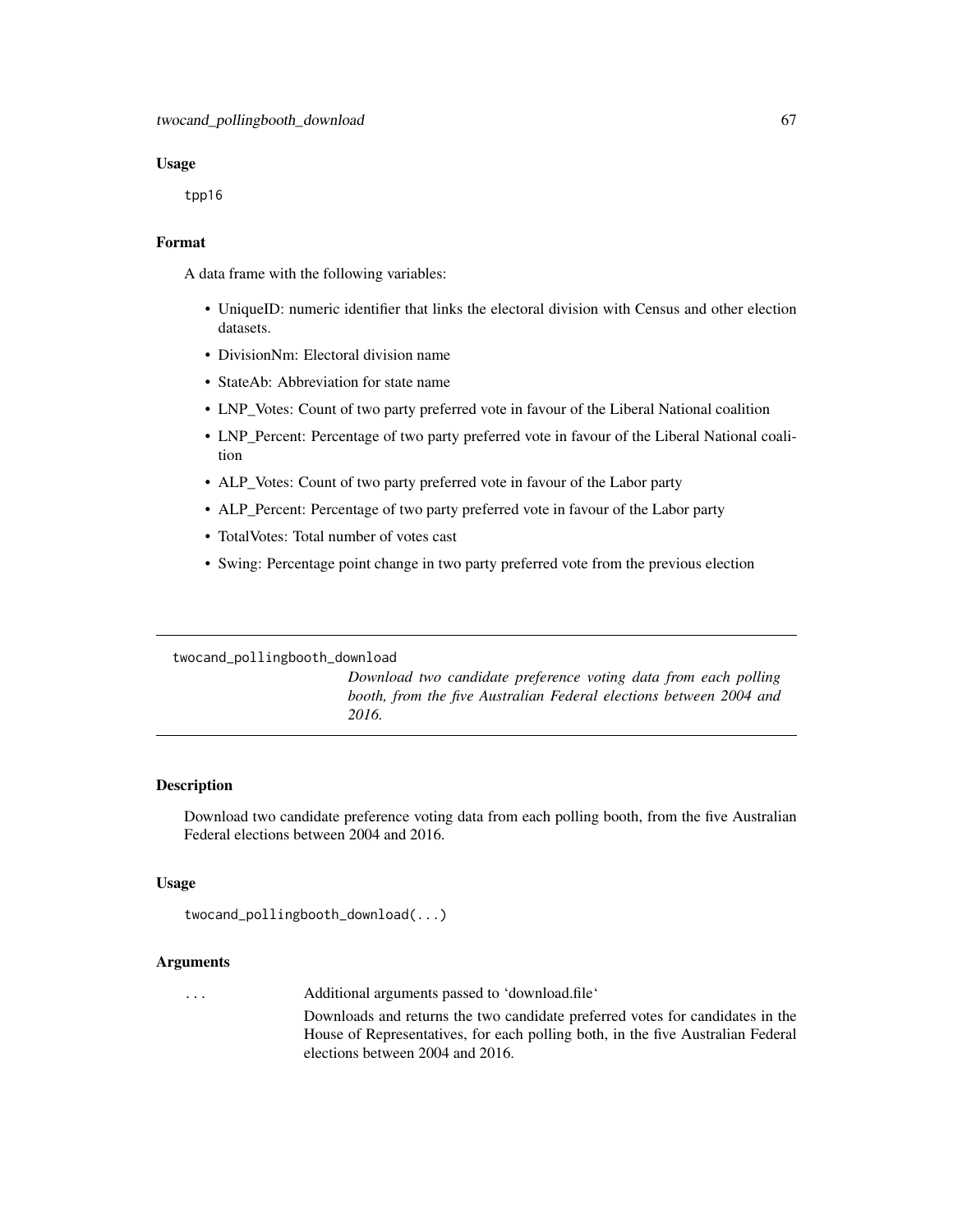#### Usage

tpp16

#### Format

A data frame with the following variables:

- UniqueID: numeric identifier that links the electoral division with Census and other election datasets.
- DivisionNm: Electoral division name
- StateAb: Abbreviation for state name
- LNP\_Votes: Count of two party preferred vote in favour of the Liberal National coalition
- LNP\_Percent: Percentage of two party preferred vote in favour of the Liberal National coalition
- ALP\_Votes: Count of two party preferred vote in favour of the Labor party
- ALP\_Percent: Percentage of two party preferred vote in favour of the Labor party
- TotalVotes: Total number of votes cast
- Swing: Percentage point change in two party preferred vote from the previous election

# twocand\_pollingbooth\_download

*Download two candidate preference voting data from each polling booth, from the five Australian Federal elections between 2004 and 2016.*

#### Description

Download two candidate preference voting data from each polling booth, from the five Australian Federal elections between 2004 and 2016.

#### Usage

```
twocand_pollingbooth_download(...)
```
### Arguments

... Additional arguments passed to 'download.file'

Downloads and returns the two candidate preferred votes for candidates in the House of Representatives, for each polling both, in the five Australian Federal elections between 2004 and 2016.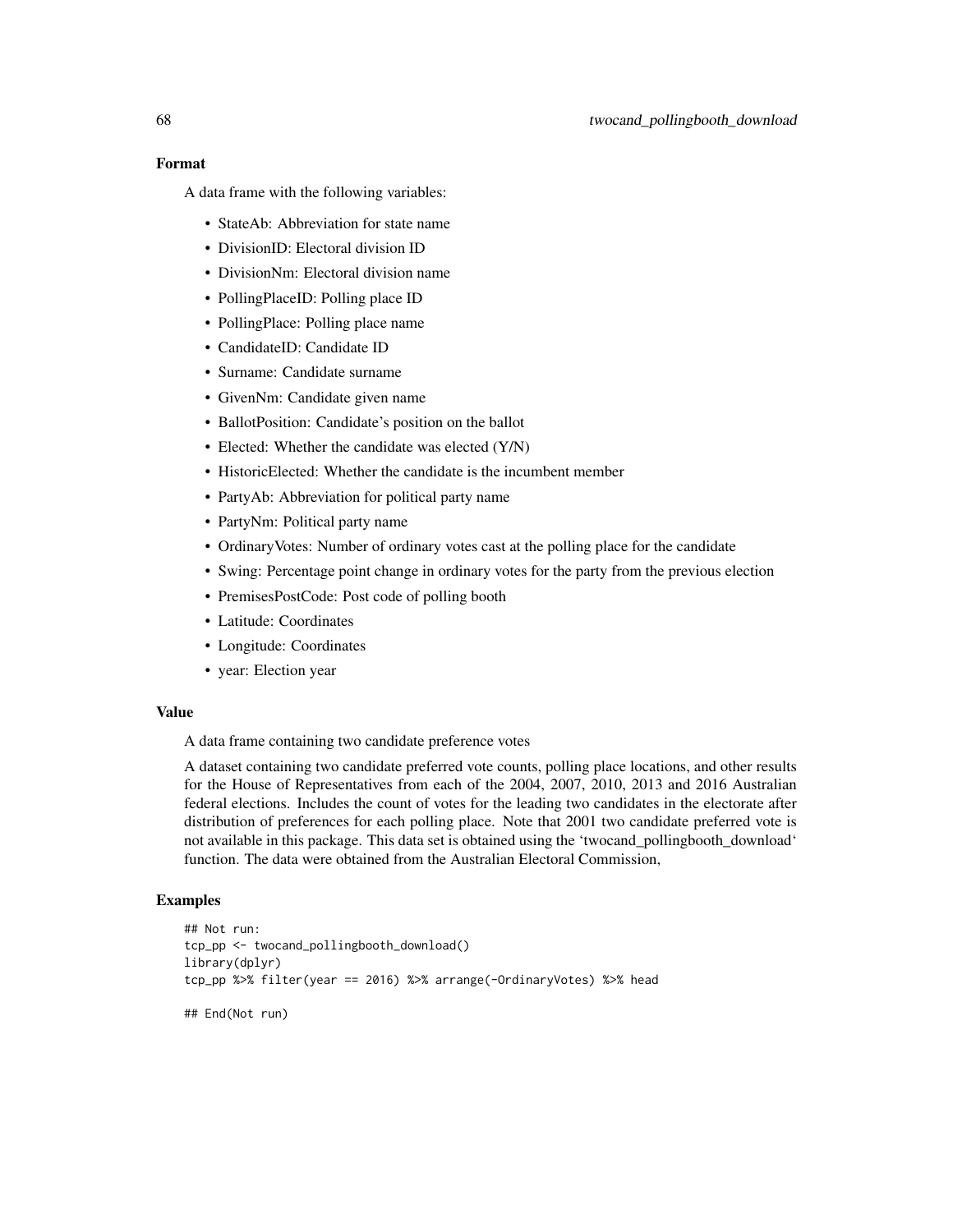# Format

A data frame with the following variables:

- StateAb: Abbreviation for state name
- DivisionID: Electoral division ID
- DivisionNm: Electoral division name
- PollingPlaceID: Polling place ID
- PollingPlace: Polling place name
- CandidateID: Candidate ID
- Surname: Candidate surname
- GivenNm: Candidate given name
- BallotPosition: Candidate's position on the ballot
- Elected: Whether the candidate was elected (Y/N)
- HistoricElected: Whether the candidate is the incumbent member
- PartyAb: Abbreviation for political party name
- PartyNm: Political party name
- OrdinaryVotes: Number of ordinary votes cast at the polling place for the candidate
- Swing: Percentage point change in ordinary votes for the party from the previous election
- PremisesPostCode: Post code of polling booth
- Latitude: Coordinates
- Longitude: Coordinates
- year: Election year

#### Value

A data frame containing two candidate preference votes

A dataset containing two candidate preferred vote counts, polling place locations, and other results for the House of Representatives from each of the 2004, 2007, 2010, 2013 and 2016 Australian federal elections. Includes the count of votes for the leading two candidates in the electorate after distribution of preferences for each polling place. Note that 2001 two candidate preferred vote is not available in this package. This data set is obtained using the 'twocand\_pollingbooth\_download' function. The data were obtained from the Australian Electoral Commission,

```
## Not run:
tcp_pp <- twocand_pollingbooth_download()
library(dplyr)
tcp_pp %>% filter(year == 2016) %>% arrange(-OrdinaryVotes) %>% head
## End(Not run)
```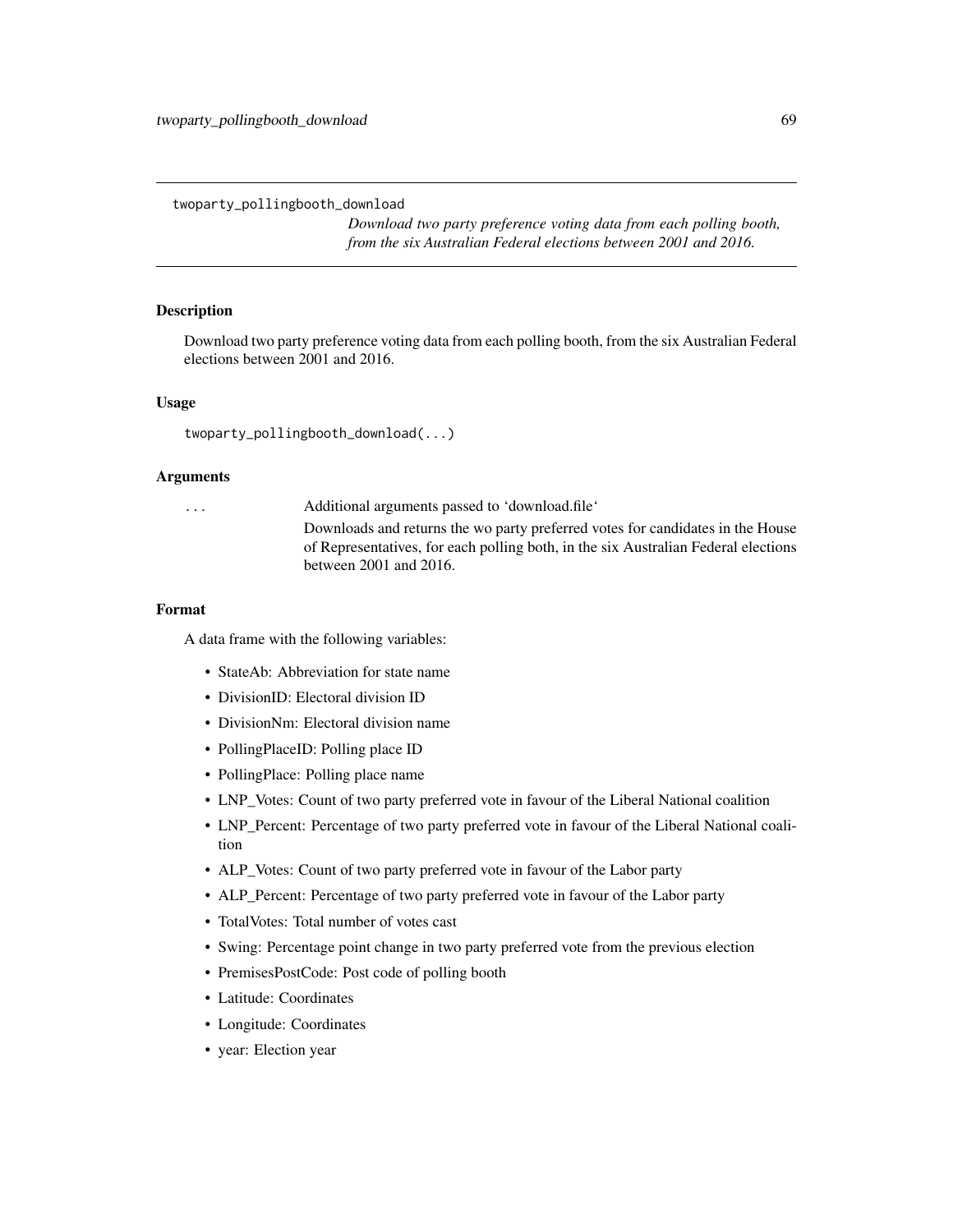twoparty\_pollingbooth\_download

*Download two party preference voting data from each polling booth, from the six Australian Federal elections between 2001 and 2016.*

#### Description

Download two party preference voting data from each polling booth, from the six Australian Federal elections between 2001 and 2016.

#### Usage

twoparty\_pollingbooth\_download(...)

#### Arguments

... Additional arguments passed to 'download.file' Downloads and returns the wo party preferred votes for candidates in the House

of Representatives, for each polling both, in the six Australian Federal elections between 2001 and 2016.

#### Format

- StateAb: Abbreviation for state name
- DivisionID: Electoral division ID
- DivisionNm: Electoral division name
- PollingPlaceID: Polling place ID
- PollingPlace: Polling place name
- LNP\_Votes: Count of two party preferred vote in favour of the Liberal National coalition
- LNP\_Percent: Percentage of two party preferred vote in favour of the Liberal National coalition
- ALP\_Votes: Count of two party preferred vote in favour of the Labor party
- ALP\_Percent: Percentage of two party preferred vote in favour of the Labor party
- TotalVotes: Total number of votes cast
- Swing: Percentage point change in two party preferred vote from the previous election
- PremisesPostCode: Post code of polling booth
- Latitude: Coordinates
- Longitude: Coordinates
- year: Election year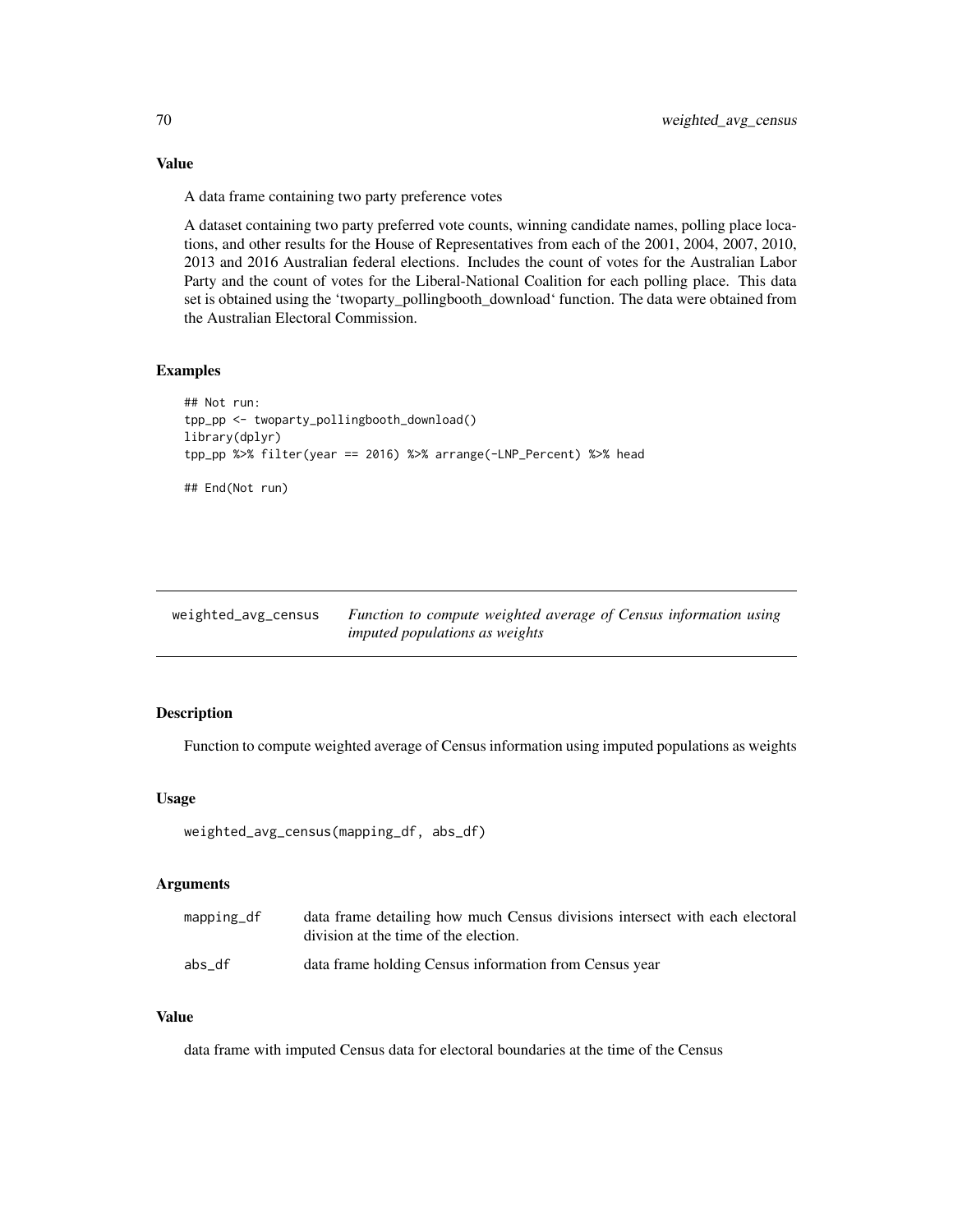Value

A data frame containing two party preference votes

A dataset containing two party preferred vote counts, winning candidate names, polling place locations, and other results for the House of Representatives from each of the 2001, 2004, 2007, 2010, 2013 and 2016 Australian federal elections. Includes the count of votes for the Australian Labor Party and the count of votes for the Liberal-National Coalition for each polling place. This data set is obtained using the 'twoparty\_pollingbooth\_download' function. The data were obtained from the Australian Electoral Commission.

# Examples

```
## Not run:
tpp_pp <- twoparty_pollingbooth_download()
library(dplyr)
tpp_pp %>% filter(year == 2016) %>% arrange(-LNP_Percent) %>% head
## End(Not run)
```
weighted\_avg\_census *Function to compute weighted average of Census information using imputed populations as weights*

#### Description

Function to compute weighted average of Census information using imputed populations as weights

# Usage

```
weighted_avg_census(mapping_df, abs_df)
```
#### Arguments

| $mapping_d$ | data frame detailing how much Census divisions intersect with each electoral<br>division at the time of the election. |
|-------------|-----------------------------------------------------------------------------------------------------------------------|
| abs df      | data frame holding Census information from Census year                                                                |

# Value

data frame with imputed Census data for electoral boundaries at the time of the Census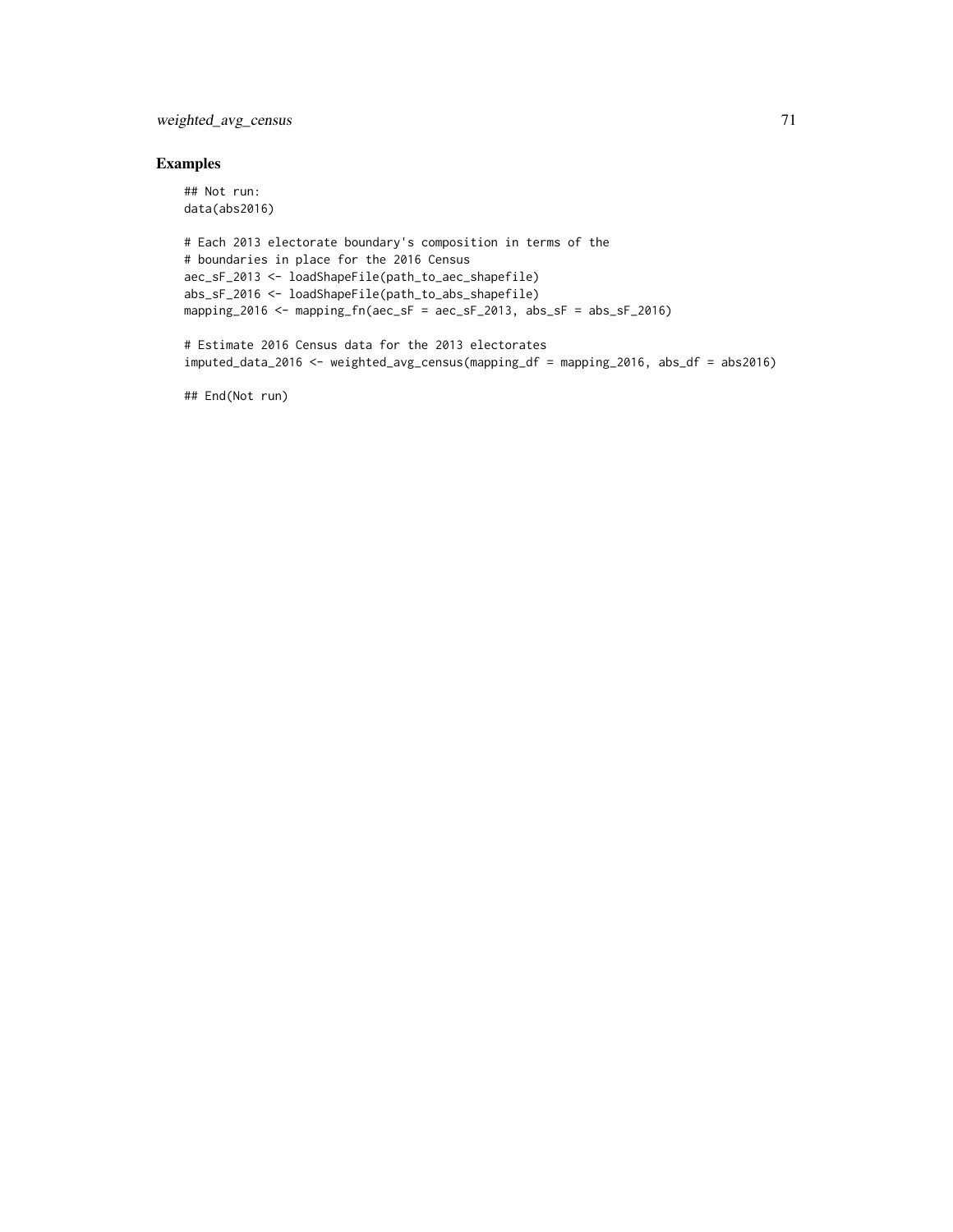# weighted\_avg\_census 71

# Examples

```
## Not run:
data(abs2016)
# Each 2013 electorate boundary's composition in terms of the
# boundaries in place for the 2016 Census
aec_sF_2013 <- loadShapeFile(path_to_aec_shapefile)
abs_sF_2016 <- loadShapeFile(path_to_abs_shapefile)
mapping_2016 <- mapping_fn(aec_sF = aec_sF_2013, abs_sF = abs_sF_2016)
# Estimate 2016 Census data for the 2013 electorates
imputed_data_2016 <- weighted_avg_census(mapping_df = mapping_2016, abs_df = abs2016)
```
## End(Not run)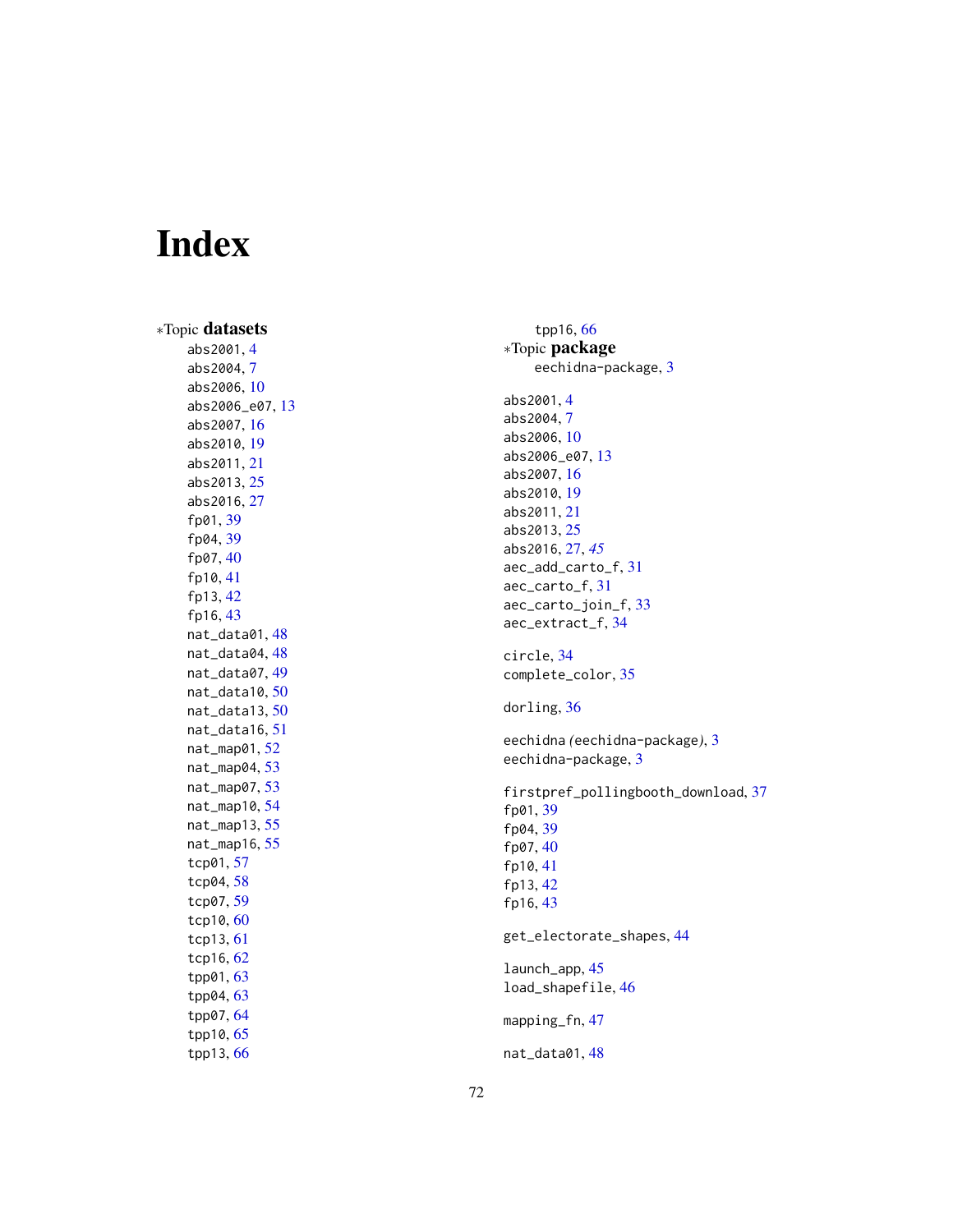# Index

∗Topic datasets abs2001 , [4](#page-3-0) abs2004 , [7](#page-6-0) abs2006 , [10](#page-9-0) abs2006\_e07 , [13](#page-12-0) abs2007 , [16](#page-15-0) abs2010 , [19](#page-18-0) abs2011 , [21](#page-20-0) abs2013 , [25](#page-24-0) abs2016 , [27](#page-26-1) fp01 , [39](#page-38-0) fp04 , [39](#page-38-0) fp07 , [40](#page-39-0) fp10 , [41](#page-40-0) fp13 , [42](#page-41-0) fp16, [43](#page-42-0) nat\_data01 , [48](#page-47-0) nat\_data04 , [48](#page-47-0) nat\_data07 , [49](#page-48-0) nat\_data10 , [50](#page-49-0) nat\_data13 , [50](#page-49-0) nat\_data16 , [51](#page-50-0) nat\_map01 , [52](#page-51-0) nat\_map04 , [53](#page-52-0) nat\_map07 , [53](#page-52-0) nat\_map10 , [54](#page-53-0) nat\_map13 , [55](#page-54-0) nat\_map16 , [55](#page-54-0) tcp01 , [57](#page-56-0) tcp04 , [58](#page-57-0) tcp07 , [59](#page-58-0) tcp10 , [60](#page-59-0) tcp13 , [61](#page-60-0) tcp16 , [62](#page-61-0) tpp01 , [63](#page-62-0) tpp04 , [63](#page-62-0) tpp07 , [64](#page-63-0) tpp10 , [65](#page-64-0) tpp13 , [66](#page-65-0)

tpp16 , [66](#page-65-0) ∗Topic package eechidna-package , [3](#page-2-0) abs2001 , [4](#page-3-0) abs2004 , [7](#page-6-0) abs2006 , [10](#page-9-0) abs2006\_e07 , [13](#page-12-0) abs2007 , [16](#page-15-0) abs2010 , [19](#page-18-0) abs2011 , [21](#page-20-0) abs2013 , [25](#page-24-0) abs2016 , [27](#page-26-1) , *[45](#page-44-0)* aec\_add\_carto\_f , [31](#page-30-0) aec\_carto\_f , [31](#page-30-0) aec\_carto\_join\_f , [33](#page-32-0) aec\_extract\_f , [34](#page-33-0) circle , [34](#page-33-0) complete\_color , [35](#page-34-0) dorling, [36](#page-35-0) eechidna *(*eechidna-package *)* , [3](#page-2-0) eechidna-package, [3](#page-2-0) firstpref\_pollingbooth\_download , [37](#page-36-0) fp01 , [39](#page-38-0) fp04 , [39](#page-38-0) fp07 , [40](#page-39-0) fp10 , [41](#page-40-0) fp13 , [42](#page-41-0) fp16, [43](#page-42-0) get\_electorate\_shapes , [44](#page-43-0) launch\_app , [45](#page-44-0) load\_shapefile , [46](#page-45-0) mapping\_fn,[47](#page-46-0) nat\_data01 , [48](#page-47-0)